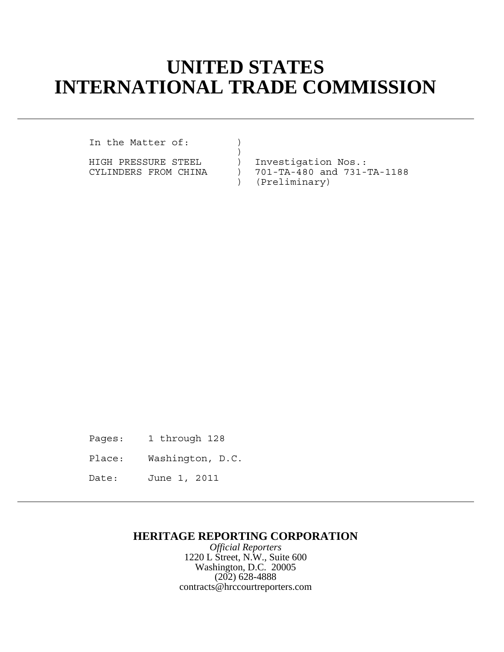## **UNITED STATES INTERNATIONAL TRADE COMMISSION**

In the Matter of: )

HIGH PRESSURE STEEL ) Investigation Nos.:

)

CYLINDERS FROM CHINA ) 701-TA-480 and 731-TA-1188 ) (Preliminary)

- Pages: 1 through 128
- Place: Washington, D.C.
- Date: June 1, 2011

## **HERITAGE REPORTING CORPORATION**

*Official Reporters* 1220 L Street, N.W., Suite 600 Washington, D.C. 20005 (202) 628-4888 contracts@hrccourtreporters.com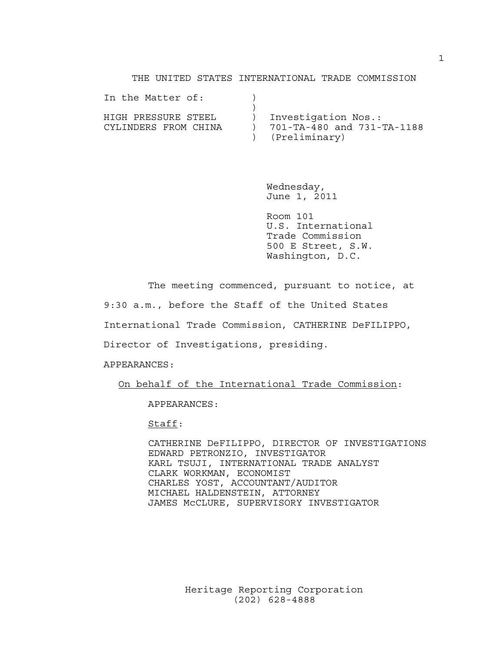## THE UNITED STATES INTERNATIONAL TRADE COMMISSION

| In the Matter of:                           |                                                                      |
|---------------------------------------------|----------------------------------------------------------------------|
| HIGH PRESSURE STEEL<br>CYLINDERS FROM CHINA | Investigation Nos.:<br>701-TA-480 and 731-TA-1188<br>) (Preliminary) |

Wednesday, June 1, 2011

Room 101 U.S. International Trade Commission 500 E Street, S.W. Washington, D.C.

The meeting commenced, pursuant to notice, at

9:30 a.m., before the Staff of the United States

International Trade Commission, CATHERINE DeFILIPPO,

Director of Investigations, presiding.

APPEARANCES:

On behalf of the International Trade Commission:

APPEARANCES:

Staff:

CATHERINE DeFILIPPO, DIRECTOR OF INVESTIGATIONS EDWARD PETRONZIO, INVESTIGATOR KARL TSUJI, INTERNATIONAL TRADE ANALYST CLARK WORKMAN, ECONOMIST CHARLES YOST, ACCOUNTANT/AUDITOR MICHAEL HALDENSTEIN, ATTORNEY JAMES McCLURE, SUPERVISORY INVESTIGATOR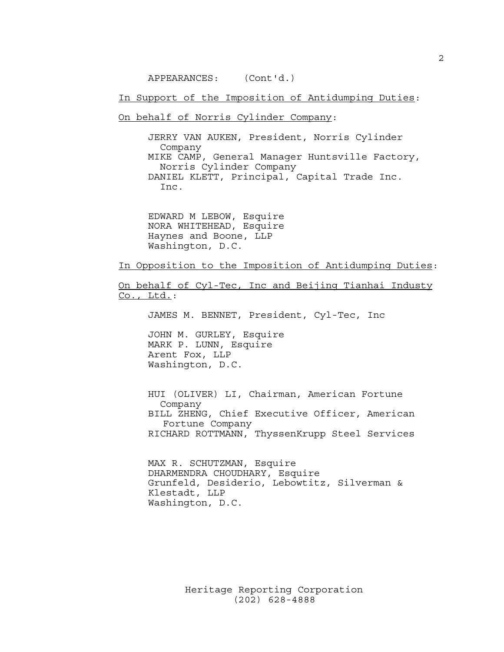APPEARANCES: (Cont'd.)

In Support of the Imposition of Antidumping Duties:

On behalf of Norris Cylinder Company:

JERRY VAN AUKEN, President, Norris Cylinder Company MIKE CAMP, General Manager Huntsville Factory, Norris Cylinder Company DANIEL KLETT, Principal, Capital Trade Inc. Inc.

EDWARD M LEBOW, Esquire NORA WHITEHEAD, Esquire Haynes and Boone, LLP Washington, D.C.

In Opposition to the Imposition of Antidumping Duties:

On behalf of Cyl-Tec, Inc and Beijing Tianhai Industy Co., Ltd.:

JAMES M. BENNET, President, Cyl-Tec, Inc

JOHN M. GURLEY, Esquire MARK P. LUNN, Esquire Arent Fox, LLP Washington, D.C.

HUI (OLIVER) LI, Chairman, American Fortune Company BILL ZHENG, Chief Executive Officer, American Fortune Company RICHARD ROTTMANN, ThyssenKrupp Steel Services

MAX R. SCHUTZMAN, Esquire DHARMENDRA CHOUDHARY, Esquire Grunfeld, Desiderio, Lebowtitz, Silverman & Klestadt, LLP Washington, D.C.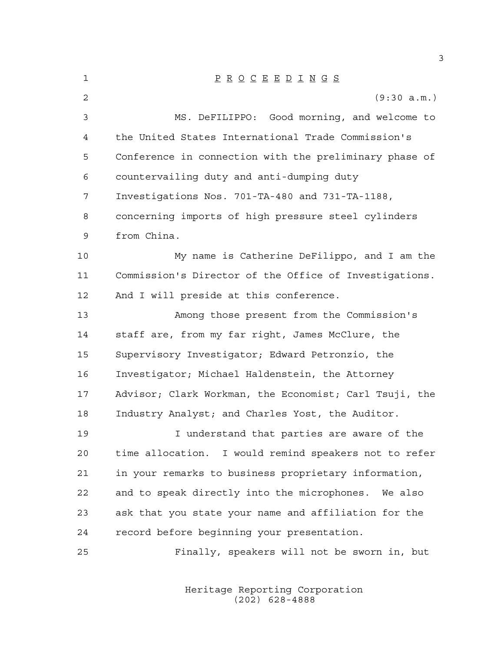| 1  | $\underline{P} \underline{R} \underline{O} \underline{C} \underline{E} \underline{E} \underline{D} \underline{I} \underline{N} \underline{G} \underline{S}$ |
|----|-------------------------------------------------------------------------------------------------------------------------------------------------------------|
| 2  | (9:30 a.m.)                                                                                                                                                 |
| 3  | MS. DeFILIPPO: Good morning, and welcome to                                                                                                                 |
| 4  | the United States International Trade Commission's                                                                                                          |
| 5  | Conference in connection with the preliminary phase of                                                                                                      |
| 6  | countervailing duty and anti-dumping duty                                                                                                                   |
| 7  | Investigations Nos. 701-TA-480 and 731-TA-1188,                                                                                                             |
| 8  | concerning imports of high pressure steel cylinders                                                                                                         |
| 9  | from China.                                                                                                                                                 |
| 10 | My name is Catherine DeFilippo, and I am the                                                                                                                |
| 11 | Commission's Director of the Office of Investigations.                                                                                                      |
| 12 | And I will preside at this conference.                                                                                                                      |
| 13 | Among those present from the Commission's                                                                                                                   |
| 14 | staff are, from my far right, James McClure, the                                                                                                            |
| 15 | Supervisory Investigator; Edward Petronzio, the                                                                                                             |
| 16 | Investigator; Michael Haldenstein, the Attorney                                                                                                             |
| 17 | Advisor; Clark Workman, the Economist; Carl Tsuji, the                                                                                                      |
| 18 | Industry Analyst; and Charles Yost, the Auditor.                                                                                                            |
| 19 | I understand that parties are aware of the                                                                                                                  |
| 20 | time allocation. I would remind speakers not to refer                                                                                                       |
| 21 | in your remarks to business proprietary information,                                                                                                        |
| 22 | and to speak directly into the microphones. We also                                                                                                         |
| 23 | ask that you state your name and affiliation for the                                                                                                        |
| 24 | record before beginning your presentation.                                                                                                                  |
| 25 | Finally, speakers will not be sworn in, but                                                                                                                 |

Heritage Reporting Corporation (202) 628-4888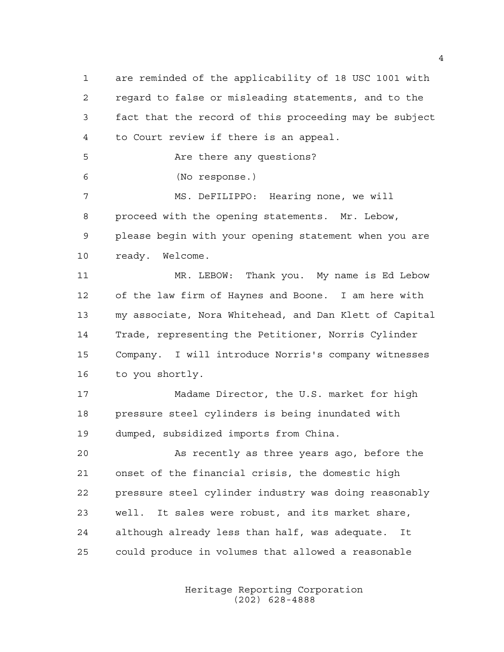are reminded of the applicability of 18 USC 1001 with regard to false or misleading statements, and to the fact that the record of this proceeding may be subject to Court review if there is an appeal. 5 Are there any questions? (No response.) MS. DeFILIPPO: Hearing none, we will proceed with the opening statements. Mr. Lebow, please begin with your opening statement when you are ready. Welcome. MR. LEBOW: Thank you. My name is Ed Lebow of the law firm of Haynes and Boone. I am here with my associate, Nora Whitehead, and Dan Klett of Capital Trade, representing the Petitioner, Norris Cylinder Company. I will introduce Norris's company witnesses to you shortly. Madame Director, the U.S. market for high pressure steel cylinders is being inundated with dumped, subsidized imports from China. As recently as three years ago, before the onset of the financial crisis, the domestic high pressure steel cylinder industry was doing reasonably well. It sales were robust, and its market share, although already less than half, was adequate. It could produce in volumes that allowed a reasonable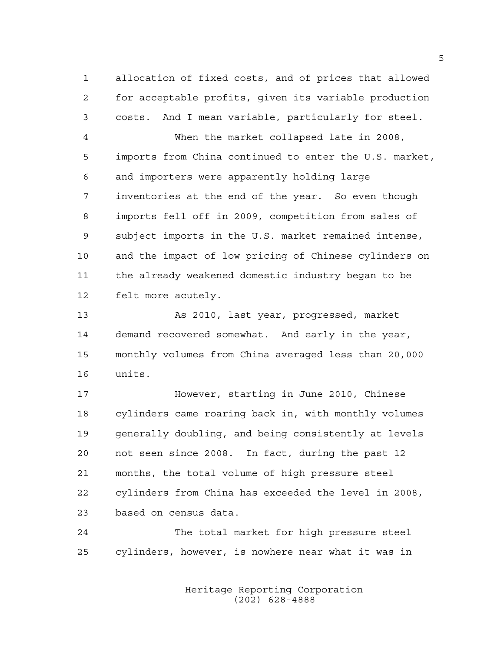allocation of fixed costs, and of prices that allowed for acceptable profits, given its variable production costs. And I mean variable, particularly for steel.

 When the market collapsed late in 2008, imports from China continued to enter the U.S. market, and importers were apparently holding large inventories at the end of the year. So even though imports fell off in 2009, competition from sales of subject imports in the U.S. market remained intense, and the impact of low pricing of Chinese cylinders on the already weakened domestic industry began to be felt more acutely.

 As 2010, last year, progressed, market demand recovered somewhat. And early in the year, monthly volumes from China averaged less than 20,000 units.

 However, starting in June 2010, Chinese cylinders came roaring back in, with monthly volumes generally doubling, and being consistently at levels not seen since 2008. In fact, during the past 12 months, the total volume of high pressure steel cylinders from China has exceeded the level in 2008, based on census data.

 The total market for high pressure steel cylinders, however, is nowhere near what it was in

> Heritage Reporting Corporation (202) 628-4888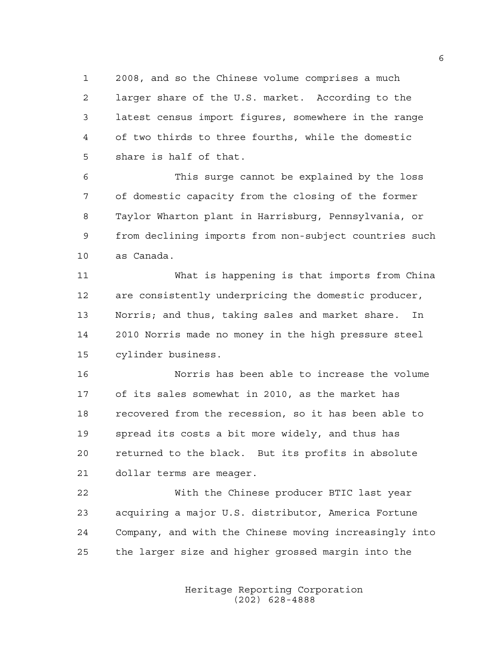2008, and so the Chinese volume comprises a much larger share of the U.S. market. According to the latest census import figures, somewhere in the range of two thirds to three fourths, while the domestic share is half of that.

 This surge cannot be explained by the loss of domestic capacity from the closing of the former Taylor Wharton plant in Harrisburg, Pennsylvania, or from declining imports from non-subject countries such as Canada.

 What is happening is that imports from China are consistently underpricing the domestic producer, Norris; and thus, taking sales and market share. In 2010 Norris made no money in the high pressure steel cylinder business.

 Norris has been able to increase the volume of its sales somewhat in 2010, as the market has recovered from the recession, so it has been able to spread its costs a bit more widely, and thus has returned to the black. But its profits in absolute dollar terms are meager.

 With the Chinese producer BTIC last year acquiring a major U.S. distributor, America Fortune Company, and with the Chinese moving increasingly into the larger size and higher grossed margin into the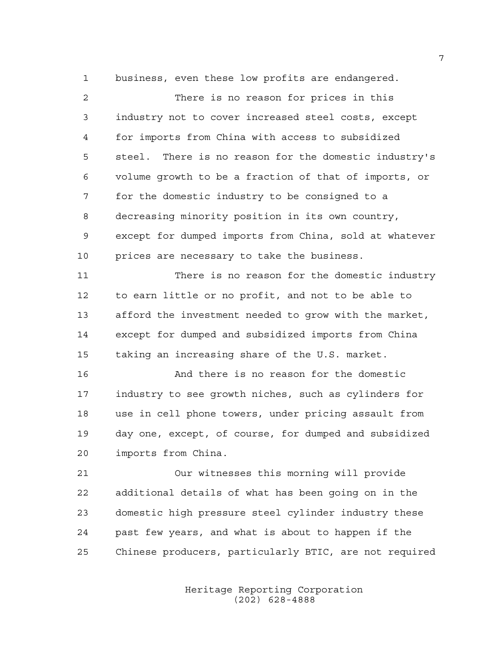business, even these low profits are endangered.

 There is no reason for prices in this industry not to cover increased steel costs, except for imports from China with access to subsidized steel. There is no reason for the domestic industry's volume growth to be a fraction of that of imports, or for the domestic industry to be consigned to a decreasing minority position in its own country, except for dumped imports from China, sold at whatever prices are necessary to take the business. There is no reason for the domestic industry to earn little or no profit, and not to be able to afford the investment needed to grow with the market, except for dumped and subsidized imports from China taking an increasing share of the U.S. market. And there is no reason for the domestic industry to see growth niches, such as cylinders for use in cell phone towers, under pricing assault from day one, except, of course, for dumped and subsidized imports from China. Our witnesses this morning will provide additional details of what has been going on in the domestic high pressure steel cylinder industry these

Chinese producers, particularly BTIC, are not required

past few years, and what is about to happen if the

Heritage Reporting Corporation (202) 628-4888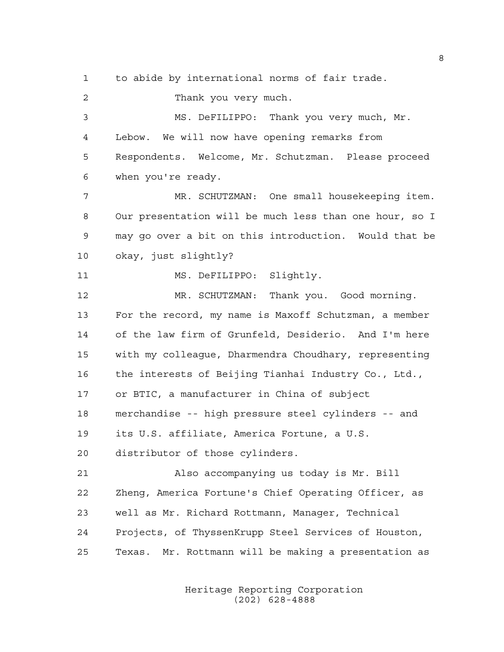to abide by international norms of fair trade.

 Thank you very much. MS. DeFILIPPO: Thank you very much, Mr. Lebow. We will now have opening remarks from Respondents. Welcome, Mr. Schutzman. Please proceed when you're ready. MR. SCHUTZMAN: One small housekeeping item. Our presentation will be much less than one hour, so I may go over a bit on this introduction. Would that be okay, just slightly? MS. DeFILIPPO: Slightly. MR. SCHUTZMAN: Thank you. Good morning. For the record, my name is Maxoff Schutzman, a member of the law firm of Grunfeld, Desiderio. And I'm here with my colleague, Dharmendra Choudhary, representing the interests of Beijing Tianhai Industry Co., Ltd., or BTIC, a manufacturer in China of subject merchandise -- high pressure steel cylinders -- and its U.S. affiliate, America Fortune, a U.S. distributor of those cylinders. Also accompanying us today is Mr. Bill Zheng, America Fortune's Chief Operating Officer, as well as Mr. Richard Rottmann, Manager, Technical Projects, of ThyssenKrupp Steel Services of Houston, Texas. Mr. Rottmann will be making a presentation as

> Heritage Reporting Corporation (202) 628-4888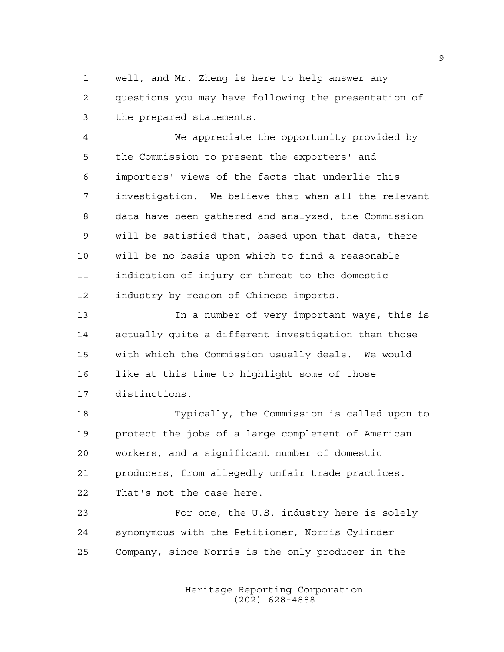well, and Mr. Zheng is here to help answer any questions you may have following the presentation of the prepared statements.

 We appreciate the opportunity provided by the Commission to present the exporters' and importers' views of the facts that underlie this investigation. We believe that when all the relevant data have been gathered and analyzed, the Commission will be satisfied that, based upon that data, there will be no basis upon which to find a reasonable indication of injury or threat to the domestic industry by reason of Chinese imports.

 In a number of very important ways, this is actually quite a different investigation than those with which the Commission usually deals. We would like at this time to highlight some of those distinctions.

 Typically, the Commission is called upon to protect the jobs of a large complement of American workers, and a significant number of domestic producers, from allegedly unfair trade practices. That's not the case here.

 For one, the U.S. industry here is solely synonymous with the Petitioner, Norris Cylinder Company, since Norris is the only producer in the

> Heritage Reporting Corporation (202) 628-4888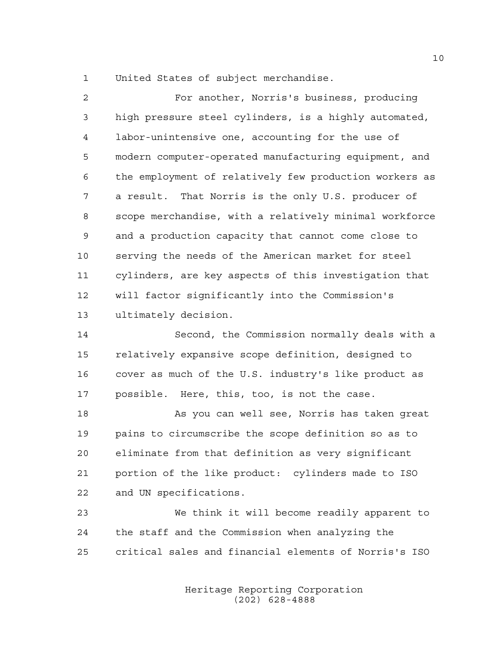United States of subject merchandise.

 For another, Norris's business, producing high pressure steel cylinders, is a highly automated, labor-unintensive one, accounting for the use of modern computer-operated manufacturing equipment, and the employment of relatively few production workers as a result. That Norris is the only U.S. producer of scope merchandise, with a relatively minimal workforce and a production capacity that cannot come close to serving the needs of the American market for steel cylinders, are key aspects of this investigation that will factor significantly into the Commission's ultimately decision.

 Second, the Commission normally deals with a relatively expansive scope definition, designed to cover as much of the U.S. industry's like product as possible. Here, this, too, is not the case.

18 As you can well see, Norris has taken great pains to circumscribe the scope definition so as to eliminate from that definition as very significant portion of the like product: cylinders made to ISO and UN specifications.

 We think it will become readily apparent to the staff and the Commission when analyzing the critical sales and financial elements of Norris's ISO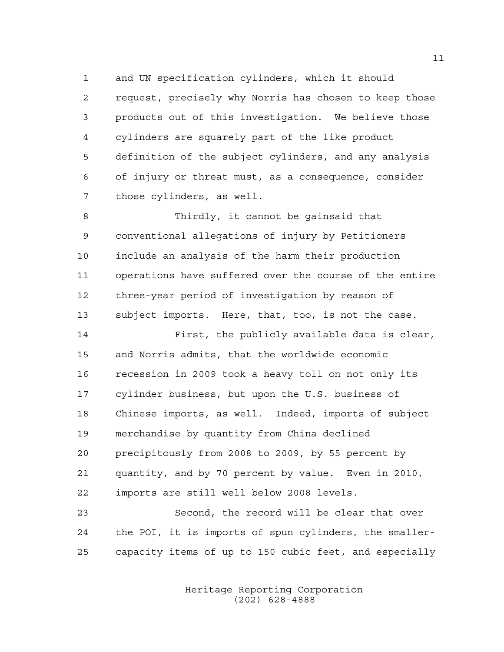and UN specification cylinders, which it should request, precisely why Norris has chosen to keep those products out of this investigation. We believe those cylinders are squarely part of the like product definition of the subject cylinders, and any analysis of injury or threat must, as a consequence, consider those cylinders, as well.

 Thirdly, it cannot be gainsaid that conventional allegations of injury by Petitioners include an analysis of the harm their production operations have suffered over the course of the entire three-year period of investigation by reason of subject imports. Here, that, too, is not the case.

 First, the publicly available data is clear, and Norris admits, that the worldwide economic recession in 2009 took a heavy toll on not only its cylinder business, but upon the U.S. business of Chinese imports, as well. Indeed, imports of subject merchandise by quantity from China declined precipitously from 2008 to 2009, by 55 percent by quantity, and by 70 percent by value. Even in 2010, imports are still well below 2008 levels.

 Second, the record will be clear that over the POI, it is imports of spun cylinders, the smaller-capacity items of up to 150 cubic feet, and especially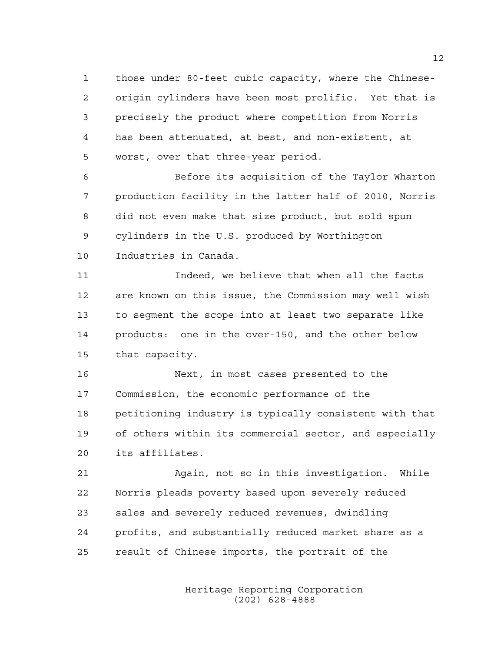those under 80-feet cubic capacity, where the Chinese- origin cylinders have been most prolific. Yet that is precisely the product where competition from Norris has been attenuated, at best, and non-existent, at worst, over that three-year period.

 Before its acquisition of the Taylor Wharton production facility in the latter half of 2010, Norris did not even make that size product, but sold spun cylinders in the U.S. produced by Worthington Industries in Canada.

 Indeed, we believe that when all the facts are known on this issue, the Commission may well wish to segment the scope into at least two separate like products: one in the over-150, and the other below that capacity.

 Next, in most cases presented to the Commission, the economic performance of the petitioning industry is typically consistent with that of others within its commercial sector, and especially its affiliates.

 Again, not so in this investigation. While Norris pleads poverty based upon severely reduced sales and severely reduced revenues, dwindling profits, and substantially reduced market share as a result of Chinese imports, the portrait of the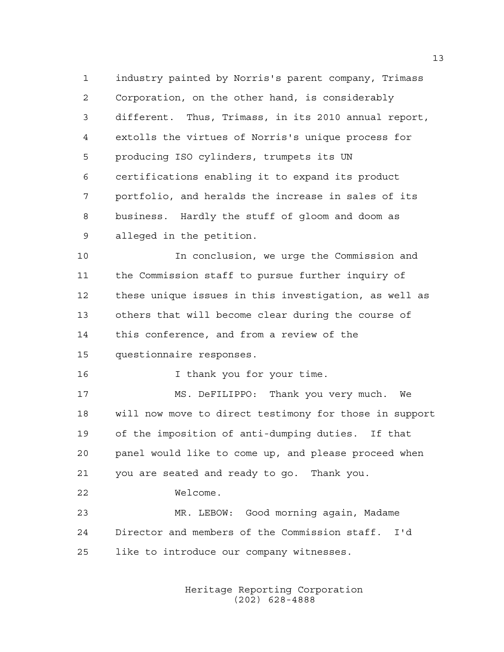industry painted by Norris's parent company, Trimass Corporation, on the other hand, is considerably different. Thus, Trimass, in its 2010 annual report, extolls the virtues of Norris's unique process for producing ISO cylinders, trumpets its UN certifications enabling it to expand its product portfolio, and heralds the increase in sales of its business. Hardly the stuff of gloom and doom as alleged in the petition.

 In conclusion, we urge the Commission and the Commission staff to pursue further inquiry of these unique issues in this investigation, as well as others that will become clear during the course of this conference, and from a review of the questionnaire responses.

16 16 I thank you for your time.

 MS. DeFILIPPO: Thank you very much. We will now move to direct testimony for those in support of the imposition of anti-dumping duties. If that panel would like to come up, and please proceed when you are seated and ready to go. Thank you.

Welcome.

 MR. LEBOW: Good morning again, Madame Director and members of the Commission staff. I'd like to introduce our company witnesses.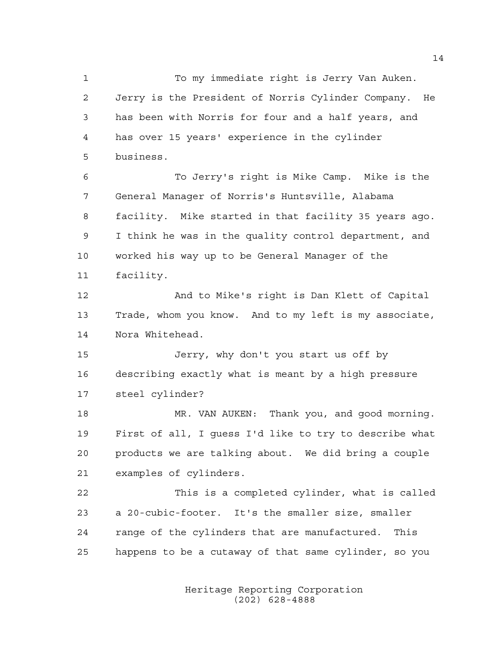To my immediate right is Jerry Van Auken. Jerry is the President of Norris Cylinder Company. He has been with Norris for four and a half years, and has over 15 years' experience in the cylinder business.

 To Jerry's right is Mike Camp. Mike is the General Manager of Norris's Huntsville, Alabama facility. Mike started in that facility 35 years ago. I think he was in the quality control department, and worked his way up to be General Manager of the facility.

 And to Mike's right is Dan Klett of Capital Trade, whom you know. And to my left is my associate, Nora Whitehead.

 Jerry, why don't you start us off by describing exactly what is meant by a high pressure steel cylinder?

 MR. VAN AUKEN: Thank you, and good morning. First of all, I guess I'd like to try to describe what products we are talking about. We did bring a couple examples of cylinders.

 This is a completed cylinder, what is called a 20-cubic-footer. It's the smaller size, smaller range of the cylinders that are manufactured. This happens to be a cutaway of that same cylinder, so you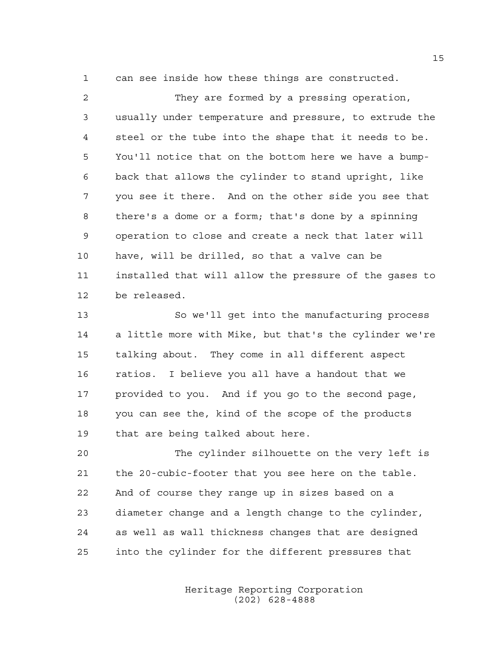can see inside how these things are constructed.

 They are formed by a pressing operation, usually under temperature and pressure, to extrude the steel or the tube into the shape that it needs to be. You'll notice that on the bottom here we have a bump- back that allows the cylinder to stand upright, like you see it there. And on the other side you see that there's a dome or a form; that's done by a spinning operation to close and create a neck that later will have, will be drilled, so that a valve can be installed that will allow the pressure of the gases to be released.

 So we'll get into the manufacturing process a little more with Mike, but that's the cylinder we're talking about. They come in all different aspect ratios. I believe you all have a handout that we provided to you. And if you go to the second page, you can see the, kind of the scope of the products that are being talked about here.

 The cylinder silhouette on the very left is the 20-cubic-footer that you see here on the table. And of course they range up in sizes based on a diameter change and a length change to the cylinder, as well as wall thickness changes that are designed into the cylinder for the different pressures that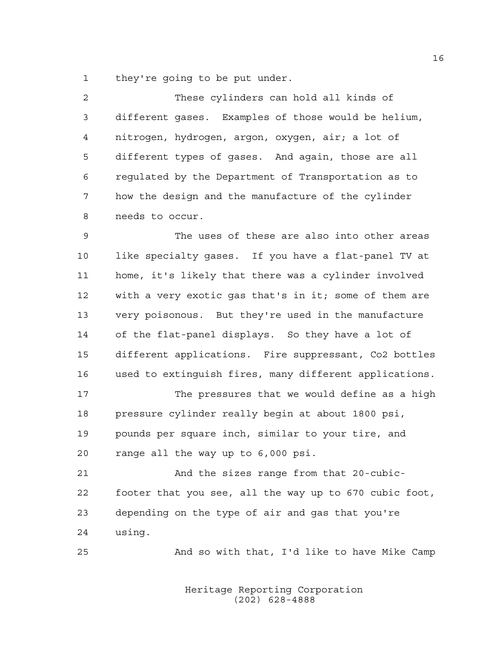they're going to be put under.

| $\mathcal{L}$ | These cylinders can hold all kinds of               |
|---------------|-----------------------------------------------------|
| 3             | different gases. Examples of those would be helium, |
| 4             | nitrogen, hydrogen, argon, oxygen, air; a lot of    |
| 5             | different types of gases. And again, those are all  |
| 6             | requlated by the Department of Transportation as to |
| 7             | how the design and the manufacture of the cylinder  |
| 8             | needs to occur.                                     |

 The uses of these are also into other areas like specialty gases. If you have a flat-panel TV at home, it's likely that there was a cylinder involved with a very exotic gas that's in it; some of them are very poisonous. But they're used in the manufacture of the flat-panel displays. So they have a lot of different applications. Fire suppressant, Co2 bottles used to extinguish fires, many different applications.

 The pressures that we would define as a high pressure cylinder really begin at about 1800 psi, pounds per square inch, similar to your tire, and range all the way up to 6,000 psi.

 And the sizes range from that 20-cubic- footer that you see, all the way up to 670 cubic foot, depending on the type of air and gas that you're using.

And so with that, I'd like to have Mike Camp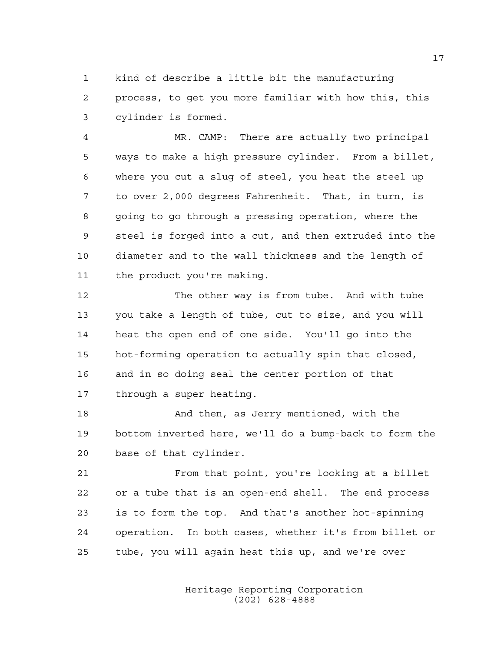kind of describe a little bit the manufacturing process, to get you more familiar with how this, this cylinder is formed.

 MR. CAMP: There are actually two principal ways to make a high pressure cylinder. From a billet, where you cut a slug of steel, you heat the steel up to over 2,000 degrees Fahrenheit. That, in turn, is going to go through a pressing operation, where the steel is forged into a cut, and then extruded into the diameter and to the wall thickness and the length of the product you're making.

12 The other way is from tube. And with tube you take a length of tube, cut to size, and you will heat the open end of one side. You'll go into the hot-forming operation to actually spin that closed, and in so doing seal the center portion of that through a super heating.

 And then, as Jerry mentioned, with the bottom inverted here, we'll do a bump-back to form the base of that cylinder.

 From that point, you're looking at a billet or a tube that is an open-end shell. The end process is to form the top. And that's another hot-spinning operation. In both cases, whether it's from billet or tube, you will again heat this up, and we're over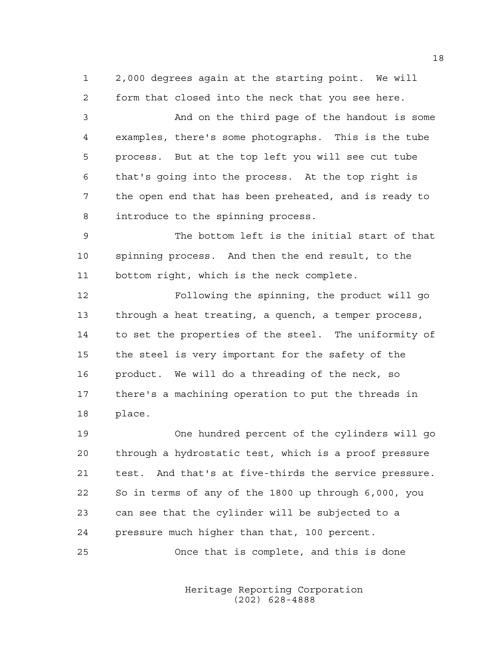2,000 degrees again at the starting point. We will form that closed into the neck that you see here.

 And on the third page of the handout is some examples, there's some photographs. This is the tube process. But at the top left you will see cut tube that's going into the process. At the top right is the open end that has been preheated, and is ready to introduce to the spinning process.

 The bottom left is the initial start of that spinning process. And then the end result, to the bottom right, which is the neck complete.

 Following the spinning, the product will go through a heat treating, a quench, a temper process, to set the properties of the steel. The uniformity of the steel is very important for the safety of the product. We will do a threading of the neck, so there's a machining operation to put the threads in place.

 One hundred percent of the cylinders will go through a hydrostatic test, which is a proof pressure test. And that's at five-thirds the service pressure. So in terms of any of the 1800 up through 6,000, you can see that the cylinder will be subjected to a pressure much higher than that, 100 percent.

Once that is complete, and this is done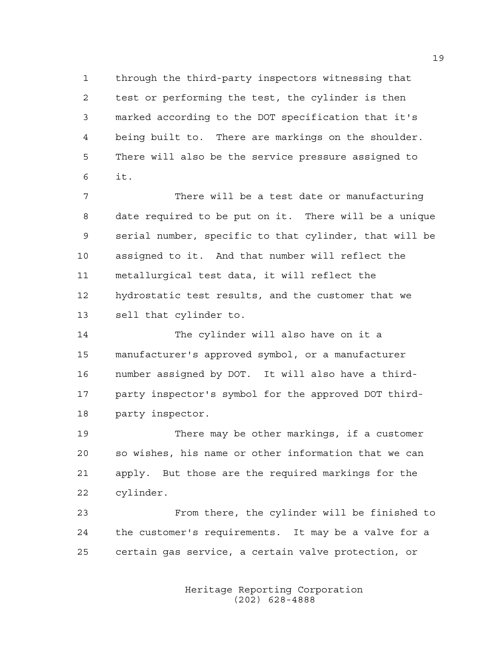through the third-party inspectors witnessing that test or performing the test, the cylinder is then marked according to the DOT specification that it's being built to. There are markings on the shoulder. There will also be the service pressure assigned to it.

 There will be a test date or manufacturing date required to be put on it. There will be a unique serial number, specific to that cylinder, that will be assigned to it. And that number will reflect the metallurgical test data, it will reflect the hydrostatic test results, and the customer that we sell that cylinder to.

 The cylinder will also have on it a manufacturer's approved symbol, or a manufacturer number assigned by DOT. It will also have a third- party inspector's symbol for the approved DOT third-party inspector.

 There may be other markings, if a customer so wishes, his name or other information that we can apply. But those are the required markings for the cylinder.

 From there, the cylinder will be finished to the customer's requirements. It may be a valve for a certain gas service, a certain valve protection, or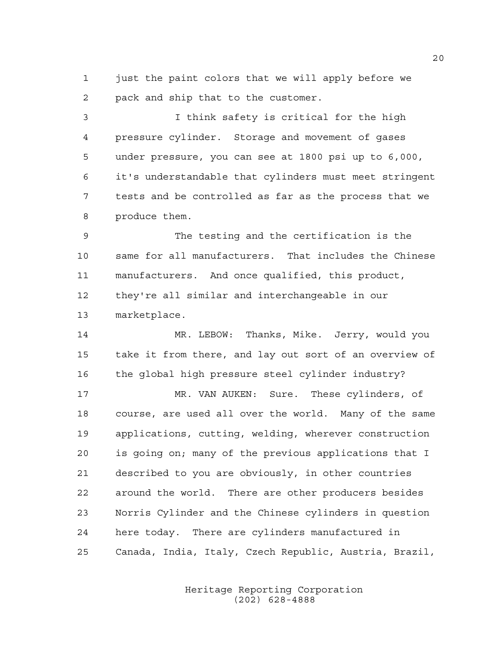just the paint colors that we will apply before we pack and ship that to the customer.

 I think safety is critical for the high pressure cylinder. Storage and movement of gases under pressure, you can see at 1800 psi up to 6,000, it's understandable that cylinders must meet stringent tests and be controlled as far as the process that we produce them.

 The testing and the certification is the same for all manufacturers. That includes the Chinese manufacturers. And once qualified, this product, they're all similar and interchangeable in our marketplace.

 MR. LEBOW: Thanks, Mike. Jerry, would you take it from there, and lay out sort of an overview of 16 the global high pressure steel cylinder industry?

 MR. VAN AUKEN: Sure. These cylinders, of course, are used all over the world. Many of the same applications, cutting, welding, wherever construction is going on; many of the previous applications that I described to you are obviously, in other countries around the world. There are other producers besides Norris Cylinder and the Chinese cylinders in question here today. There are cylinders manufactured in Canada, India, Italy, Czech Republic, Austria, Brazil,

> Heritage Reporting Corporation (202) 628-4888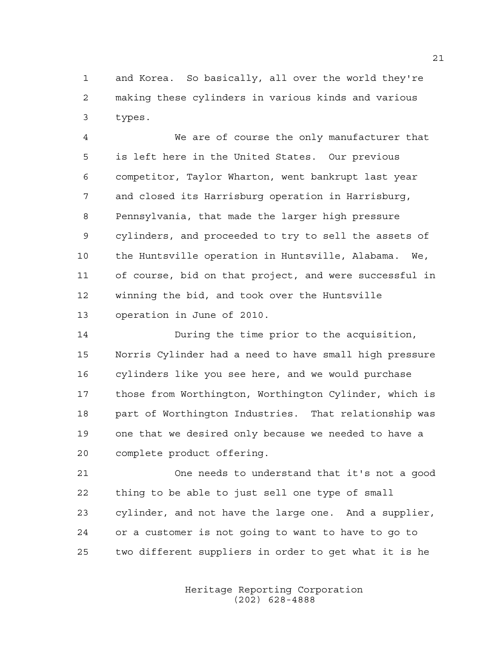and Korea. So basically, all over the world they're making these cylinders in various kinds and various types.

 We are of course the only manufacturer that is left here in the United States. Our previous competitor, Taylor Wharton, went bankrupt last year and closed its Harrisburg operation in Harrisburg, Pennsylvania, that made the larger high pressure cylinders, and proceeded to try to sell the assets of the Huntsville operation in Huntsville, Alabama. We, of course, bid on that project, and were successful in winning the bid, and took over the Huntsville operation in June of 2010.

 During the time prior to the acquisition, Norris Cylinder had a need to have small high pressure cylinders like you see here, and we would purchase those from Worthington, Worthington Cylinder, which is part of Worthington Industries. That relationship was one that we desired only because we needed to have a complete product offering.

 One needs to understand that it's not a good thing to be able to just sell one type of small cylinder, and not have the large one. And a supplier, or a customer is not going to want to have to go to two different suppliers in order to get what it is he

> Heritage Reporting Corporation (202) 628-4888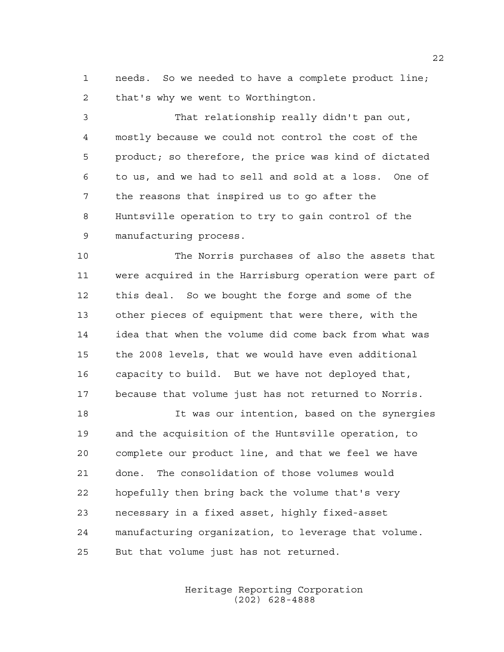needs. So we needed to have a complete product line; that's why we went to Worthington.

 That relationship really didn't pan out, mostly because we could not control the cost of the product; so therefore, the price was kind of dictated to us, and we had to sell and sold at a loss. One of the reasons that inspired us to go after the Huntsville operation to try to gain control of the manufacturing process.

 The Norris purchases of also the assets that were acquired in the Harrisburg operation were part of this deal. So we bought the forge and some of the other pieces of equipment that were there, with the idea that when the volume did come back from what was the 2008 levels, that we would have even additional capacity to build. But we have not deployed that, because that volume just has not returned to Norris.

 It was our intention, based on the synergies and the acquisition of the Huntsville operation, to complete our product line, and that we feel we have done. The consolidation of those volumes would hopefully then bring back the volume that's very necessary in a fixed asset, highly fixed-asset manufacturing organization, to leverage that volume. But that volume just has not returned.

> Heritage Reporting Corporation (202) 628-4888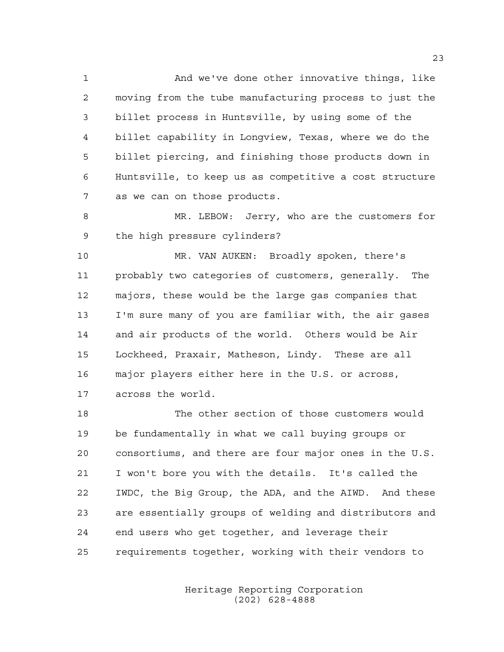And we've done other innovative things, like moving from the tube manufacturing process to just the billet process in Huntsville, by using some of the billet capability in Longview, Texas, where we do the billet piercing, and finishing those products down in Huntsville, to keep us as competitive a cost structure as we can on those products.

 MR. LEBOW: Jerry, who are the customers for the high pressure cylinders?

 MR. VAN AUKEN: Broadly spoken, there's probably two categories of customers, generally. The majors, these would be the large gas companies that I'm sure many of you are familiar with, the air gases and air products of the world. Others would be Air Lockheed, Praxair, Matheson, Lindy. These are all major players either here in the U.S. or across, across the world.

 The other section of those customers would be fundamentally in what we call buying groups or consortiums, and there are four major ones in the U.S. I won't bore you with the details. It's called the IWDC, the Big Group, the ADA, and the AIWD. And these are essentially groups of welding and distributors and end users who get together, and leverage their requirements together, working with their vendors to

> Heritage Reporting Corporation (202) 628-4888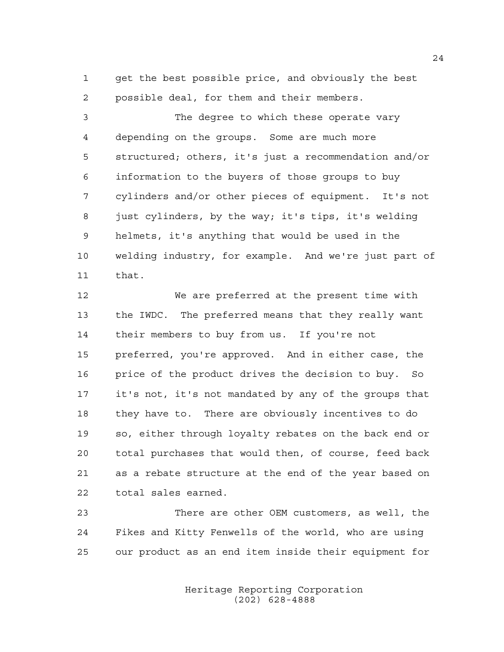get the best possible price, and obviously the best possible deal, for them and their members.

 The degree to which these operate vary depending on the groups. Some are much more structured; others, it's just a recommendation and/or information to the buyers of those groups to buy cylinders and/or other pieces of equipment. It's not just cylinders, by the way; it's tips, it's welding helmets, it's anything that would be used in the welding industry, for example. And we're just part of that.

 We are preferred at the present time with the IWDC. The preferred means that they really want their members to buy from us. If you're not preferred, you're approved. And in either case, the price of the product drives the decision to buy. So it's not, it's not mandated by any of the groups that they have to. There are obviously incentives to do so, either through loyalty rebates on the back end or total purchases that would then, of course, feed back as a rebate structure at the end of the year based on total sales earned.

 There are other OEM customers, as well, the Fikes and Kitty Fenwells of the world, who are using our product as an end item inside their equipment for

> Heritage Reporting Corporation (202) 628-4888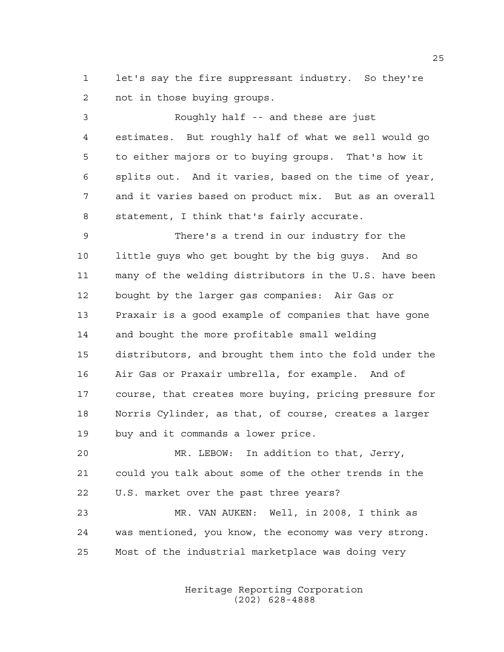let's say the fire suppressant industry. So they're not in those buying groups.

 Roughly half -- and these are just estimates. But roughly half of what we sell would go to either majors or to buying groups. That's how it splits out. And it varies, based on the time of year, and it varies based on product mix. But as an overall statement, I think that's fairly accurate.

 There's a trend in our industry for the little guys who get bought by the big guys. And so many of the welding distributors in the U.S. have been bought by the larger gas companies: Air Gas or Praxair is a good example of companies that have gone and bought the more profitable small welding distributors, and brought them into the fold under the Air Gas or Praxair umbrella, for example. And of course, that creates more buying, pricing pressure for Norris Cylinder, as that, of course, creates a larger buy and it commands a lower price.

 MR. LEBOW: In addition to that, Jerry, could you talk about some of the other trends in the U.S. market over the past three years?

 MR. VAN AUKEN: Well, in 2008, I think as was mentioned, you know, the economy was very strong. Most of the industrial marketplace was doing very

> Heritage Reporting Corporation (202) 628-4888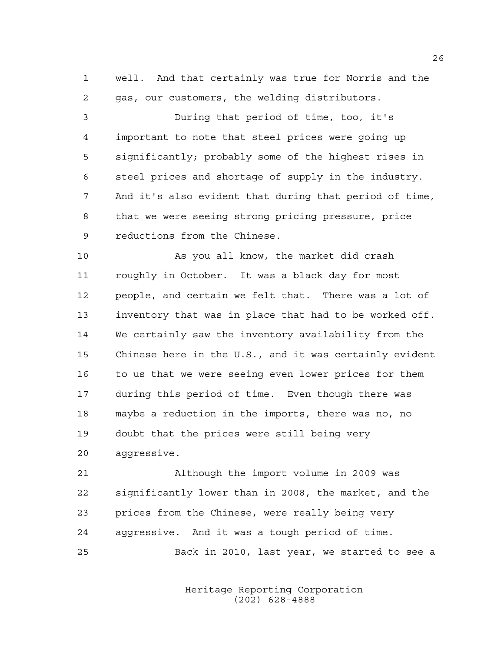well. And that certainly was true for Norris and the gas, our customers, the welding distributors.

 During that period of time, too, it's important to note that steel prices were going up significantly; probably some of the highest rises in steel prices and shortage of supply in the industry. And it's also evident that during that period of time, that we were seeing strong pricing pressure, price reductions from the Chinese.

 As you all know, the market did crash roughly in October. It was a black day for most people, and certain we felt that. There was a lot of inventory that was in place that had to be worked off. We certainly saw the inventory availability from the Chinese here in the U.S., and it was certainly evident to us that we were seeing even lower prices for them during this period of time. Even though there was maybe a reduction in the imports, there was no, no doubt that the prices were still being very aggressive.

 Although the import volume in 2009 was significantly lower than in 2008, the market, and the prices from the Chinese, were really being very aggressive. And it was a tough period of time.

Back in 2010, last year, we started to see a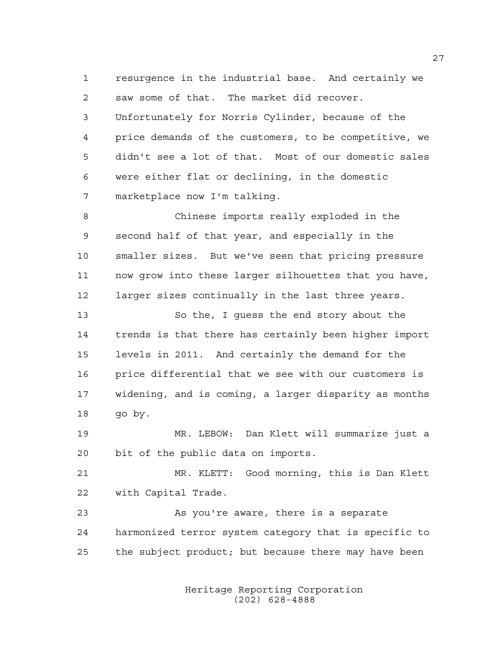resurgence in the industrial base. And certainly we saw some of that. The market did recover. Unfortunately for Norris Cylinder, because of the price demands of the customers, to be competitive, we didn't see a lot of that. Most of our domestic sales were either flat or declining, in the domestic marketplace now I'm talking.

 Chinese imports really exploded in the second half of that year, and especially in the smaller sizes. But we've seen that pricing pressure now grow into these larger silhouettes that you have, larger sizes continually in the last three years.

 So the, I guess the end story about the trends is that there has certainly been higher import levels in 2011. And certainly the demand for the price differential that we see with our customers is widening, and is coming, a larger disparity as months 18 qo by.

 MR. LEBOW: Dan Klett will summarize just a bit of the public data on imports.

 MR. KLETT: Good morning, this is Dan Klett with Capital Trade.

23 As you're aware, there is a separate harmonized terror system category that is specific to the subject product; but because there may have been

> Heritage Reporting Corporation (202) 628-4888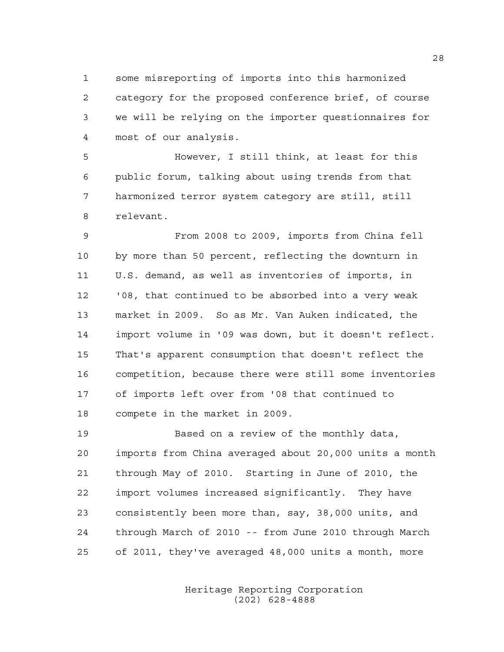some misreporting of imports into this harmonized category for the proposed conference brief, of course we will be relying on the importer questionnaires for most of our analysis.

 However, I still think, at least for this public forum, talking about using trends from that harmonized terror system category are still, still relevant.

 From 2008 to 2009, imports from China fell by more than 50 percent, reflecting the downturn in U.S. demand, as well as inventories of imports, in '08, that continued to be absorbed into a very weak market in 2009. So as Mr. Van Auken indicated, the import volume in '09 was down, but it doesn't reflect. That's apparent consumption that doesn't reflect the competition, because there were still some inventories of imports left over from '08 that continued to compete in the market in 2009.

 Based on a review of the monthly data, imports from China averaged about 20,000 units a month through May of 2010. Starting in June of 2010, the import volumes increased significantly. They have consistently been more than, say, 38,000 units, and through March of 2010 -- from June 2010 through March of 2011, they've averaged 48,000 units a month, more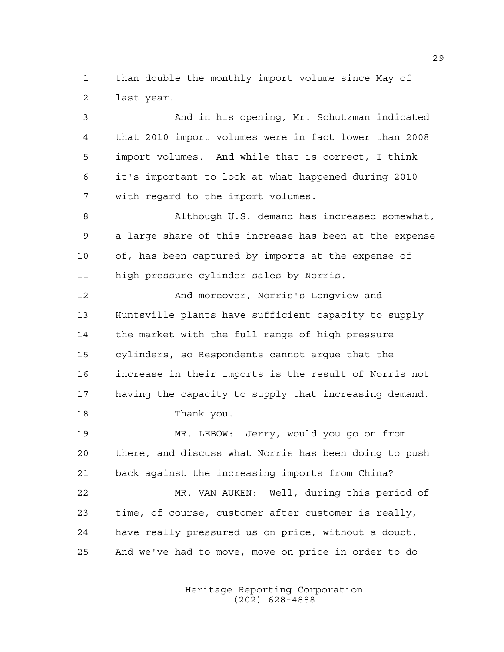than double the monthly import volume since May of last year.

 And in his opening, Mr. Schutzman indicated that 2010 import volumes were in fact lower than 2008 import volumes. And while that is correct, I think it's important to look at what happened during 2010 with regard to the import volumes.

 Although U.S. demand has increased somewhat, a large share of this increase has been at the expense of, has been captured by imports at the expense of high pressure cylinder sales by Norris.

12 And moreover, Norris's Longview and Huntsville plants have sufficient capacity to supply the market with the full range of high pressure cylinders, so Respondents cannot argue that the increase in their imports is the result of Norris not having the capacity to supply that increasing demand. Thank you.

 MR. LEBOW: Jerry, would you go on from there, and discuss what Norris has been doing to push back against the increasing imports from China?

 MR. VAN AUKEN: Well, during this period of time, of course, customer after customer is really, have really pressured us on price, without a doubt. And we've had to move, move on price in order to do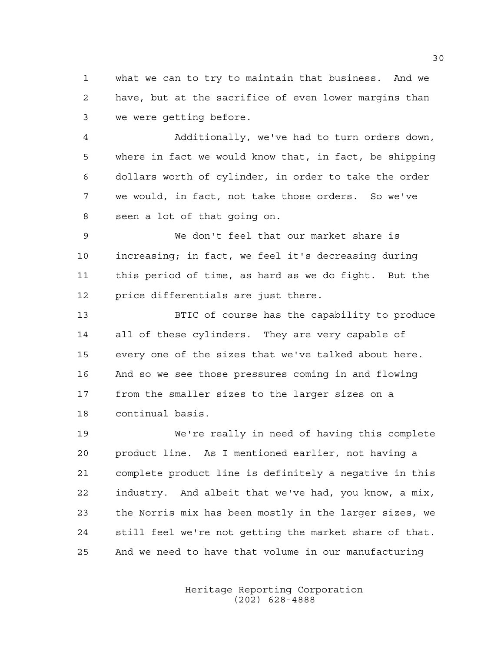what we can to try to maintain that business. And we have, but at the sacrifice of even lower margins than we were getting before.

 Additionally, we've had to turn orders down, where in fact we would know that, in fact, be shipping dollars worth of cylinder, in order to take the order we would, in fact, not take those orders. So we've seen a lot of that going on.

 We don't feel that our market share is increasing; in fact, we feel it's decreasing during this period of time, as hard as we do fight. But the price differentials are just there.

 BTIC of course has the capability to produce all of these cylinders. They are very capable of every one of the sizes that we've talked about here. And so we see those pressures coming in and flowing from the smaller sizes to the larger sizes on a continual basis.

 We're really in need of having this complete product line. As I mentioned earlier, not having a complete product line is definitely a negative in this industry. And albeit that we've had, you know, a mix, the Norris mix has been mostly in the larger sizes, we still feel we're not getting the market share of that. And we need to have that volume in our manufacturing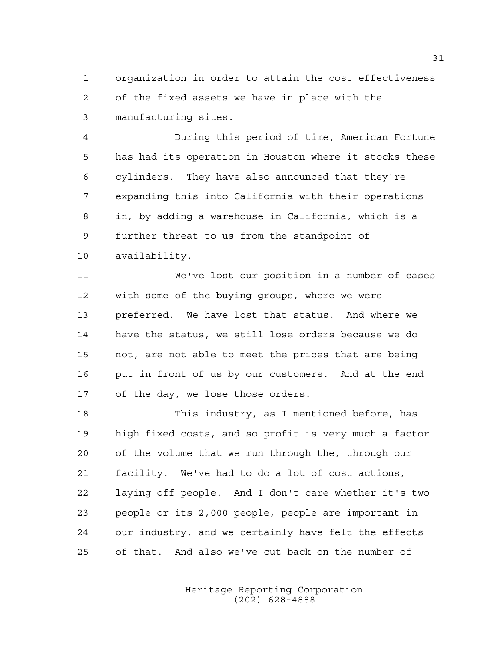organization in order to attain the cost effectiveness of the fixed assets we have in place with the manufacturing sites.

 During this period of time, American Fortune has had its operation in Houston where it stocks these cylinders. They have also announced that they're expanding this into California with their operations in, by adding a warehouse in California, which is a further threat to us from the standpoint of availability.

 We've lost our position in a number of cases with some of the buying groups, where we were preferred. We have lost that status. And where we have the status, we still lose orders because we do not, are not able to meet the prices that are being put in front of us by our customers. And at the end of the day, we lose those orders.

 This industry, as I mentioned before, has high fixed costs, and so profit is very much a factor of the volume that we run through the, through our facility. We've had to do a lot of cost actions, laying off people. And I don't care whether it's two people or its 2,000 people, people are important in our industry, and we certainly have felt the effects of that. And also we've cut back on the number of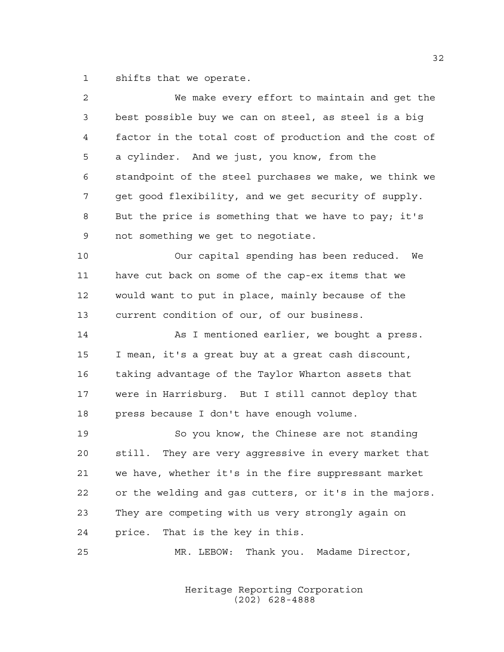shifts that we operate.

| $\overline{a}$ | We make every effort to maintain and get the            |
|----------------|---------------------------------------------------------|
| 3              | best possible buy we can on steel, as steel is a big    |
| 4              | factor in the total cost of production and the cost of  |
| 5              | a cylinder. And we just, you know, from the             |
| 6              | standpoint of the steel purchases we make, we think we  |
| 7              | get good flexibility, and we get security of supply.    |
| 8              | But the price is something that we have to pay; it's    |
| 9              | not something we get to negotiate.                      |
| 10             | Our capital spending has been reduced. We               |
| 11             | have cut back on some of the cap-ex items that we       |
| 12             | would want to put in place, mainly because of the       |
| 13             | current condition of our, of our business.              |
| 14             | As I mentioned earlier, we bought a press.              |
| 15             | I mean, it's a great buy at a great cash discount,      |
| 16             | taking advantage of the Taylor Wharton assets that      |
| 17             | were in Harrisburg. But I still cannot deploy that      |
| 18             | press because I don't have enough volume.               |
| 19             | So you know, the Chinese are not standing               |
| 20             | They are very aggressive in every market that<br>still. |
| 21             | we have, whether it's in the fire suppressant market    |
| 22             | or the welding and gas cutters, or it's in the majors.  |
| 23             | They are competing with us very strongly again on       |
| 24             | That is the key in this.<br>price.                      |
| 25             | Thank you. Madame Director,<br>MR. LEBOW:               |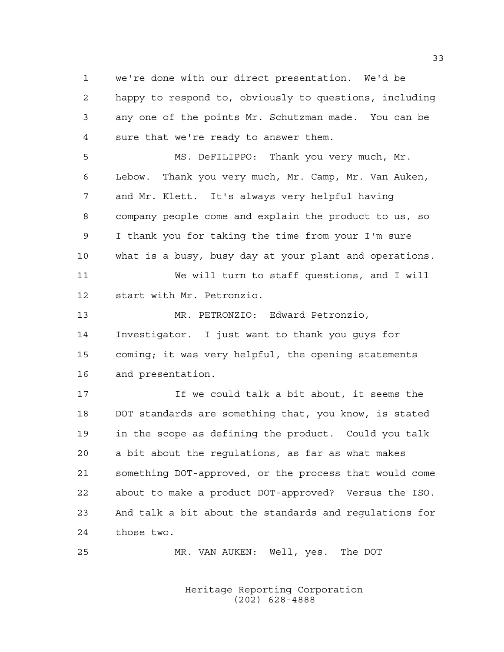we're done with our direct presentation. We'd be happy to respond to, obviously to questions, including any one of the points Mr. Schutzman made. You can be sure that we're ready to answer them.

 MS. DeFILIPPO: Thank you very much, Mr. Lebow. Thank you very much, Mr. Camp, Mr. Van Auken, and Mr. Klett. It's always very helpful having company people come and explain the product to us, so I thank you for taking the time from your I'm sure what is a busy, busy day at your plant and operations.

 We will turn to staff questions, and I will start with Mr. Petronzio.

 MR. PETRONZIO: Edward Petronzio, Investigator. I just want to thank you guys for coming; it was very helpful, the opening statements and presentation.

 If we could talk a bit about, it seems the DOT standards are something that, you know, is stated in the scope as defining the product. Could you talk a bit about the regulations, as far as what makes something DOT-approved, or the process that would come about to make a product DOT-approved? Versus the ISO. And talk a bit about the standards and regulations for those two.

MR. VAN AUKEN: Well, yes. The DOT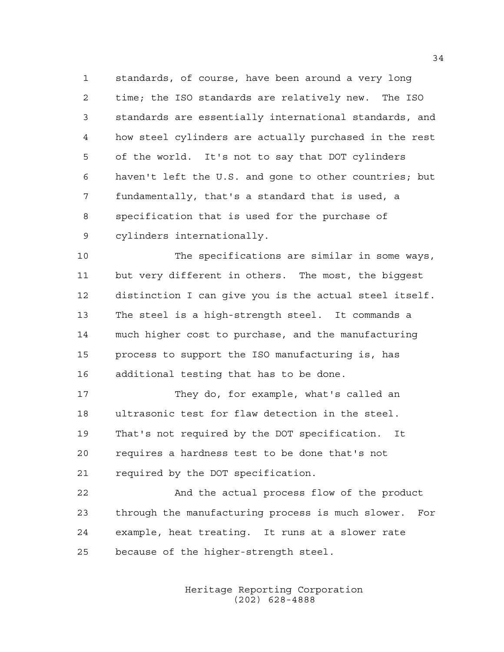standards, of course, have been around a very long time; the ISO standards are relatively new. The ISO standards are essentially international standards, and how steel cylinders are actually purchased in the rest of the world. It's not to say that DOT cylinders haven't left the U.S. and gone to other countries; but fundamentally, that's a standard that is used, a specification that is used for the purchase of cylinders internationally.

 The specifications are similar in some ways, but very different in others. The most, the biggest distinction I can give you is the actual steel itself. The steel is a high-strength steel. It commands a much higher cost to purchase, and the manufacturing process to support the ISO manufacturing is, has additional testing that has to be done.

 They do, for example, what's called an ultrasonic test for flaw detection in the steel. That's not required by the DOT specification. It requires a hardness test to be done that's not required by the DOT specification.

22 And the actual process flow of the product through the manufacturing process is much slower. For example, heat treating. It runs at a slower rate because of the higher-strength steel.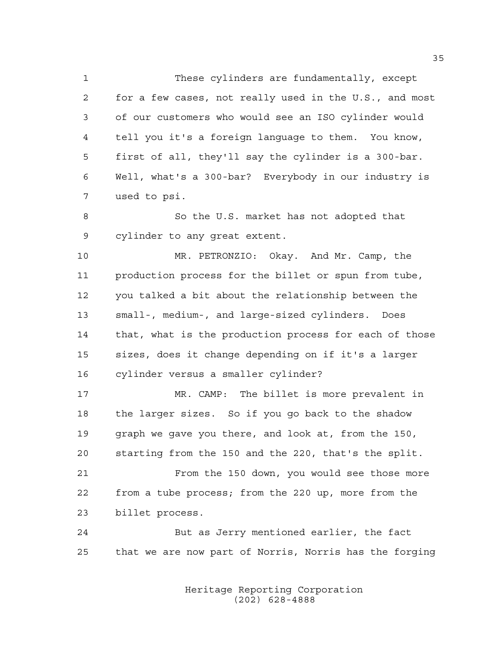These cylinders are fundamentally, except for a few cases, not really used in the U.S., and most of our customers who would see an ISO cylinder would tell you it's a foreign language to them. You know, first of all, they'll say the cylinder is a 300-bar. Well, what's a 300-bar? Everybody in our industry is used to psi.

 So the U.S. market has not adopted that cylinder to any great extent.

 MR. PETRONZIO: Okay. And Mr. Camp, the production process for the billet or spun from tube, you talked a bit about the relationship between the small-, medium-, and large-sized cylinders. Does that, what is the production process for each of those sizes, does it change depending on if it's a larger cylinder versus a smaller cylinder?

 MR. CAMP: The billet is more prevalent in the larger sizes. So if you go back to the shadow graph we gave you there, and look at, from the 150, starting from the 150 and the 220, that's the split.

 From the 150 down, you would see those more from a tube process; from the 220 up, more from the billet process.

 But as Jerry mentioned earlier, the fact that we are now part of Norris, Norris has the forging

> Heritage Reporting Corporation (202) 628-4888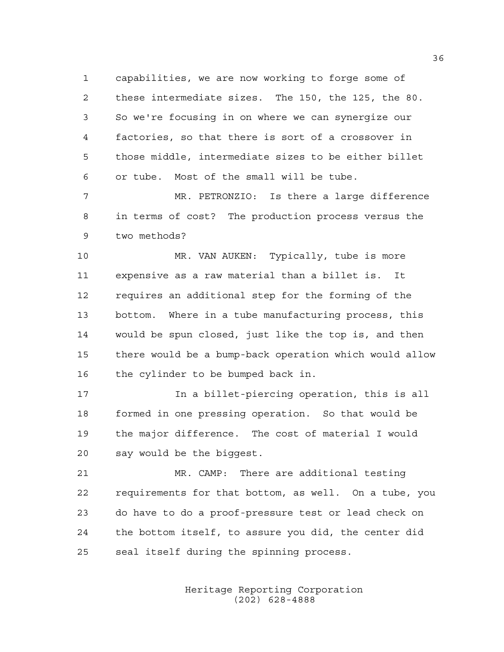capabilities, we are now working to forge some of these intermediate sizes. The 150, the 125, the 80. So we're focusing in on where we can synergize our factories, so that there is sort of a crossover in those middle, intermediate sizes to be either billet or tube. Most of the small will be tube.

 MR. PETRONZIO: Is there a large difference in terms of cost? The production process versus the two methods?

 MR. VAN AUKEN: Typically, tube is more expensive as a raw material than a billet is. It requires an additional step for the forming of the bottom. Where in a tube manufacturing process, this would be spun closed, just like the top is, and then there would be a bump-back operation which would allow the cylinder to be bumped back in.

 In a billet-piercing operation, this is all formed in one pressing operation. So that would be the major difference. The cost of material I would say would be the biggest.

 MR. CAMP: There are additional testing requirements for that bottom, as well. On a tube, you do have to do a proof-pressure test or lead check on the bottom itself, to assure you did, the center did seal itself during the spinning process.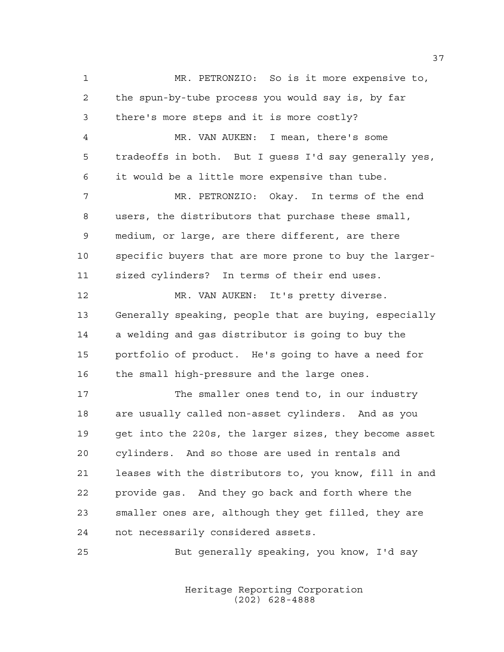MR. PETRONZIO: So is it more expensive to, the spun-by-tube process you would say is, by far there's more steps and it is more costly? MR. VAN AUKEN: I mean, there's some tradeoffs in both. But I guess I'd say generally yes, it would be a little more expensive than tube. MR. PETRONZIO: Okay. In terms of the end users, the distributors that purchase these small, medium, or large, are there different, are there specific buyers that are more prone to buy the larger- sized cylinders? In terms of their end uses. MR. VAN AUKEN: It's pretty diverse. Generally speaking, people that are buying, especially a welding and gas distributor is going to buy the portfolio of product. He's going to have a need for the small high-pressure and the large ones. 17 The smaller ones tend to, in our industry are usually called non-asset cylinders. And as you get into the 220s, the larger sizes, they become asset cylinders. And so those are used in rentals and leases with the distributors to, you know, fill in and provide gas. And they go back and forth where the smaller ones are, although they get filled, they are not necessarily considered assets.

But generally speaking, you know, I'd say

Heritage Reporting Corporation (202) 628-4888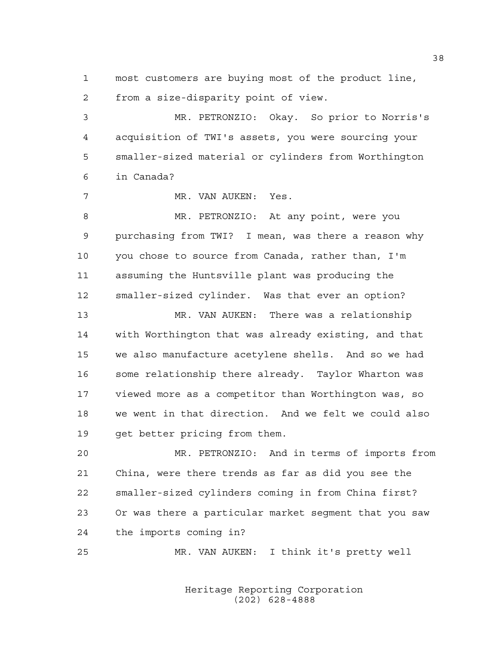most customers are buying most of the product line, from a size-disparity point of view.

 MR. PETRONZIO: Okay. So prior to Norris's acquisition of TWI's assets, you were sourcing your smaller-sized material or cylinders from Worthington in Canada?

MR. VAN AUKEN: Yes.

 MR. PETRONZIO: At any point, were you purchasing from TWI? I mean, was there a reason why you chose to source from Canada, rather than, I'm assuming the Huntsville plant was producing the smaller-sized cylinder. Was that ever an option?

 MR. VAN AUKEN: There was a relationship with Worthington that was already existing, and that we also manufacture acetylene shells. And so we had some relationship there already. Taylor Wharton was viewed more as a competitor than Worthington was, so we went in that direction. And we felt we could also get better pricing from them.

 MR. PETRONZIO: And in terms of imports from China, were there trends as far as did you see the smaller-sized cylinders coming in from China first? Or was there a particular market segment that you saw the imports coming in?

MR. VAN AUKEN: I think it's pretty well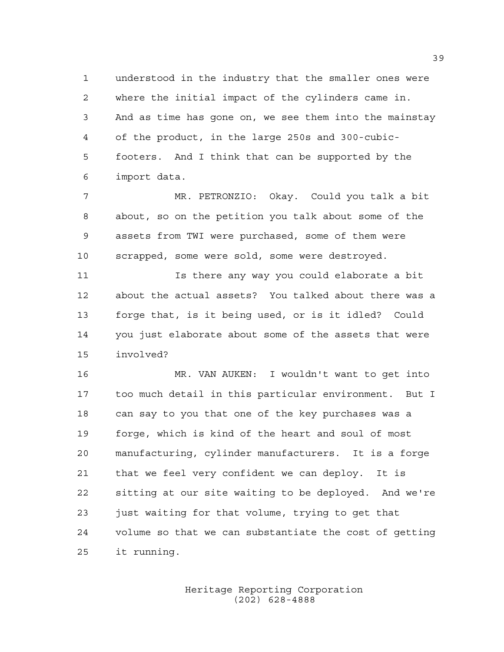understood in the industry that the smaller ones were where the initial impact of the cylinders came in. And as time has gone on, we see them into the mainstay of the product, in the large 250s and 300-cubic- footers. And I think that can be supported by the import data.

 MR. PETRONZIO: Okay. Could you talk a bit about, so on the petition you talk about some of the assets from TWI were purchased, some of them were scrapped, some were sold, some were destroyed.

 Is there any way you could elaborate a bit about the actual assets? You talked about there was a forge that, is it being used, or is it idled? Could you just elaborate about some of the assets that were involved?

 MR. VAN AUKEN: I wouldn't want to get into too much detail in this particular environment. But I can say to you that one of the key purchases was a forge, which is kind of the heart and soul of most manufacturing, cylinder manufacturers. It is a forge that we feel very confident we can deploy. It is sitting at our site waiting to be deployed. And we're just waiting for that volume, trying to get that volume so that we can substantiate the cost of getting it running.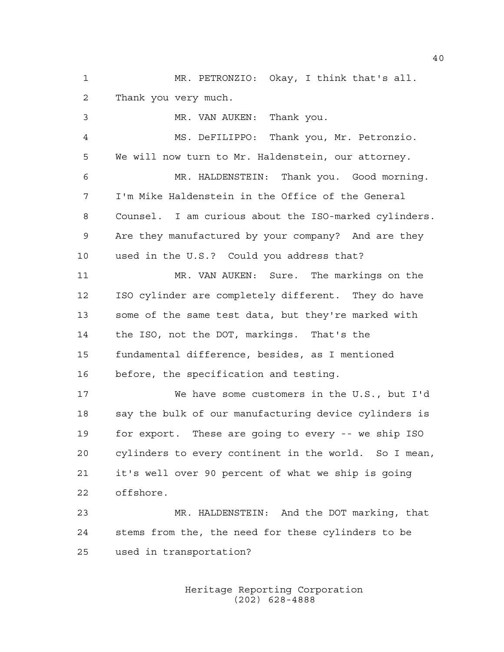MR. PETRONZIO: Okay, I think that's all. Thank you very much.

 MR. VAN AUKEN: Thank you. MS. DeFILIPPO: Thank you, Mr. Petronzio. We will now turn to Mr. Haldenstein, our attorney. MR. HALDENSTEIN: Thank you. Good morning. I'm Mike Haldenstein in the Office of the General Counsel. I am curious about the ISO-marked cylinders. Are they manufactured by your company? And are they used in the U.S.? Could you address that? MR. VAN AUKEN: Sure. The markings on the ISO cylinder are completely different. They do have some of the same test data, but they're marked with the ISO, not the DOT, markings. That's the fundamental difference, besides, as I mentioned before, the specification and testing. We have some customers in the U.S., but I'd say the bulk of our manufacturing device cylinders is for export. These are going to every -- we ship ISO cylinders to every continent in the world. So I mean, it's well over 90 percent of what we ship is going offshore. MR. HALDENSTEIN: And the DOT marking, that

 stems from the, the need for these cylinders to be used in transportation?

> Heritage Reporting Corporation (202) 628-4888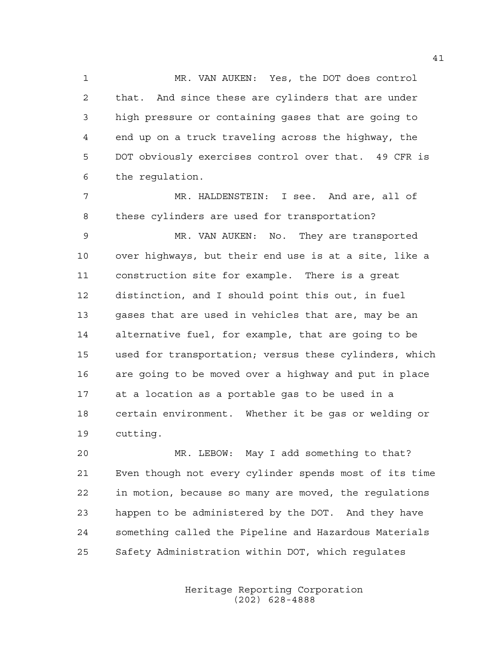MR. VAN AUKEN: Yes, the DOT does control that. And since these are cylinders that are under high pressure or containing gases that are going to end up on a truck traveling across the highway, the DOT obviously exercises control over that. 49 CFR is the regulation.

 MR. HALDENSTEIN: I see. And are, all of these cylinders are used for transportation?

 MR. VAN AUKEN: No. They are transported over highways, but their end use is at a site, like a construction site for example. There is a great distinction, and I should point this out, in fuel gases that are used in vehicles that are, may be an alternative fuel, for example, that are going to be used for transportation; versus these cylinders, which are going to be moved over a highway and put in place at a location as a portable gas to be used in a certain environment. Whether it be gas or welding or cutting.

 MR. LEBOW: May I add something to that? Even though not every cylinder spends most of its time in motion, because so many are moved, the regulations happen to be administered by the DOT. And they have something called the Pipeline and Hazardous Materials Safety Administration within DOT, which regulates

> Heritage Reporting Corporation (202) 628-4888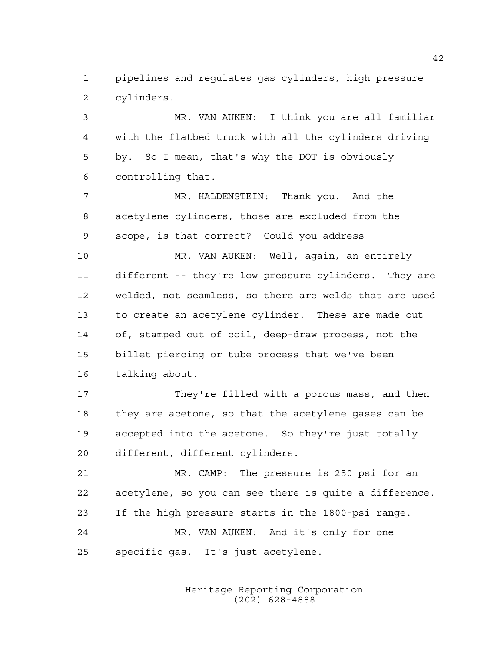pipelines and regulates gas cylinders, high pressure cylinders.

 MR. VAN AUKEN: I think you are all familiar with the flatbed truck with all the cylinders driving by. So I mean, that's why the DOT is obviously controlling that.

 MR. HALDENSTEIN: Thank you. And the acetylene cylinders, those are excluded from the scope, is that correct? Could you address --

 MR. VAN AUKEN: Well, again, an entirely different -- they're low pressure cylinders. They are welded, not seamless, so there are welds that are used to create an acetylene cylinder. These are made out of, stamped out of coil, deep-draw process, not the billet piercing or tube process that we've been talking about.

 They're filled with a porous mass, and then they are acetone, so that the acetylene gases can be accepted into the acetone. So they're just totally different, different cylinders.

 MR. CAMP: The pressure is 250 psi for an acetylene, so you can see there is quite a difference. If the high pressure starts in the 1800-psi range. MR. VAN AUKEN: And it's only for one specific gas. It's just acetylene.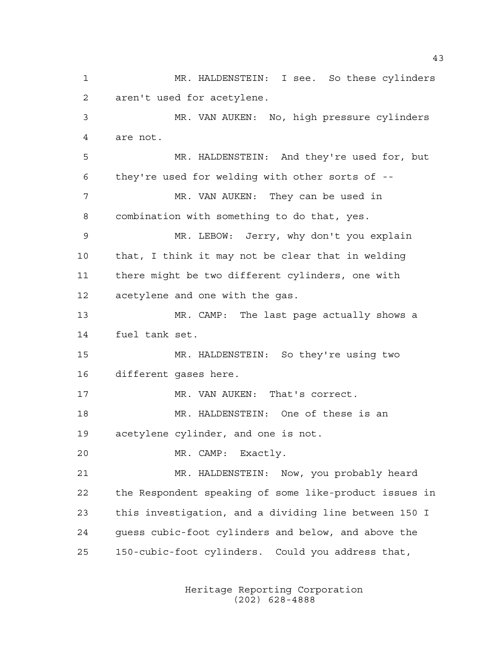MR. HALDENSTEIN: I see. So these cylinders aren't used for acetylene. MR. VAN AUKEN: No, high pressure cylinders are not. MR. HALDENSTEIN: And they're used for, but they're used for welding with other sorts of -- 7 MR. VAN AUKEN: They can be used in combination with something to do that, yes. MR. LEBOW: Jerry, why don't you explain that, I think it may not be clear that in welding there might be two different cylinders, one with acetylene and one with the gas. MR. CAMP: The last page actually shows a fuel tank set. MR. HALDENSTEIN: So they're using two different gases here. MR. VAN AUKEN: That's correct. MR. HALDENSTEIN: One of these is an acetylene cylinder, and one is not. MR. CAMP: Exactly. MR. HALDENSTEIN: Now, you probably heard the Respondent speaking of some like-product issues in this investigation, and a dividing line between 150 I guess cubic-foot cylinders and below, and above the 150-cubic-foot cylinders. Could you address that,

> Heritage Reporting Corporation (202) 628-4888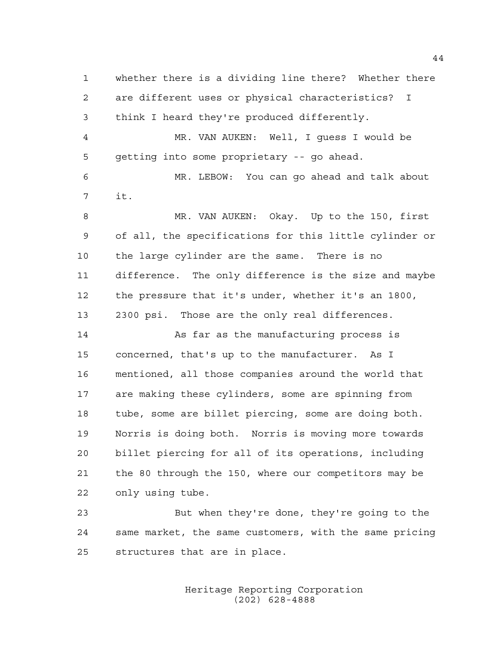whether there is a dividing line there? Whether there are different uses or physical characteristics? I think I heard they're produced differently. MR. VAN AUKEN: Well, I guess I would be getting into some proprietary -- go ahead. MR. LEBOW: You can go ahead and talk about it. MR. VAN AUKEN: Okay. Up to the 150, first of all, the specifications for this little cylinder or the large cylinder are the same. There is no difference. The only difference is the size and maybe the pressure that it's under, whether it's an 1800, 2300 psi. Those are the only real differences. 14 As far as the manufacturing process is concerned, that's up to the manufacturer. As I mentioned, all those companies around the world that are making these cylinders, some are spinning from tube, some are billet piercing, some are doing both. Norris is doing both. Norris is moving more towards billet piercing for all of its operations, including the 80 through the 150, where our competitors may be only using tube. But when they're done, they're going to the

 same market, the same customers, with the same pricing structures that are in place.

> Heritage Reporting Corporation (202) 628-4888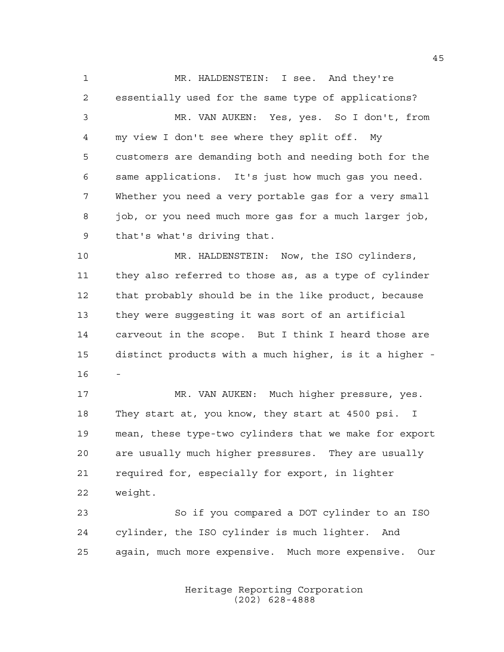MR. HALDENSTEIN: I see. And they're essentially used for the same type of applications? MR. VAN AUKEN: Yes, yes. So I don't, from my view I don't see where they split off. My customers are demanding both and needing both for the same applications. It's just how much gas you need. Whether you need a very portable gas for a very small job, or you need much more gas for a much larger job, that's what's driving that. MR. HALDENSTEIN: Now, the ISO cylinders, they also referred to those as, as a type of cylinder

that probably should be in the like product, because

carveout in the scope. But I think I heard those are

distinct products with a much higher, is it a higher -

they were suggesting it was sort of an artificial

 MR. VAN AUKEN: Much higher pressure, yes. They start at, you know, they start at 4500 psi. I mean, these type-two cylinders that we make for export are usually much higher pressures. They are usually required for, especially for export, in lighter weight.

 So if you compared a DOT cylinder to an ISO cylinder, the ISO cylinder is much lighter. And again, much more expensive. Much more expensive. Our

> Heritage Reporting Corporation (202) 628-4888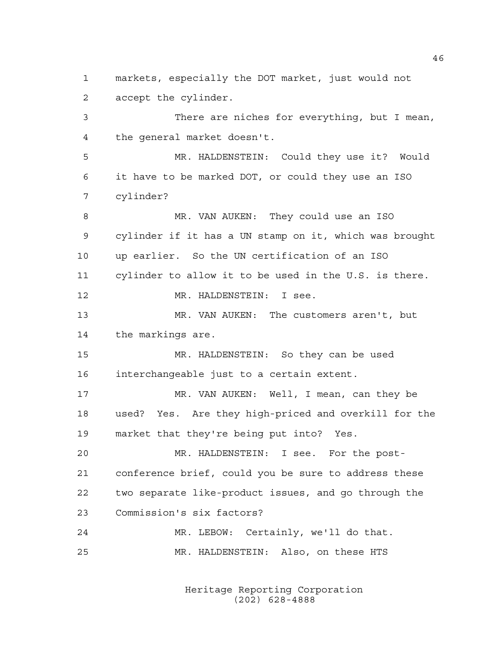markets, especially the DOT market, just would not accept the cylinder.

 There are niches for everything, but I mean, the general market doesn't. MR. HALDENSTEIN: Could they use it? Would it have to be marked DOT, or could they use an ISO cylinder? MR. VAN AUKEN: They could use an ISO cylinder if it has a UN stamp on it, which was brought up earlier. So the UN certification of an ISO cylinder to allow it to be used in the U.S. is there. MR. HALDENSTEIN: I see. MR. VAN AUKEN: The customers aren't, but the markings are. MR. HALDENSTEIN: So they can be used interchangeable just to a certain extent. 17 MR. VAN AUKEN: Well, I mean, can they be used? Yes. Are they high-priced and overkill for the market that they're being put into? Yes. MR. HALDENSTEIN: I see. For the post- conference brief, could you be sure to address these two separate like-product issues, and go through the Commission's six factors? MR. LEBOW: Certainly, we'll do that.

> Heritage Reporting Corporation (202) 628-4888

MR. HALDENSTEIN: Also, on these HTS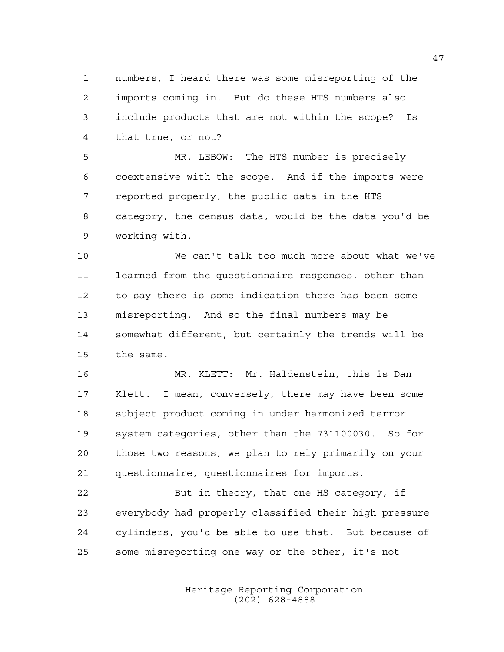numbers, I heard there was some misreporting of the imports coming in. But do these HTS numbers also include products that are not within the scope? Is that true, or not?

 MR. LEBOW: The HTS number is precisely coextensive with the scope. And if the imports were reported properly, the public data in the HTS category, the census data, would be the data you'd be working with.

 We can't talk too much more about what we've learned from the questionnaire responses, other than to say there is some indication there has been some misreporting. And so the final numbers may be somewhat different, but certainly the trends will be the same.

 MR. KLETT: Mr. Haldenstein, this is Dan Klett. I mean, conversely, there may have been some subject product coming in under harmonized terror system categories, other than the 731100030. So for those two reasons, we plan to rely primarily on your questionnaire, questionnaires for imports.

22 But in theory, that one HS category, if everybody had properly classified their high pressure cylinders, you'd be able to use that. But because of some misreporting one way or the other, it's not

> Heritage Reporting Corporation (202) 628-4888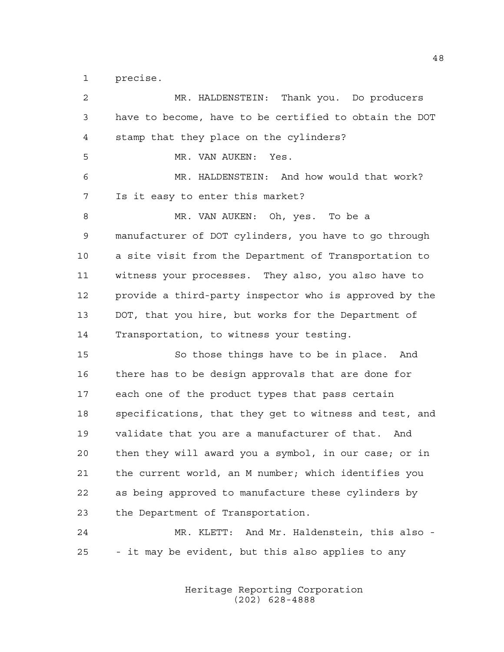precise.

| $\overline{a}$ | MR. HALDENSTEIN: Thank you. Do producers               |
|----------------|--------------------------------------------------------|
| 3              | have to become, have to be certified to obtain the DOT |
| 4              | stamp that they place on the cylinders?                |
| 5              | MR. VAN AUKEN:<br>Yes.                                 |
| 6              | MR. HALDENSTEIN: And how would that work?              |
| 7              | Is it easy to enter this market?                       |
| 8              | MR. VAN AUKEN: Oh, yes. To be a                        |
| $\mathsf 9$    | manufacturer of DOT cylinders, you have to go through  |
| 10             | a site visit from the Department of Transportation to  |
| 11             | witness your processes. They also, you also have to    |
| 12             | provide a third-party inspector who is approved by the |
| 13             | DOT, that you hire, but works for the Department of    |
| 14             | Transportation, to witness your testing.               |
| 15             | So those things have to be in place. And               |
| 16             | there has to be design approvals that are done for     |
| 17             | each one of the product types that pass certain        |
| 18             | specifications, that they get to witness and test, and |
| 19             | validate that you are a manufacturer of that. And      |
| 20             | then they will award you a symbol, in our case; or in  |
| 21             | the current world, an M number; which identifies you   |
| 22             | as being approved to manufacture these cylinders by    |
| 23             | the Department of Transportation.                      |
| 24             | MR. KLETT: And Mr. Haldenstein, this also -            |
| 25             | - it may be evident, but this also applies to any      |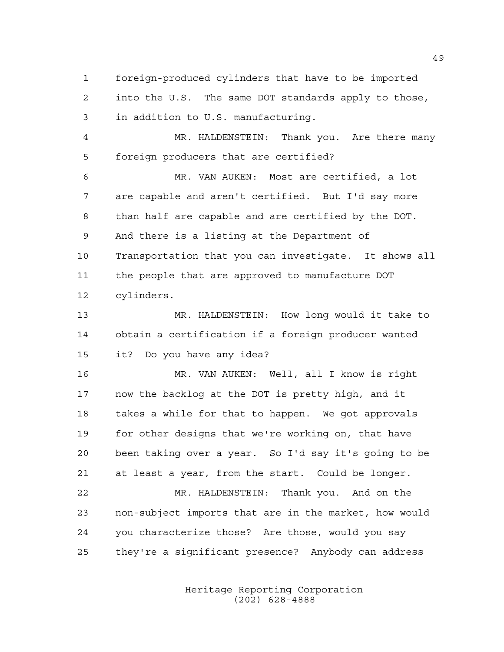foreign-produced cylinders that have to be imported

 into the U.S. The same DOT standards apply to those, in addition to U.S. manufacturing.

 MR. HALDENSTEIN: Thank you. Are there many foreign producers that are certified?

 MR. VAN AUKEN: Most are certified, a lot are capable and aren't certified. But I'd say more than half are capable and are certified by the DOT. And there is a listing at the Department of Transportation that you can investigate. It shows all the people that are approved to manufacture DOT cylinders.

 MR. HALDENSTEIN: How long would it take to obtain a certification if a foreign producer wanted it? Do you have any idea?

 MR. VAN AUKEN: Well, all I know is right now the backlog at the DOT is pretty high, and it takes a while for that to happen. We got approvals for other designs that we're working on, that have been taking over a year. So I'd say it's going to be at least a year, from the start. Could be longer.

 MR. HALDENSTEIN: Thank you. And on the non-subject imports that are in the market, how would you characterize those? Are those, would you say they're a significant presence? Anybody can address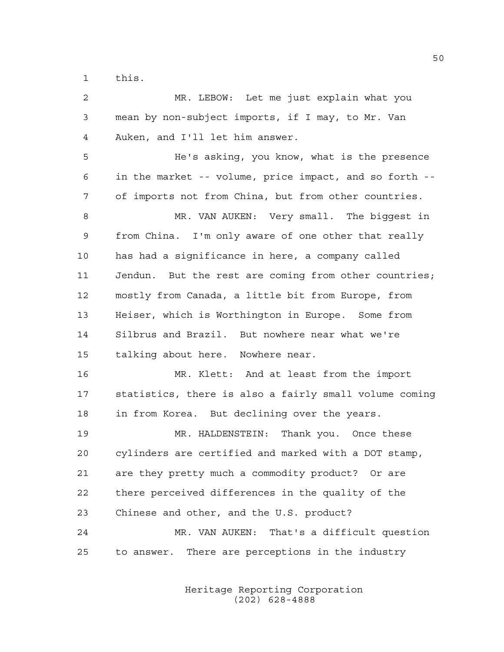this.

| $\overline{a}$ | MR. LEBOW: Let me just explain what you                |
|----------------|--------------------------------------------------------|
| 3              | mean by non-subject imports, if I may, to Mr. Van      |
| 4              | Auken, and I'll let him answer.                        |
| 5              | He's asking, you know, what is the presence            |
| 6              | in the market -- volume, price impact, and so forth -- |
| 7              | of imports not from China, but from other countries.   |
| 8              | MR. VAN AUKEN: Very small. The biggest in              |
| 9              | from China. I'm only aware of one other that really    |
| 10             | has had a significance in here, a company called       |
| 11             | Jendun. But the rest are coming from other countries;  |
| 12             | mostly from Canada, a little bit from Europe, from     |
| 13             | Heiser, which is Worthington in Europe. Some from      |
| 14             | Silbrus and Brazil. But nowhere near what we're        |
| 15             | talking about here. Nowhere near.                      |
| 16             | MR. Klett: And at least from the import                |
| 17             | statistics, there is also a fairly small volume coming |
| 18             | in from Korea. But declining over the years.           |
| 19             | MR. HALDENSTEIN: Thank you. Once these                 |
| 20             | cylinders are certified and marked with a DOT stamp,   |
| 21             | are they pretty much a commodity product? Or are       |
| 22             | there perceived differences in the quality of the      |
| 23             | Chinese and other, and the U.S. product?               |
| 24             | MR. VAN AUKEN: That's a difficult question             |
| 25             | There are perceptions in the industry<br>to answer.    |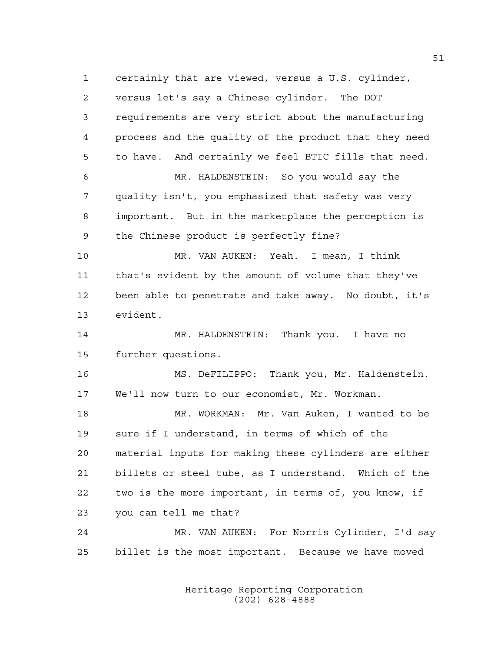certainly that are viewed, versus a U.S. cylinder, versus let's say a Chinese cylinder. The DOT requirements are very strict about the manufacturing process and the quality of the product that they need to have. And certainly we feel BTIC fills that need. MR. HALDENSTEIN: So you would say the quality isn't, you emphasized that safety was very important. But in the marketplace the perception is the Chinese product is perfectly fine? MR. VAN AUKEN: Yeah. I mean, I think that's evident by the amount of volume that they've been able to penetrate and take away. No doubt, it's evident. MR. HALDENSTEIN: Thank you. I have no further questions. MS. DeFILIPPO: Thank you, Mr. Haldenstein. We'll now turn to our economist, Mr. Workman. MR. WORKMAN: Mr. Van Auken, I wanted to be sure if I understand, in terms of which of the material inputs for making these cylinders are either billets or steel tube, as I understand. Which of the two is the more important, in terms of, you know, if you can tell me that? MR. VAN AUKEN: For Norris Cylinder, I'd say billet is the most important. Because we have moved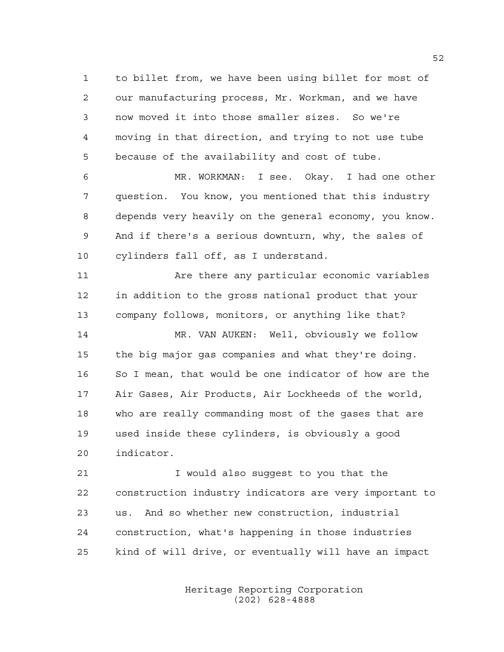to billet from, we have been using billet for most of our manufacturing process, Mr. Workman, and we have now moved it into those smaller sizes. So we're moving in that direction, and trying to not use tube because of the availability and cost of tube.

 MR. WORKMAN: I see. Okay. I had one other question. You know, you mentioned that this industry depends very heavily on the general economy, you know. And if there's a serious downturn, why, the sales of cylinders fall off, as I understand.

11 Are there any particular economic variables in addition to the gross national product that your company follows, monitors, or anything like that?

 MR. VAN AUKEN: Well, obviously we follow the big major gas companies and what they're doing. So I mean, that would be one indicator of how are the Air Gases, Air Products, Air Lockheeds of the world, who are really commanding most of the gases that are used inside these cylinders, is obviously a good indicator.

 I would also suggest to you that the construction industry indicators are very important to us. And so whether new construction, industrial construction, what's happening in those industries kind of will drive, or eventually will have an impact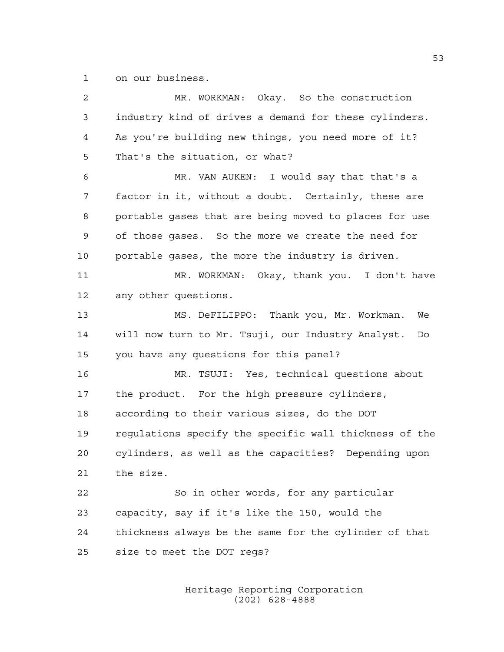on our business.

| 2  | MR. WORKMAN: Okay. So the construction                  |
|----|---------------------------------------------------------|
| 3  | industry kind of drives a demand for these cylinders.   |
| 4  | As you're building new things, you need more of it?     |
| 5  | That's the situation, or what?                          |
| 6  | MR. VAN AUKEN: I would say that that's a                |
| 7  | factor in it, without a doubt. Certainly, these are     |
| 8  | portable gases that are being moved to places for use   |
| 9  | of those gases. So the more we create the need for      |
| 10 | portable gases, the more the industry is driven.        |
| 11 | MR. WORKMAN: Okay, thank you. I don't have              |
| 12 | any other questions.                                    |
| 13 | MS. DeFILIPPO: Thank you, Mr. Workman.<br>We            |
| 14 | will now turn to Mr. Tsuji, our Industry Analyst.<br>Do |
| 15 | you have any questions for this panel?                  |
| 16 | MR. TSUJI: Yes, technical questions about               |
| 17 | the product. For the high pressure cylinders,           |
| 18 | according to their various sizes, do the DOT            |
| 19 | regulations specify the specific wall thickness of the  |
| 20 | cylinders, as well as the capacities? Depending upon    |
| 21 | the size.                                               |
| 22 | So in other words, for any particular                   |
| 23 | capacity, say if it's like the 150, would the           |
| 24 | thickness always be the same for the cylinder of that   |
| 25 | size to meet the DOT regs?                              |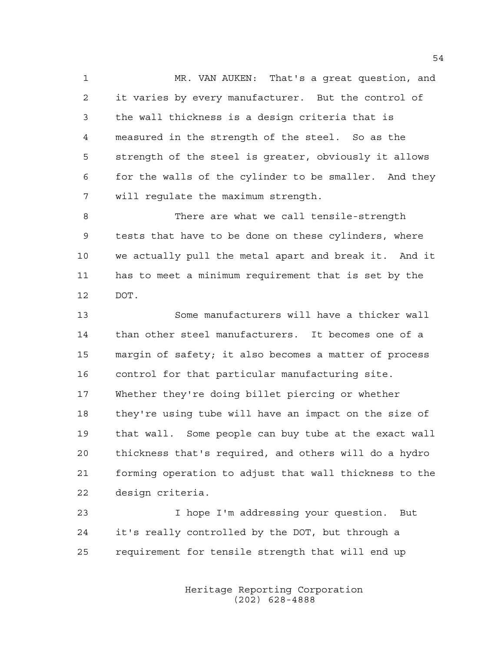MR. VAN AUKEN: That's a great question, and it varies by every manufacturer. But the control of the wall thickness is a design criteria that is measured in the strength of the steel. So as the strength of the steel is greater, obviously it allows for the walls of the cylinder to be smaller. And they will regulate the maximum strength.

 There are what we call tensile-strength tests that have to be done on these cylinders, where we actually pull the metal apart and break it. And it has to meet a minimum requirement that is set by the DOT.

 Some manufacturers will have a thicker wall than other steel manufacturers. It becomes one of a margin of safety; it also becomes a matter of process control for that particular manufacturing site. Whether they're doing billet piercing or whether they're using tube will have an impact on the size of that wall. Some people can buy tube at the exact wall thickness that's required, and others will do a hydro forming operation to adjust that wall thickness to the design criteria.

 I hope I'm addressing your question. But it's really controlled by the DOT, but through a requirement for tensile strength that will end up

> Heritage Reporting Corporation (202) 628-4888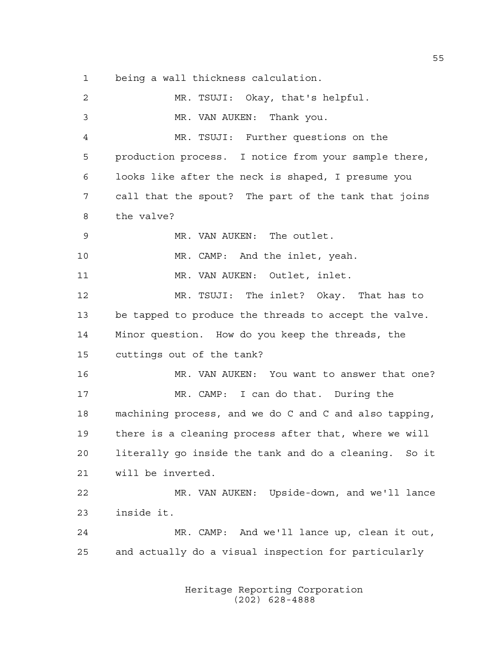being a wall thickness calculation.

 MR. TSUJI: Okay, that's helpful. MR. VAN AUKEN: Thank you. MR. TSUJI: Further questions on the production process. I notice from your sample there, looks like after the neck is shaped, I presume you call that the spout? The part of the tank that joins the valve? MR. VAN AUKEN: The outlet. MR. CAMP: And the inlet, yeah. 11 MR. VAN AUKEN: Outlet, inlet. MR. TSUJI: The inlet? Okay. That has to be tapped to produce the threads to accept the valve. Minor question. How do you keep the threads, the cuttings out of the tank? MR. VAN AUKEN: You want to answer that one? MR. CAMP: I can do that. During the machining process, and we do C and C and also tapping, there is a cleaning process after that, where we will literally go inside the tank and do a cleaning. So it will be inverted. MR. VAN AUKEN: Upside-down, and we'll lance inside it. MR. CAMP: And we'll lance up, clean it out, and actually do a visual inspection for particularly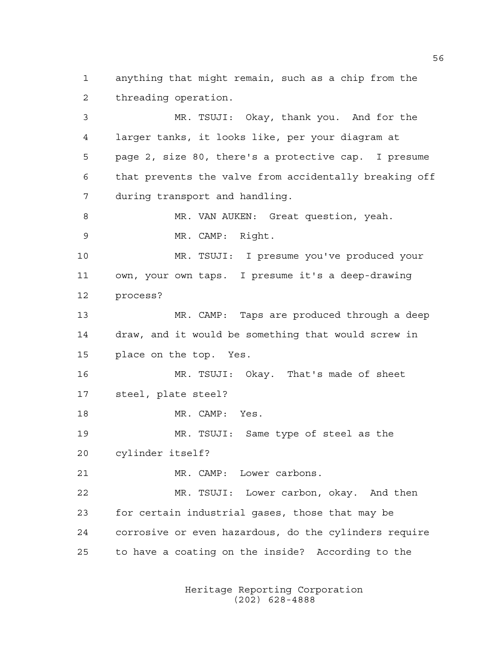anything that might remain, such as a chip from the threading operation.

 MR. TSUJI: Okay, thank you. And for the larger tanks, it looks like, per your diagram at page 2, size 80, there's a protective cap. I presume that prevents the valve from accidentally breaking off during transport and handling. 8 MR. VAN AUKEN: Great question, yeah. MR. CAMP: Right. MR. TSUJI: I presume you've produced your own, your own taps. I presume it's a deep-drawing process? MR. CAMP: Taps are produced through a deep draw, and it would be something that would screw in place on the top. Yes. MR. TSUJI: Okay. That's made of sheet steel, plate steel? MR. CAMP: Yes. MR. TSUJI: Same type of steel as the cylinder itself? MR. CAMP: Lower carbons. MR. TSUJI: Lower carbon, okay. And then for certain industrial gases, those that may be corrosive or even hazardous, do the cylinders require to have a coating on the inside? According to the

> Heritage Reporting Corporation (202) 628-4888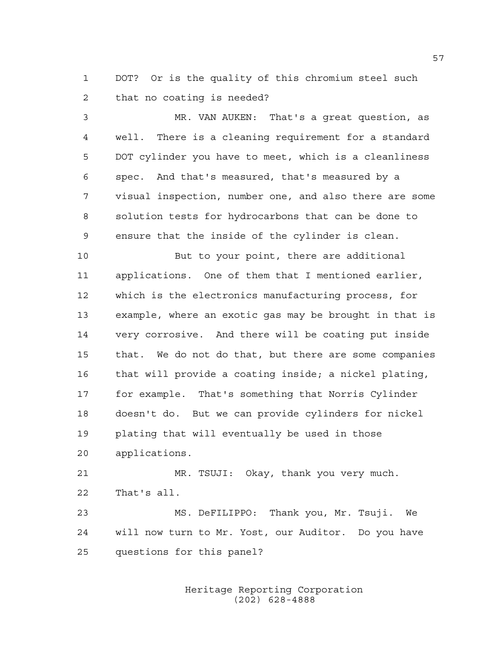DOT? Or is the quality of this chromium steel such that no coating is needed?

 MR. VAN AUKEN: That's a great question, as well. There is a cleaning requirement for a standard DOT cylinder you have to meet, which is a cleanliness spec. And that's measured, that's measured by a visual inspection, number one, and also there are some solution tests for hydrocarbons that can be done to ensure that the inside of the cylinder is clean.

 But to your point, there are additional applications. One of them that I mentioned earlier, which is the electronics manufacturing process, for example, where an exotic gas may be brought in that is very corrosive. And there will be coating put inside that. We do not do that, but there are some companies that will provide a coating inside; a nickel plating, for example. That's something that Norris Cylinder doesn't do. But we can provide cylinders for nickel plating that will eventually be used in those applications.

 MR. TSUJI: Okay, thank you very much. That's all.

 MS. DeFILIPPO: Thank you, Mr. Tsuji. We will now turn to Mr. Yost, our Auditor. Do you have questions for this panel?

> Heritage Reporting Corporation (202) 628-4888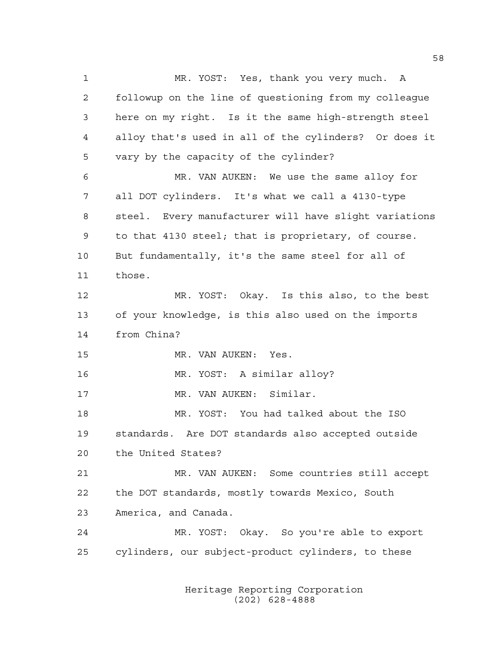MR. YOST: Yes, thank you very much. A followup on the line of questioning from my colleague here on my right. Is it the same high-strength steel alloy that's used in all of the cylinders? Or does it vary by the capacity of the cylinder? MR. VAN AUKEN: We use the same alloy for all DOT cylinders. It's what we call a 4130-type steel. Every manufacturer will have slight variations to that 4130 steel; that is proprietary, of course. But fundamentally, it's the same steel for all of those. MR. YOST: Okay. Is this also, to the best of your knowledge, is this also used on the imports from China? MR. VAN AUKEN: Yes. MR. YOST: A similar alloy? 17 MR. VAN AUKEN: Similar. MR. YOST: You had talked about the ISO standards. Are DOT standards also accepted outside the United States? MR. VAN AUKEN: Some countries still accept the DOT standards, mostly towards Mexico, South America, and Canada. MR. YOST: Okay. So you're able to export cylinders, our subject-product cylinders, to these

> Heritage Reporting Corporation (202) 628-4888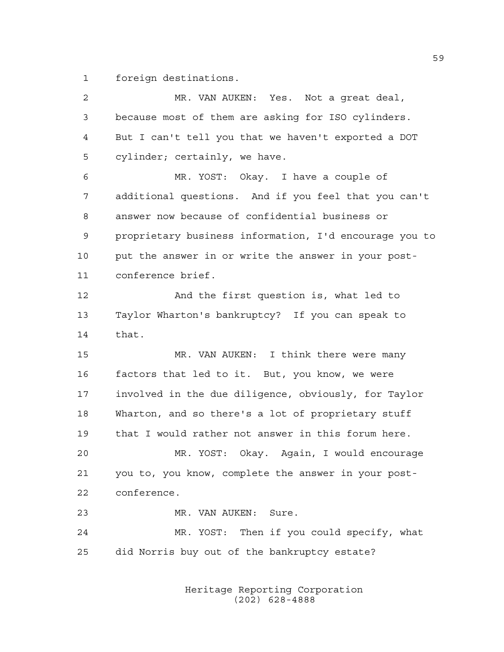foreign destinations.

| $\sqrt{2}$  | MR. VAN AUKEN: Yes. Not a great deal,                  |
|-------------|--------------------------------------------------------|
| 3           | because most of them are asking for ISO cylinders.     |
| 4           | But I can't tell you that we haven't exported a DOT    |
| 5           | cylinder; certainly, we have.                          |
| 6           | MR. YOST: Okay. I have a couple of                     |
| 7           | additional questions. And if you feel that you can't   |
| 8           | answer now because of confidential business or         |
| $\mathsf 9$ | proprietary business information, I'd encourage you to |
| 10          | put the answer in or write the answer in your post-    |
| 11          | conference brief.                                      |
| 12          | And the first question is, what led to                 |
| 13          | Taylor Wharton's bankruptcy? If you can speak to       |
| 14          | that.                                                  |
| 15          | MR. VAN AUKEN: I think there were many                 |
| 16          | factors that led to it. But, you know, we were         |
| 17          | involved in the due diligence, obviously, for Taylor   |
| 18          | Wharton, and so there's a lot of proprietary stuff     |
| 19          | that I would rather not answer in this forum here.     |
| 20          | MR. YOST: Okay. Again, I would encourage               |
| 21          | you to, you know, complete the answer in your post-    |
| 22          | conference.                                            |
| 23          | MR. VAN AUKEN: Sure.                                   |
| 24          | MR. YOST: Then if you could specify, what              |
| 25          | did Norris buy out of the bankruptcy estate?           |
|             |                                                        |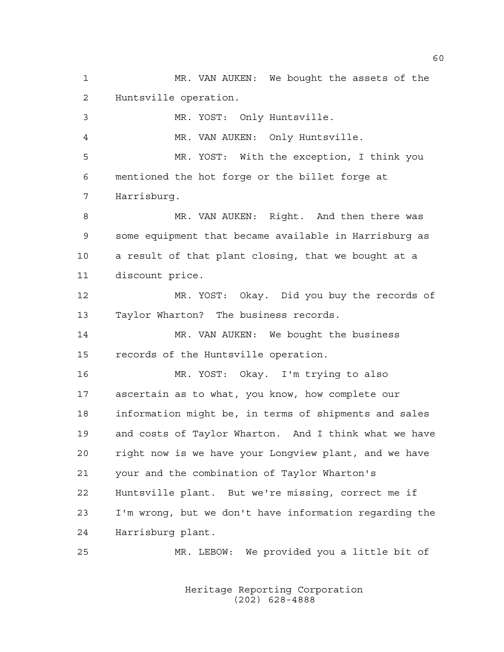MR. VAN AUKEN: We bought the assets of the Huntsville operation.

 MR. YOST: Only Huntsville. MR. VAN AUKEN: Only Huntsville. MR. YOST: With the exception, I think you mentioned the hot forge or the billet forge at Harrisburg. MR. VAN AUKEN: Right. And then there was some equipment that became available in Harrisburg as a result of that plant closing, that we bought at a discount price. MR. YOST: Okay. Did you buy the records of Taylor Wharton? The business records. MR. VAN AUKEN: We bought the business records of the Huntsville operation. MR. YOST: Okay. I'm trying to also ascertain as to what, you know, how complete our information might be, in terms of shipments and sales and costs of Taylor Wharton. And I think what we have right now is we have your Longview plant, and we have your and the combination of Taylor Wharton's Huntsville plant. But we're missing, correct me if I'm wrong, but we don't have information regarding the

Harrisburg plant.

MR. LEBOW: We provided you a little bit of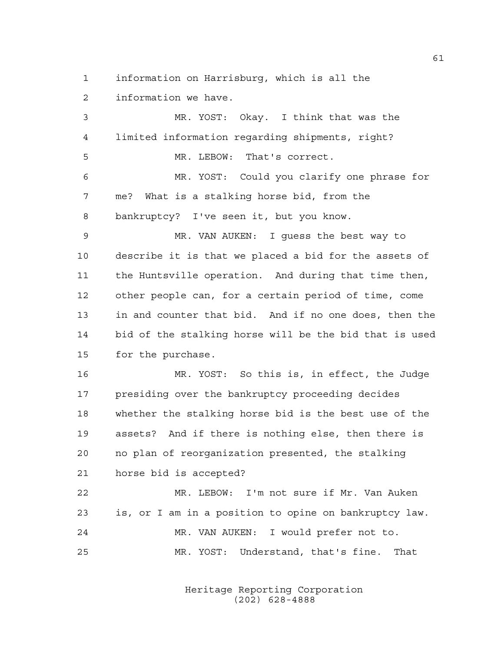information on Harrisburg, which is all the

information we have.

 MR. YOST: Okay. I think that was the limited information regarding shipments, right? MR. LEBOW: That's correct. MR. YOST: Could you clarify one phrase for me? What is a stalking horse bid, from the bankruptcy? I've seen it, but you know. MR. VAN AUKEN: I guess the best way to describe it is that we placed a bid for the assets of the Huntsville operation. And during that time then, other people can, for a certain period of time, come in and counter that bid. And if no one does, then the bid of the stalking horse will be the bid that is used for the purchase. MR. YOST: So this is, in effect, the Judge presiding over the bankruptcy proceeding decides whether the stalking horse bid is the best use of the assets? And if there is nothing else, then there is no plan of reorganization presented, the stalking horse bid is accepted? MR. LEBOW: I'm not sure if Mr. Van Auken is, or I am in a position to opine on bankruptcy law. MR. VAN AUKEN: I would prefer not to. MR. YOST: Understand, that's fine. That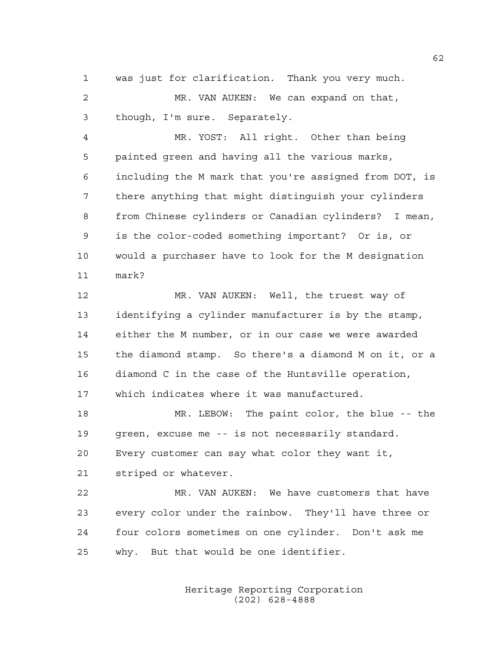was just for clarification. Thank you very much.

 MR. VAN AUKEN: We can expand on that, though, I'm sure. Separately.

 MR. YOST: All right. Other than being painted green and having all the various marks, including the M mark that you're assigned from DOT, is there anything that might distinguish your cylinders from Chinese cylinders or Canadian cylinders? I mean, is the color-coded something important? Or is, or would a purchaser have to look for the M designation mark?

 MR. VAN AUKEN: Well, the truest way of identifying a cylinder manufacturer is by the stamp, either the M number, or in our case we were awarded the diamond stamp. So there's a diamond M on it, or a diamond C in the case of the Huntsville operation, which indicates where it was manufactured.

 MR. LEBOW: The paint color, the blue -- the green, excuse me -- is not necessarily standard. Every customer can say what color they want it, striped or whatever.

 MR. VAN AUKEN: We have customers that have every color under the rainbow. They'll have three or four colors sometimes on one cylinder. Don't ask me why. But that would be one identifier.

> Heritage Reporting Corporation (202) 628-4888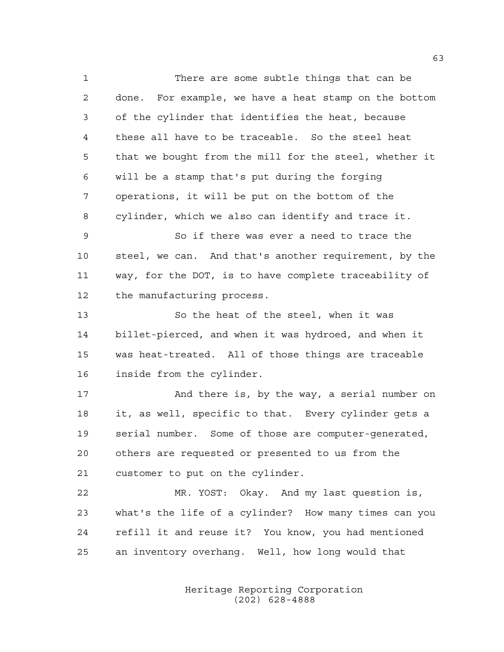There are some subtle things that can be done. For example, we have a heat stamp on the bottom of the cylinder that identifies the heat, because these all have to be traceable. So the steel heat that we bought from the mill for the steel, whether it will be a stamp that's put during the forging operations, it will be put on the bottom of the cylinder, which we also can identify and trace it. So if there was ever a need to trace the steel, we can. And that's another requirement, by the way, for the DOT, is to have complete traceability of the manufacturing process. So the heat of the steel, when it was billet-pierced, and when it was hydroed, and when it was heat-treated. All of those things are traceable inside from the cylinder. 17 And there is, by the way, a serial number on it, as well, specific to that. Every cylinder gets a serial number. Some of those are computer-generated, others are requested or presented to us from the customer to put on the cylinder. MR. YOST: Okay. And my last question is, what's the life of a cylinder? How many times can you refill it and reuse it? You know, you had mentioned an inventory overhang. Well, how long would that

> Heritage Reporting Corporation (202) 628-4888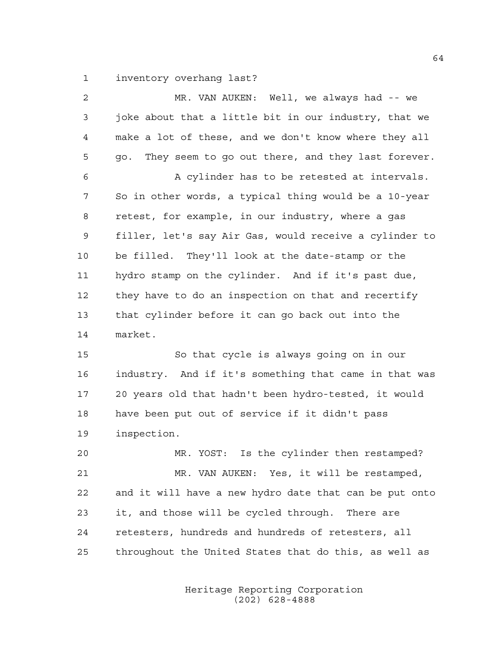inventory overhang last?

| $\overline{2}$ | MR. VAN AUKEN: Well, we always had -- we                                                                        |
|----------------|-----------------------------------------------------------------------------------------------------------------|
| 3              | joke about that a little bit in our industry, that we                                                           |
| $\overline{4}$ | make a lot of these, and we don't know where they all                                                           |
| 5              | They seem to go out there, and they last forever.<br>qo.                                                        |
| 6              | A cylinder has to be retested at intervals.                                                                     |
| 7              | So in other words, a typical thing would be a 10-year                                                           |
| 8              | retest, for example, in our industry, where a gas                                                               |
| 9              | filler, let's say Air Gas, would receive a cylinder to                                                          |
| 10             | be filled. They'll look at the date-stamp or the                                                                |
| 11             | hydro stamp on the cylinder. And if it's past due,                                                              |
| 12             | they have to do an inspection on that and recertify                                                             |
| 13             | that cylinder before it can go back out into the                                                                |
| 14             | market.                                                                                                         |
| 15             | So that cycle is always going on in our                                                                         |
| $\sim$         | it de la componente de la componentación de la componente de la componentación de la componentación de la compo |

 industry. And if it's something that came in that was 20 years old that hadn't been hydro-tested, it would have been put out of service if it didn't pass inspection.

 MR. YOST: Is the cylinder then restamped? MR. VAN AUKEN: Yes, it will be restamped, and it will have a new hydro date that can be put onto it, and those will be cycled through. There are retesters, hundreds and hundreds of retesters, all throughout the United States that do this, as well as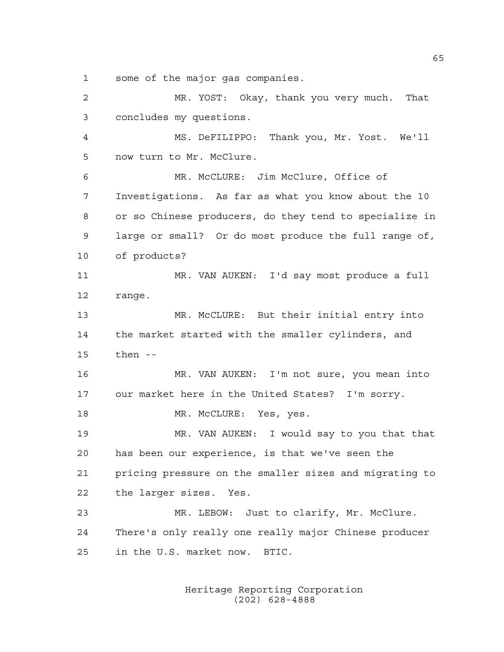some of the major gas companies.

 MR. YOST: Okay, thank you very much. That concludes my questions. MS. DeFILIPPO: Thank you, Mr. Yost. We'll now turn to Mr. McClure. MR. McCLURE: Jim McClure, Office of Investigations. As far as what you know about the 10 or so Chinese producers, do they tend to specialize in large or small? Or do most produce the full range of, of products? MR. VAN AUKEN: I'd say most produce a full range. MR. McCLURE: But their initial entry into the market started with the smaller cylinders, and then -- MR. VAN AUKEN: I'm not sure, you mean into our market here in the United States? I'm sorry. 18 MR. McCLURE: Yes, yes. MR. VAN AUKEN: I would say to you that that has been our experience, is that we've seen the pricing pressure on the smaller sizes and migrating to the larger sizes. Yes. MR. LEBOW: Just to clarify, Mr. McClure. There's only really one really major Chinese producer in the U.S. market now. BTIC.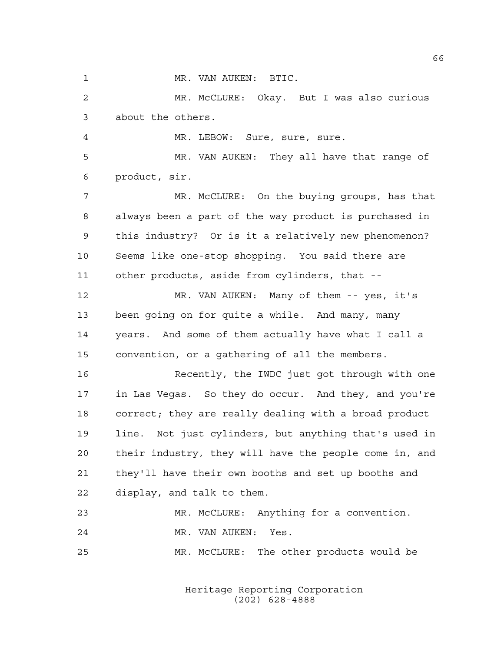1 MR. VAN AUKEN: BTIC.

 MR. McCLURE: Okay. But I was also curious about the others.

MR. LEBOW: Sure, sure, sure.

 MR. VAN AUKEN: They all have that range of product, sir.

 MR. McCLURE: On the buying groups, has that always been a part of the way product is purchased in this industry? Or is it a relatively new phenomenon? Seems like one-stop shopping. You said there are other products, aside from cylinders, that --

 MR. VAN AUKEN: Many of them -- yes, it's been going on for quite a while. And many, many years. And some of them actually have what I call a convention, or a gathering of all the members.

 Recently, the IWDC just got through with one in Las Vegas. So they do occur. And they, and you're correct; they are really dealing with a broad product line. Not just cylinders, but anything that's used in their industry, they will have the people come in, and they'll have their own booths and set up booths and display, and talk to them.

```
23 MR. McCLURE: Anything for a convention.
24 MR. VAN AUKEN: Yes.
25 MR. McCLURE: The other products would be
```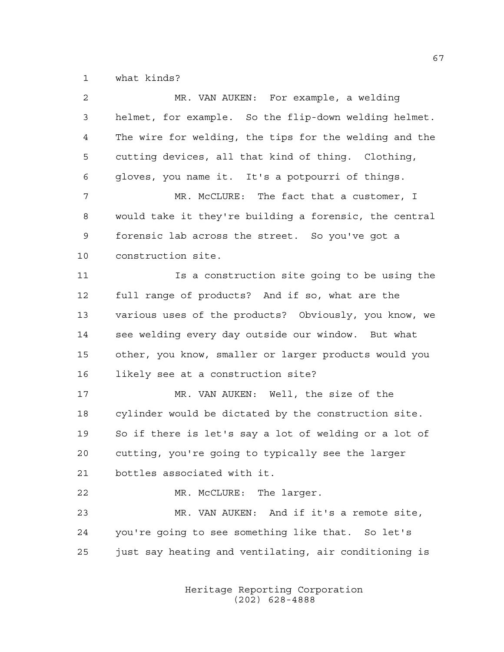what kinds?

| $\overline{2}$ | MR. VAN AUKEN: For example, a welding                  |
|----------------|--------------------------------------------------------|
| 3              | helmet, for example. So the flip-down welding helmet.  |
| 4              | The wire for welding, the tips for the welding and the |
| 5              | cutting devices, all that kind of thing. Clothing,     |
| 6              | gloves, you name it. It's a potpourri of things.       |
| 7              | MR. McCLURE: The fact that a customer, I               |
| 8              | would take it they're building a forensic, the central |
| 9              | forensic lab across the street. So you've got a        |
| 10             | construction site.                                     |
| 11             | Is a construction site going to be using the           |
| 12             | full range of products? And if so, what are the        |
| 13             | various uses of the products? Obviously, you know, we  |
| 14             | see welding every day outside our window. But what     |
| 15             | other, you know, smaller or larger products would you  |
| 16             | likely see at a construction site?                     |
| 17             | MR. VAN AUKEN: Well, the size of the                   |
| 18             | cylinder would be dictated by the construction site.   |
| 19             | So if there is let's say a lot of welding or a lot of  |
| 20             | cutting, you're going to typically see the larger      |
| 21             | bottles associated with it.                            |
| 22             | MR. McCLURE: The larger.                               |
| 23             | MR. VAN AUKEN: And if it's a remote site,              |
| 24             | you're going to see something like that. So let's      |
| 25             | just say heating and ventilating, air conditioning is  |
|                |                                                        |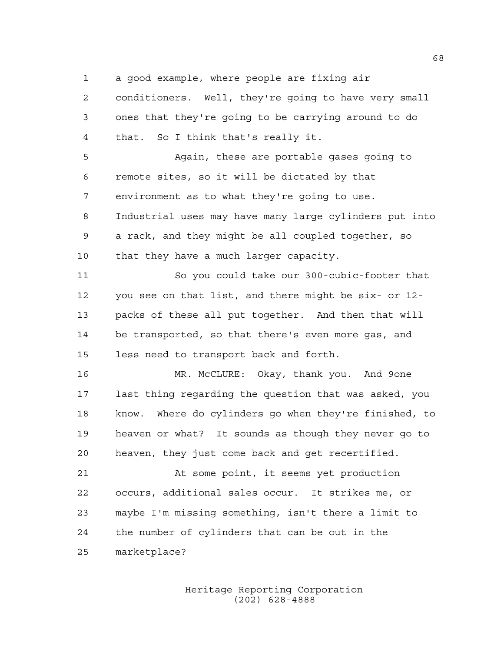a good example, where people are fixing air

 conditioners. Well, they're going to have very small ones that they're going to be carrying around to do that. So I think that's really it.

 Again, these are portable gases going to remote sites, so it will be dictated by that environment as to what they're going to use. Industrial uses may have many large cylinders put into a rack, and they might be all coupled together, so 10 that they have a much larger capacity.

 So you could take our 300-cubic-footer that you see on that list, and there might be six- or 12- packs of these all put together. And then that will be transported, so that there's even more gas, and less need to transport back and forth.

 MR. McCLURE: Okay, thank you. And 9one last thing regarding the question that was asked, you know. Where do cylinders go when they're finished, to heaven or what? It sounds as though they never go to heaven, they just come back and get recertified.

 At some point, it seems yet production occurs, additional sales occur. It strikes me, or maybe I'm missing something, isn't there a limit to the number of cylinders that can be out in the marketplace?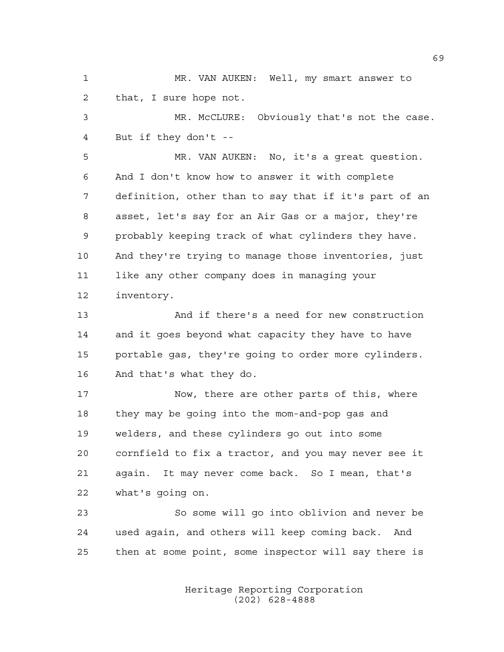MR. VAN AUKEN: Well, my smart answer to that, I sure hope not.

 MR. McCLURE: Obviously that's not the case. But if they don't --

 MR. VAN AUKEN: No, it's a great question. And I don't know how to answer it with complete definition, other than to say that if it's part of an asset, let's say for an Air Gas or a major, they're probably keeping track of what cylinders they have. And they're trying to manage those inventories, just like any other company does in managing your inventory.

 And if there's a need for new construction and it goes beyond what capacity they have to have portable gas, they're going to order more cylinders. And that's what they do.

 Now, there are other parts of this, where they may be going into the mom-and-pop gas and welders, and these cylinders go out into some cornfield to fix a tractor, and you may never see it again. It may never come back. So I mean, that's what's going on.

 So some will go into oblivion and never be used again, and others will keep coming back. And then at some point, some inspector will say there is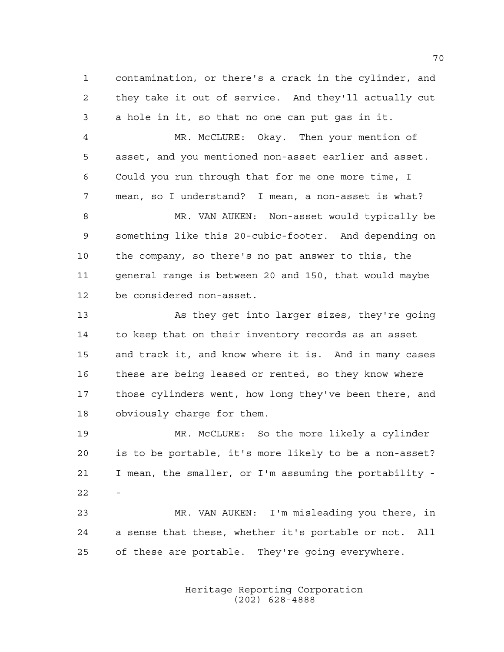contamination, or there's a crack in the cylinder, and they take it out of service. And they'll actually cut a hole in it, so that no one can put gas in it.

 MR. McCLURE: Okay. Then your mention of asset, and you mentioned non-asset earlier and asset. Could you run through that for me one more time, I mean, so I understand? I mean, a non-asset is what?

 MR. VAN AUKEN: Non-asset would typically be something like this 20-cubic-footer. And depending on the company, so there's no pat answer to this, the general range is between 20 and 150, that would maybe be considered non-asset.

 As they get into larger sizes, they're going to keep that on their inventory records as an asset and track it, and know where it is. And in many cases these are being leased or rented, so they know where those cylinders went, how long they've been there, and obviously charge for them.

 MR. McCLURE: So the more likely a cylinder is to be portable, it's more likely to be a non-asset? I mean, the smaller, or I'm assuming the portability - 

 MR. VAN AUKEN: I'm misleading you there, in a sense that these, whether it's portable or not. All of these are portable. They're going everywhere.

> Heritage Reporting Corporation (202) 628-4888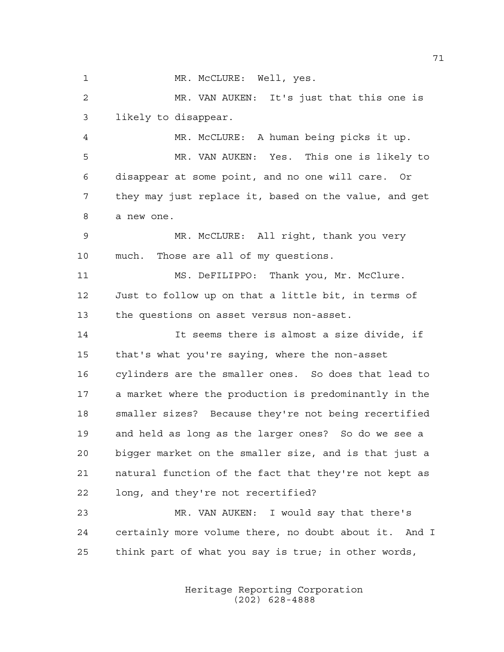1 MR. McCLURE: Well, yes.

 MR. VAN AUKEN: It's just that this one is likely to disappear.

 MR. McCLURE: A human being picks it up. MR. VAN AUKEN: Yes. This one is likely to disappear at some point, and no one will care. Or they may just replace it, based on the value, and get a new one.

 MR. McCLURE: All right, thank you very much. Those are all of my questions.

 MS. DeFILIPPO: Thank you, Mr. McClure. Just to follow up on that a little bit, in terms of the questions on asset versus non-asset.

 It seems there is almost a size divide, if that's what you're saying, where the non-asset cylinders are the smaller ones. So does that lead to a market where the production is predominantly in the smaller sizes? Because they're not being recertified and held as long as the larger ones? So do we see a bigger market on the smaller size, and is that just a natural function of the fact that they're not kept as long, and they're not recertified?

 MR. VAN AUKEN: I would say that there's certainly more volume there, no doubt about it. And I think part of what you say is true; in other words,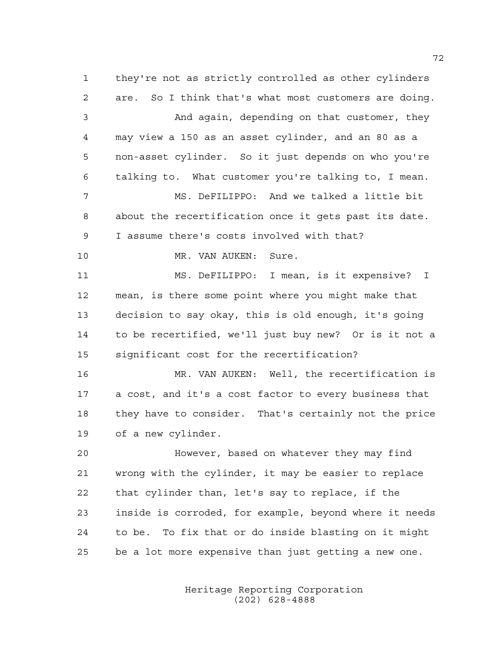they're not as strictly controlled as other cylinders are. So I think that's what most customers are doing. And again, depending on that customer, they may view a 150 as an asset cylinder, and an 80 as a non-asset cylinder. So it just depends on who you're talking to. What customer you're talking to, I mean. MS. DeFILIPPO: And we talked a little bit about the recertification once it gets past its date. I assume there's costs involved with that? 10 MR. VAN AUKEN: Sure. MS. DeFILIPPO: I mean, is it expensive? I mean, is there some point where you might make that decision to say okay, this is old enough, it's going to be recertified, we'll just buy new? Or is it not a significant cost for the recertification? MR. VAN AUKEN: Well, the recertification is a cost, and it's a cost factor to every business that they have to consider. That's certainly not the price of a new cylinder. However, based on whatever they may find wrong with the cylinder, it may be easier to replace that cylinder than, let's say to replace, if the inside is corroded, for example, beyond where it needs to be. To fix that or do inside blasting on it might

be a lot more expensive than just getting a new one.

Heritage Reporting Corporation (202) 628-4888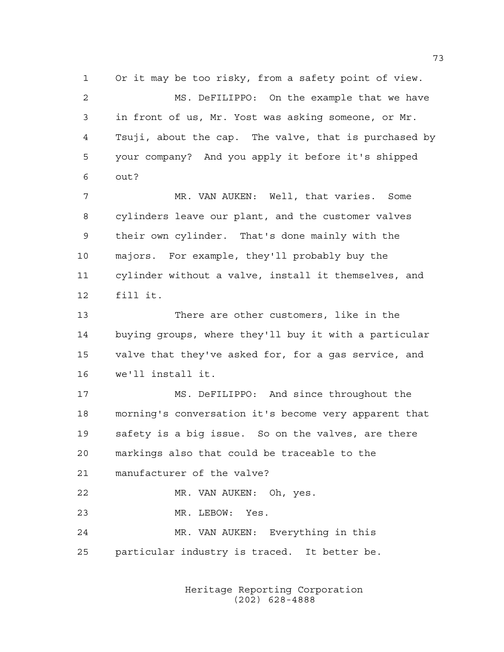Or it may be too risky, from a safety point of view. MS. DeFILIPPO: On the example that we have in front of us, Mr. Yost was asking someone, or Mr. Tsuji, about the cap. The valve, that is purchased by your company? And you apply it before it's shipped out?

 MR. VAN AUKEN: Well, that varies. Some cylinders leave our plant, and the customer valves their own cylinder. That's done mainly with the majors. For example, they'll probably buy the cylinder without a valve, install it themselves, and fill it.

 There are other customers, like in the buying groups, where they'll buy it with a particular valve that they've asked for, for a gas service, and we'll install it.

 MS. DeFILIPPO: And since throughout the morning's conversation it's become very apparent that safety is a big issue. So on the valves, are there markings also that could be traceable to the manufacturer of the valve? MR. VAN AUKEN: Oh, yes. MR. LEBOW: Yes.

 MR. VAN AUKEN: Everything in this particular industry is traced. It better be.

> Heritage Reporting Corporation (202) 628-4888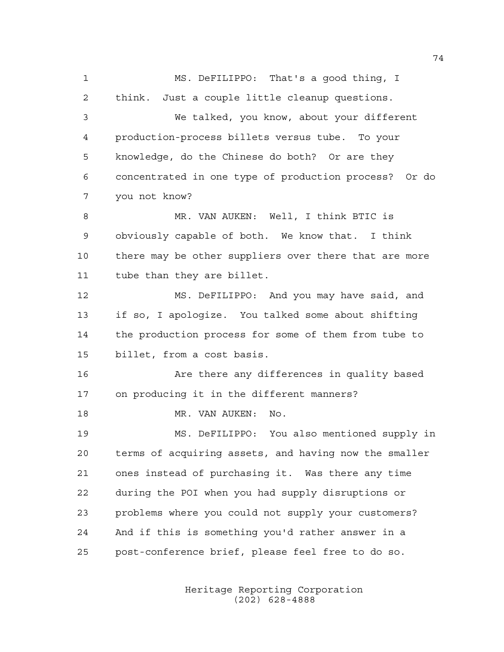MS. DeFILIPPO: That's a good thing, I think. Just a couple little cleanup questions. We talked, you know, about your different production-process billets versus tube. To your knowledge, do the Chinese do both? Or are they concentrated in one type of production process? Or do you not know? MR. VAN AUKEN: Well, I think BTIC is obviously capable of both. We know that. I think there may be other suppliers over there that are more tube than they are billet. MS. DeFILIPPO: And you may have said, and if so, I apologize. You talked some about shifting the production process for some of them from tube to billet, from a cost basis. **Are there any differences in quality based**  on producing it in the different manners? MR. VAN AUKEN: No. MS. DeFILIPPO: You also mentioned supply in terms of acquiring assets, and having now the smaller ones instead of purchasing it. Was there any time during the POI when you had supply disruptions or problems where you could not supply your customers? And if this is something you'd rather answer in a post-conference brief, please feel free to do so.

> Heritage Reporting Corporation (202) 628-4888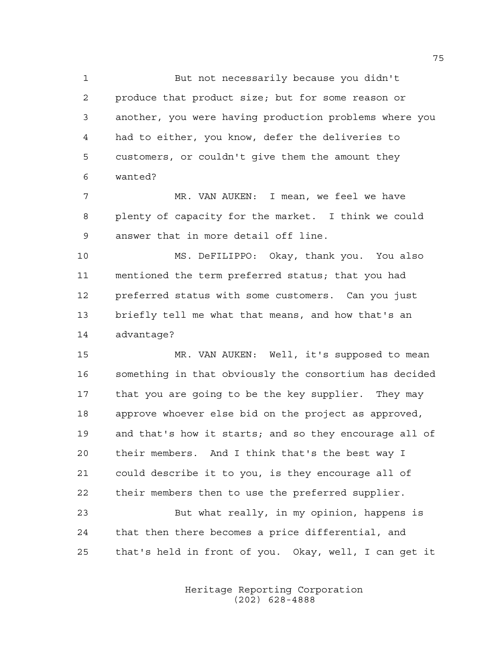But not necessarily because you didn't produce that product size; but for some reason or another, you were having production problems where you had to either, you know, defer the deliveries to customers, or couldn't give them the amount they wanted?

 MR. VAN AUKEN: I mean, we feel we have plenty of capacity for the market. I think we could answer that in more detail off line.

 MS. DeFILIPPO: Okay, thank you. You also mentioned the term preferred status; that you had preferred status with some customers. Can you just briefly tell me what that means, and how that's an advantage?

 MR. VAN AUKEN: Well, it's supposed to mean something in that obviously the consortium has decided that you are going to be the key supplier. They may approve whoever else bid on the project as approved, and that's how it starts; and so they encourage all of their members. And I think that's the best way I could describe it to you, is they encourage all of their members then to use the preferred supplier. But what really, in my opinion, happens is

 that then there becomes a price differential, and that's held in front of you. Okay, well, I can get it

> Heritage Reporting Corporation (202) 628-4888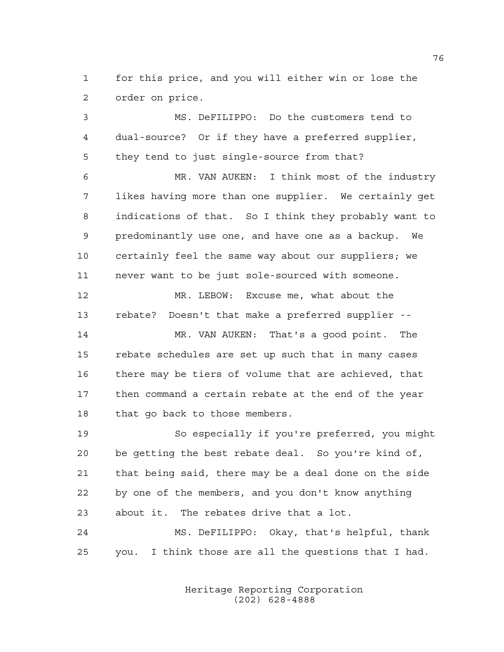for this price, and you will either win or lose the order on price.

 MS. DeFILIPPO: Do the customers tend to dual-source? Or if they have a preferred supplier, they tend to just single-source from that?

 MR. VAN AUKEN: I think most of the industry likes having more than one supplier. We certainly get indications of that. So I think they probably want to predominantly use one, and have one as a backup. We certainly feel the same way about our suppliers; we never want to be just sole-sourced with someone.

 MR. LEBOW: Excuse me, what about the rebate? Doesn't that make a preferred supplier --

 MR. VAN AUKEN: That's a good point. The rebate schedules are set up such that in many cases there may be tiers of volume that are achieved, that then command a certain rebate at the end of the year that go back to those members.

 So especially if you're preferred, you might be getting the best rebate deal. So you're kind of, that being said, there may be a deal done on the side by one of the members, and you don't know anything about it. The rebates drive that a lot.

 MS. DeFILIPPO: Okay, that's helpful, thank you. I think those are all the questions that I had.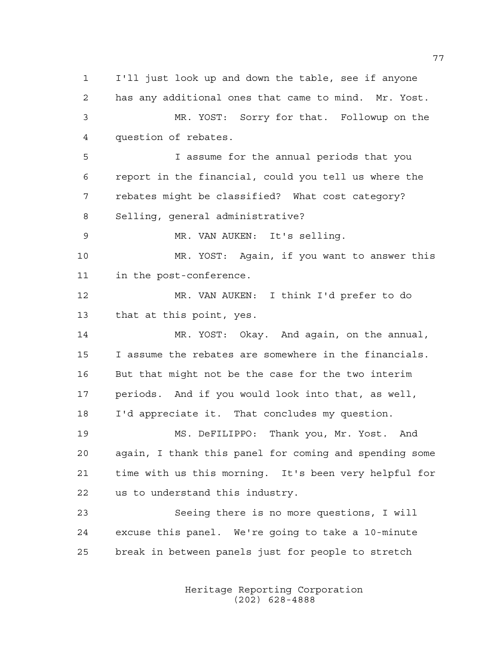I'll just look up and down the table, see if anyone has any additional ones that came to mind. Mr. Yost. MR. YOST: Sorry for that. Followup on the question of rebates. I assume for the annual periods that you report in the financial, could you tell us where the rebates might be classified? What cost category? Selling, general administrative? MR. VAN AUKEN: It's selling. MR. YOST: Again, if you want to answer this in the post-conference. MR. VAN AUKEN: I think I'd prefer to do that at this point, yes. MR. YOST: Okay. And again, on the annual, I assume the rebates are somewhere in the financials. But that might not be the case for the two interim periods. And if you would look into that, as well, I'd appreciate it. That concludes my question. MS. DeFILIPPO: Thank you, Mr. Yost. And again, I thank this panel for coming and spending some time with us this morning. It's been very helpful for us to understand this industry. Seeing there is no more questions, I will excuse this panel. We're going to take a 10-minute break in between panels just for people to stretch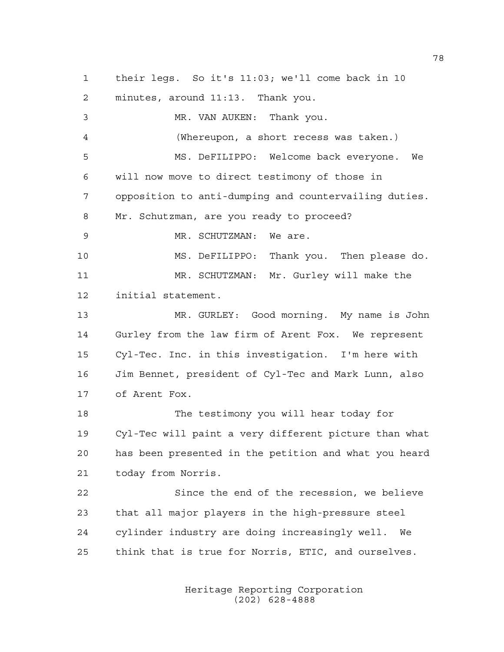their legs. So it's 11:03; we'll come back in 10 minutes, around 11:13. Thank you. MR. VAN AUKEN: Thank you. (Whereupon, a short recess was taken.) MS. DeFILIPPO: Welcome back everyone. We will now move to direct testimony of those in opposition to anti-dumping and countervailing duties. Mr. Schutzman, are you ready to proceed? 9 MR. SCHUTZMAN: We are. MS. DeFILIPPO: Thank you. Then please do. MR. SCHUTZMAN: Mr. Gurley will make the initial statement. MR. GURLEY: Good morning. My name is John Gurley from the law firm of Arent Fox. We represent Cyl-Tec. Inc. in this investigation. I'm here with Jim Bennet, president of Cyl-Tec and Mark Lunn, also of Arent Fox. The testimony you will hear today for Cyl-Tec will paint a very different picture than what has been presented in the petition and what you heard today from Norris. Since the end of the recession, we believe that all major players in the high-pressure steel cylinder industry are doing increasingly well. We think that is true for Norris, ETIC, and ourselves.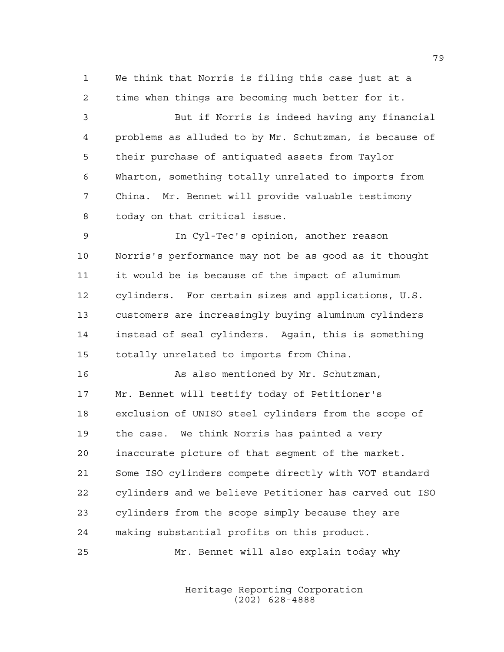We think that Norris is filing this case just at a time when things are becoming much better for it.

 But if Norris is indeed having any financial problems as alluded to by Mr. Schutzman, is because of their purchase of antiquated assets from Taylor Wharton, something totally unrelated to imports from China. Mr. Bennet will provide valuable testimony today on that critical issue.

 In Cyl-Tec's opinion, another reason Norris's performance may not be as good as it thought it would be is because of the impact of aluminum cylinders. For certain sizes and applications, U.S. customers are increasingly buying aluminum cylinders instead of seal cylinders. Again, this is something totally unrelated to imports from China.

 As also mentioned by Mr. Schutzman, Mr. Bennet will testify today of Petitioner's exclusion of UNISO steel cylinders from the scope of the case. We think Norris has painted a very inaccurate picture of that segment of the market. Some ISO cylinders compete directly with VOT standard cylinders and we believe Petitioner has carved out ISO cylinders from the scope simply because they are making substantial profits on this product.

Mr. Bennet will also explain today why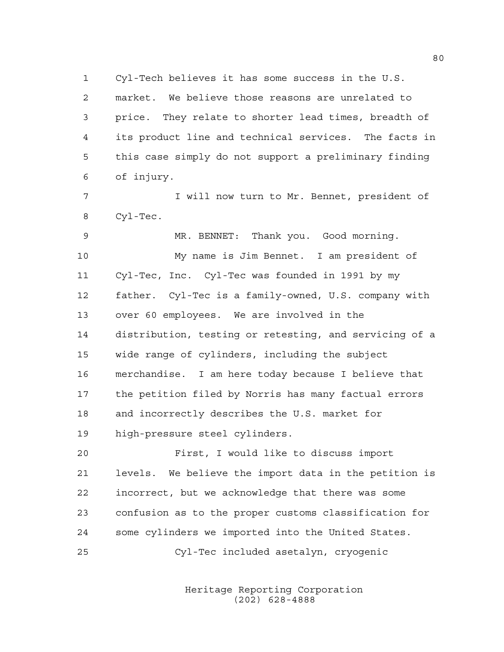Cyl-Tech believes it has some success in the U.S. market. We believe those reasons are unrelated to price. They relate to shorter lead times, breadth of its product line and technical services. The facts in this case simply do not support a preliminary finding of injury.

 I will now turn to Mr. Bennet, president of Cyl-Tec.

 MR. BENNET: Thank you. Good morning. My name is Jim Bennet. I am president of Cyl-Tec, Inc. Cyl-Tec was founded in 1991 by my father. Cyl-Tec is a family-owned, U.S. company with over 60 employees. We are involved in the distribution, testing or retesting, and servicing of a wide range of cylinders, including the subject merchandise. I am here today because I believe that the petition filed by Norris has many factual errors and incorrectly describes the U.S. market for high-pressure steel cylinders.

 First, I would like to discuss import levels. We believe the import data in the petition is incorrect, but we acknowledge that there was some confusion as to the proper customs classification for some cylinders we imported into the United States.

Cyl-Tec included asetalyn, cryogenic

Heritage Reporting Corporation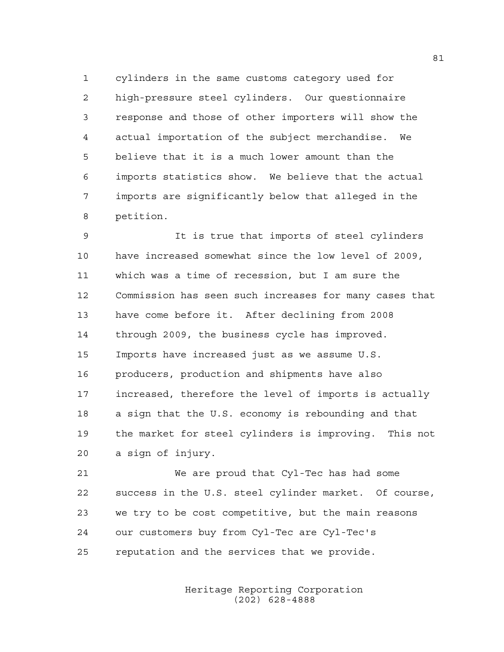cylinders in the same customs category used for high-pressure steel cylinders. Our questionnaire response and those of other importers will show the actual importation of the subject merchandise. We believe that it is a much lower amount than the imports statistics show. We believe that the actual imports are significantly below that alleged in the petition.

 It is true that imports of steel cylinders have increased somewhat since the low level of 2009, which was a time of recession, but I am sure the Commission has seen such increases for many cases that have come before it. After declining from 2008 through 2009, the business cycle has improved. Imports have increased just as we assume U.S. producers, production and shipments have also increased, therefore the level of imports is actually a sign that the U.S. economy is rebounding and that the market for steel cylinders is improving. This not a sign of injury.

 We are proud that Cyl-Tec has had some success in the U.S. steel cylinder market. Of course, we try to be cost competitive, but the main reasons our customers buy from Cyl-Tec are Cyl-Tec's reputation and the services that we provide.

> Heritage Reporting Corporation (202) 628-4888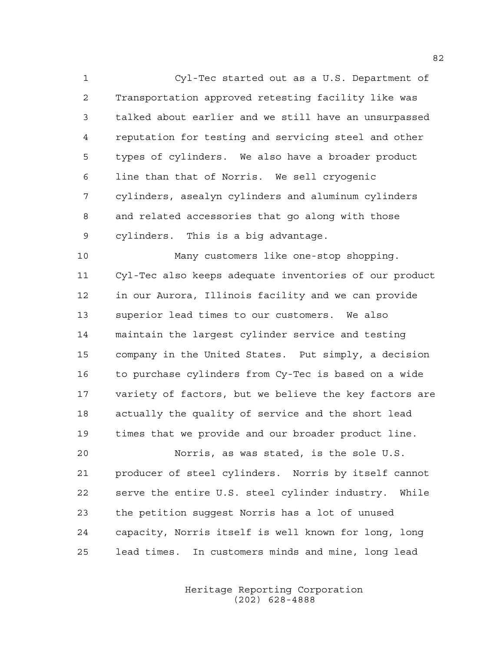Cyl-Tec started out as a U.S. Department of Transportation approved retesting facility like was talked about earlier and we still have an unsurpassed reputation for testing and servicing steel and other types of cylinders. We also have a broader product line than that of Norris. We sell cryogenic cylinders, asealyn cylinders and aluminum cylinders and related accessories that go along with those cylinders. This is a big advantage.

 Many customers like one-stop shopping. Cyl-Tec also keeps adequate inventories of our product in our Aurora, Illinois facility and we can provide superior lead times to our customers. We also maintain the largest cylinder service and testing company in the United States. Put simply, a decision to purchase cylinders from Cy-Tec is based on a wide variety of factors, but we believe the key factors are actually the quality of service and the short lead times that we provide and our broader product line.

 Norris, as was stated, is the sole U.S. producer of steel cylinders. Norris by itself cannot serve the entire U.S. steel cylinder industry. While the petition suggest Norris has a lot of unused capacity, Norris itself is well known for long, long lead times. In customers minds and mine, long lead

> Heritage Reporting Corporation (202) 628-4888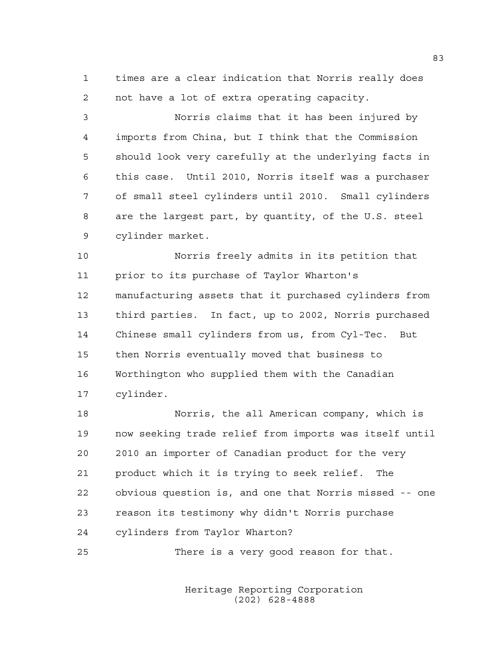times are a clear indication that Norris really does not have a lot of extra operating capacity.

 Norris claims that it has been injured by imports from China, but I think that the Commission should look very carefully at the underlying facts in this case. Until 2010, Norris itself was a purchaser of small steel cylinders until 2010. Small cylinders are the largest part, by quantity, of the U.S. steel cylinder market.

 Norris freely admits in its petition that prior to its purchase of Taylor Wharton's manufacturing assets that it purchased cylinders from third parties. In fact, up to 2002, Norris purchased Chinese small cylinders from us, from Cyl-Tec. But then Norris eventually moved that business to Worthington who supplied them with the Canadian cylinder.

 Norris, the all American company, which is now seeking trade relief from imports was itself until 2010 an importer of Canadian product for the very product which it is trying to seek relief. The obvious question is, and one that Norris missed -- one reason its testimony why didn't Norris purchase cylinders from Taylor Wharton?

There is a very good reason for that.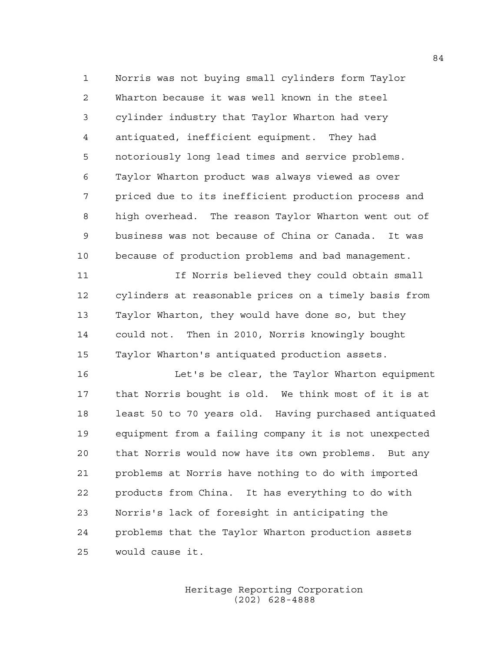Norris was not buying small cylinders form Taylor Wharton because it was well known in the steel cylinder industry that Taylor Wharton had very antiquated, inefficient equipment. They had notoriously long lead times and service problems. Taylor Wharton product was always viewed as over priced due to its inefficient production process and high overhead. The reason Taylor Wharton went out of business was not because of China or Canada. It was because of production problems and bad management.

 If Norris believed they could obtain small cylinders at reasonable prices on a timely basis from Taylor Wharton, they would have done so, but they could not. Then in 2010, Norris knowingly bought Taylor Wharton's antiquated production assets.

 Let's be clear, the Taylor Wharton equipment that Norris bought is old. We think most of it is at least 50 to 70 years old. Having purchased antiquated equipment from a failing company it is not unexpected that Norris would now have its own problems. But any problems at Norris have nothing to do with imported products from China. It has everything to do with Norris's lack of foresight in anticipating the problems that the Taylor Wharton production assets would cause it.

> Heritage Reporting Corporation (202) 628-4888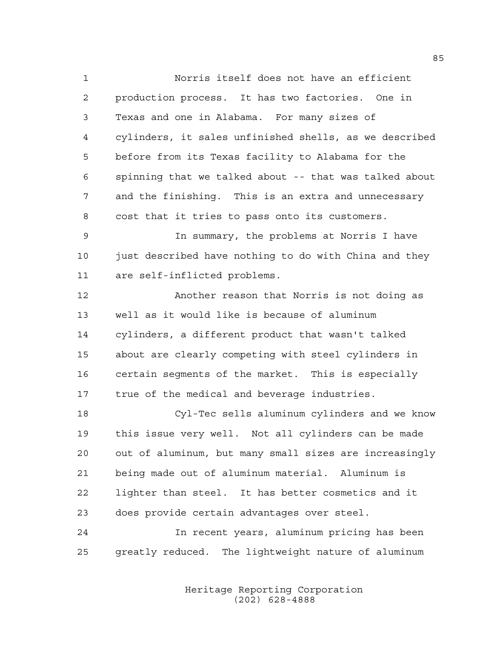Norris itself does not have an efficient production process. It has two factories. One in Texas and one in Alabama. For many sizes of cylinders, it sales unfinished shells, as we described before from its Texas facility to Alabama for the spinning that we talked about -- that was talked about and the finishing. This is an extra and unnecessary cost that it tries to pass onto its customers. In summary, the problems at Norris I have 10 just described have nothing to do with China and they are self-inflicted problems. Another reason that Norris is not doing as well as it would like is because of aluminum cylinders, a different product that wasn't talked about are clearly competing with steel cylinders in certain segments of the market. This is especially

 Cyl-Tec sells aluminum cylinders and we know this issue very well. Not all cylinders can be made out of aluminum, but many small sizes are increasingly being made out of aluminum material. Aluminum is lighter than steel. It has better cosmetics and it does provide certain advantages over steel.

true of the medical and beverage industries.

 In recent years, aluminum pricing has been greatly reduced. The lightweight nature of aluminum

> Heritage Reporting Corporation (202) 628-4888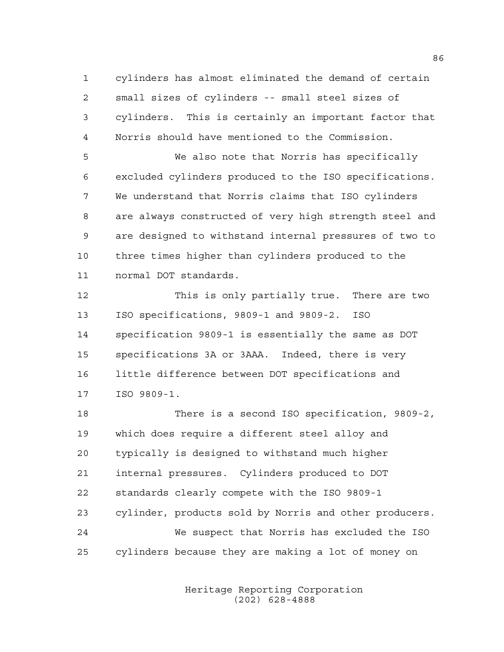cylinders has almost eliminated the demand of certain small sizes of cylinders -- small steel sizes of cylinders. This is certainly an important factor that Norris should have mentioned to the Commission.

 We also note that Norris has specifically excluded cylinders produced to the ISO specifications. We understand that Norris claims that ISO cylinders are always constructed of very high strength steel and are designed to withstand internal pressures of two to three times higher than cylinders produced to the normal DOT standards.

 This is only partially true. There are two ISO specifications, 9809-1 and 9809-2. ISO specification 9809-1 is essentially the same as DOT specifications 3A or 3AAA. Indeed, there is very little difference between DOT specifications and ISO 9809-1.

 There is a second ISO specification, 9809-2, which does require a different steel alloy and typically is designed to withstand much higher internal pressures. Cylinders produced to DOT standards clearly compete with the ISO 9809-1 cylinder, products sold by Norris and other producers. We suspect that Norris has excluded the ISO cylinders because they are making a lot of money on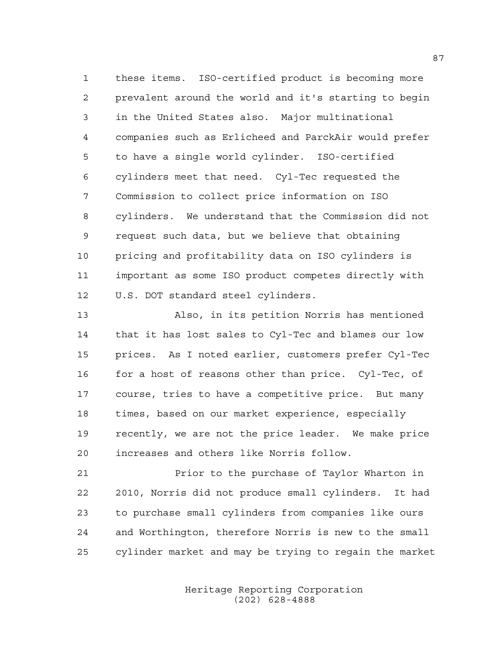these items. ISO-certified product is becoming more prevalent around the world and it's starting to begin in the United States also. Major multinational companies such as Erlicheed and ParckAir would prefer to have a single world cylinder. ISO-certified cylinders meet that need. Cyl-Tec requested the Commission to collect price information on ISO cylinders. We understand that the Commission did not request such data, but we believe that obtaining pricing and profitability data on ISO cylinders is important as some ISO product competes directly with U.S. DOT standard steel cylinders.

 Also, in its petition Norris has mentioned that it has lost sales to Cyl-Tec and blames our low prices. As I noted earlier, customers prefer Cyl-Tec 16 for a host of reasons other than price. Cyl-Tec, of course, tries to have a competitive price. But many times, based on our market experience, especially recently, we are not the price leader. We make price increases and others like Norris follow.

 Prior to the purchase of Taylor Wharton in 2010, Norris did not produce small cylinders. It had to purchase small cylinders from companies like ours and Worthington, therefore Norris is new to the small cylinder market and may be trying to regain the market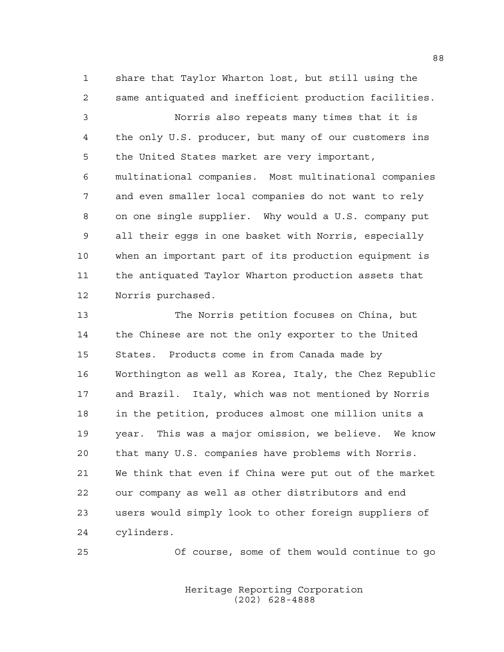share that Taylor Wharton lost, but still using the same antiquated and inefficient production facilities.

 Norris also repeats many times that it is the only U.S. producer, but many of our customers ins the United States market are very important, multinational companies. Most multinational companies and even smaller local companies do not want to rely on one single supplier. Why would a U.S. company put all their eggs in one basket with Norris, especially when an important part of its production equipment is the antiquated Taylor Wharton production assets that Norris purchased.

 The Norris petition focuses on China, but the Chinese are not the only exporter to the United States. Products come in from Canada made by Worthington as well as Korea, Italy, the Chez Republic and Brazil. Italy, which was not mentioned by Norris in the petition, produces almost one million units a year. This was a major omission, we believe. We know that many U.S. companies have problems with Norris. We think that even if China were put out of the market our company as well as other distributors and end users would simply look to other foreign suppliers of cylinders.

Of course, some of them would continue to go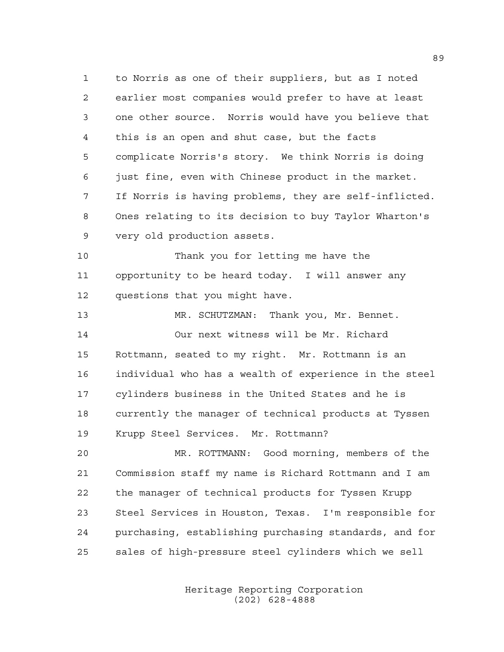to Norris as one of their suppliers, but as I noted earlier most companies would prefer to have at least one other source. Norris would have you believe that this is an open and shut case, but the facts complicate Norris's story. We think Norris is doing just fine, even with Chinese product in the market. If Norris is having problems, they are self-inflicted. Ones relating to its decision to buy Taylor Wharton's very old production assets.

 Thank you for letting me have the opportunity to be heard today. I will answer any questions that you might have.

 MR. SCHUTZMAN: Thank you, Mr. Bennet. Our next witness will be Mr. Richard Rottmann, seated to my right. Mr. Rottmann is an individual who has a wealth of experience in the steel cylinders business in the United States and he is currently the manager of technical products at Tyssen Krupp Steel Services. Mr. Rottmann?

 MR. ROTTMANN: Good morning, members of the Commission staff my name is Richard Rottmann and I am the manager of technical products for Tyssen Krupp Steel Services in Houston, Texas. I'm responsible for purchasing, establishing purchasing standards, and for sales of high-pressure steel cylinders which we sell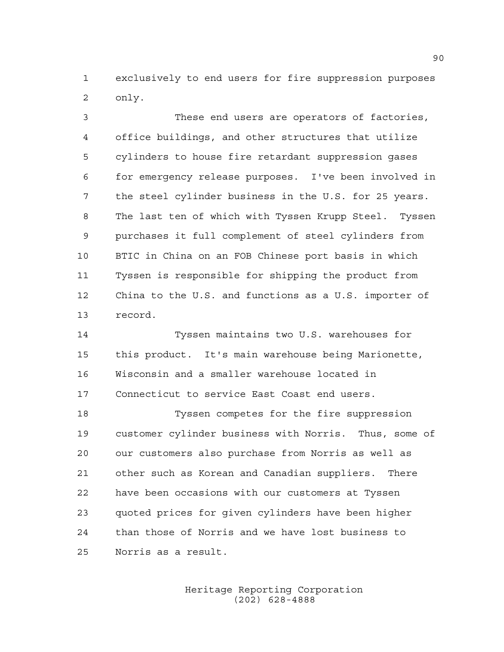exclusively to end users for fire suppression purposes only.

 These end users are operators of factories, office buildings, and other structures that utilize cylinders to house fire retardant suppression gases for emergency release purposes. I've been involved in the steel cylinder business in the U.S. for 25 years. The last ten of which with Tyssen Krupp Steel. Tyssen purchases it full complement of steel cylinders from BTIC in China on an FOB Chinese port basis in which Tyssen is responsible for shipping the product from China to the U.S. and functions as a U.S. importer of record.

 Tyssen maintains two U.S. warehouses for this product. It's main warehouse being Marionette, Wisconsin and a smaller warehouse located in Connecticut to service East Coast end users.

 Tyssen competes for the fire suppression customer cylinder business with Norris. Thus, some of our customers also purchase from Norris as well as other such as Korean and Canadian suppliers. There have been occasions with our customers at Tyssen quoted prices for given cylinders have been higher than those of Norris and we have lost business to Norris as a result.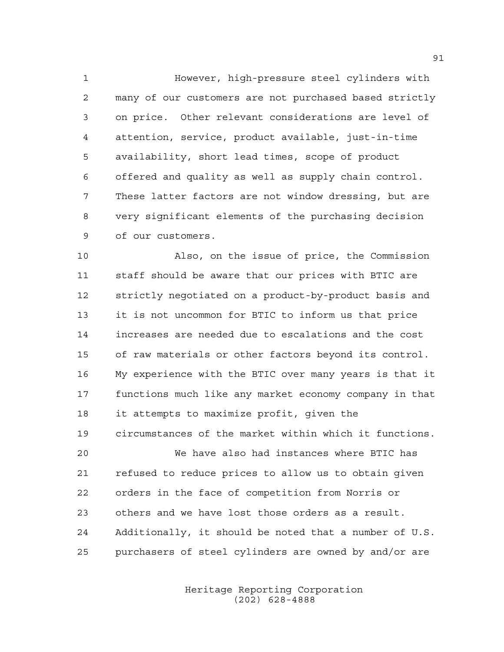However, high-pressure steel cylinders with many of our customers are not purchased based strictly on price. Other relevant considerations are level of attention, service, product available, just-in-time availability, short lead times, scope of product offered and quality as well as supply chain control. These latter factors are not window dressing, but are very significant elements of the purchasing decision of our customers.

 Also, on the issue of price, the Commission staff should be aware that our prices with BTIC are strictly negotiated on a product-by-product basis and it is not uncommon for BTIC to inform us that price increases are needed due to escalations and the cost of raw materials or other factors beyond its control. My experience with the BTIC over many years is that it functions much like any market economy company in that it attempts to maximize profit, given the circumstances of the market within which it functions. We have also had instances where BTIC has

 refused to reduce prices to allow us to obtain given orders in the face of competition from Norris or others and we have lost those orders as a result. Additionally, it should be noted that a number of U.S. purchasers of steel cylinders are owned by and/or are

> Heritage Reporting Corporation (202) 628-4888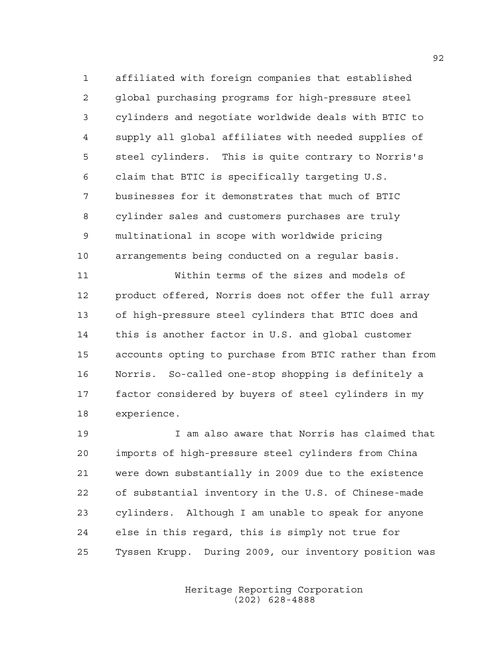affiliated with foreign companies that established global purchasing programs for high-pressure steel cylinders and negotiate worldwide deals with BTIC to supply all global affiliates with needed supplies of steel cylinders. This is quite contrary to Norris's claim that BTIC is specifically targeting U.S. businesses for it demonstrates that much of BTIC cylinder sales and customers purchases are truly multinational in scope with worldwide pricing arrangements being conducted on a regular basis.

 Within terms of the sizes and models of product offered, Norris does not offer the full array of high-pressure steel cylinders that BTIC does and this is another factor in U.S. and global customer accounts opting to purchase from BTIC rather than from Norris. So-called one-stop shopping is definitely a factor considered by buyers of steel cylinders in my experience.

 I am also aware that Norris has claimed that imports of high-pressure steel cylinders from China were down substantially in 2009 due to the existence of substantial inventory in the U.S. of Chinese-made cylinders. Although I am unable to speak for anyone else in this regard, this is simply not true for Tyssen Krupp. During 2009, our inventory position was

> Heritage Reporting Corporation (202) 628-4888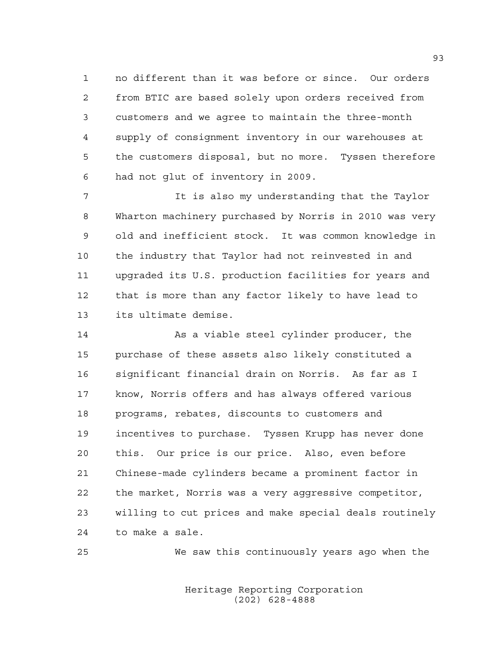no different than it was before or since. Our orders from BTIC are based solely upon orders received from customers and we agree to maintain the three-month supply of consignment inventory in our warehouses at the customers disposal, but no more. Tyssen therefore had not glut of inventory in 2009.

 It is also my understanding that the Taylor Wharton machinery purchased by Norris in 2010 was very old and inefficient stock. It was common knowledge in the industry that Taylor had not reinvested in and upgraded its U.S. production facilities for years and that is more than any factor likely to have lead to its ultimate demise.

 As a viable steel cylinder producer, the purchase of these assets also likely constituted a significant financial drain on Norris. As far as I know, Norris offers and has always offered various programs, rebates, discounts to customers and incentives to purchase. Tyssen Krupp has never done this. Our price is our price. Also, even before Chinese-made cylinders became a prominent factor in the market, Norris was a very aggressive competitor, willing to cut prices and make special deals routinely to make a sale.

We saw this continuously years ago when the

Heritage Reporting Corporation (202) 628-4888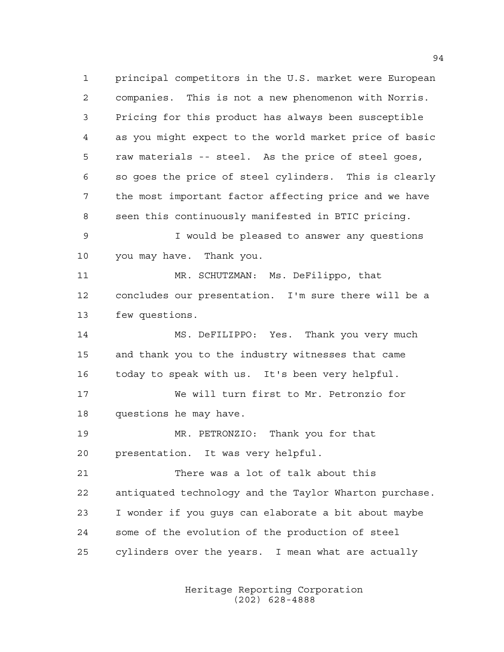principal competitors in the U.S. market were European companies. This is not a new phenomenon with Norris. Pricing for this product has always been susceptible as you might expect to the world market price of basic raw materials -- steel. As the price of steel goes, so goes the price of steel cylinders. This is clearly the most important factor affecting price and we have seen this continuously manifested in BTIC pricing. I would be pleased to answer any questions you may have. Thank you. MR. SCHUTZMAN: Ms. DeFilippo, that concludes our presentation. I'm sure there will be a few questions. MS. DeFILIPPO: Yes. Thank you very much and thank you to the industry witnesses that came today to speak with us. It's been very helpful. We will turn first to Mr. Petronzio for questions he may have. MR. PETRONZIO: Thank you for that presentation. It was very helpful. There was a lot of talk about this antiquated technology and the Taylor Wharton purchase. I wonder if you guys can elaborate a bit about maybe some of the evolution of the production of steel cylinders over the years. I mean what are actually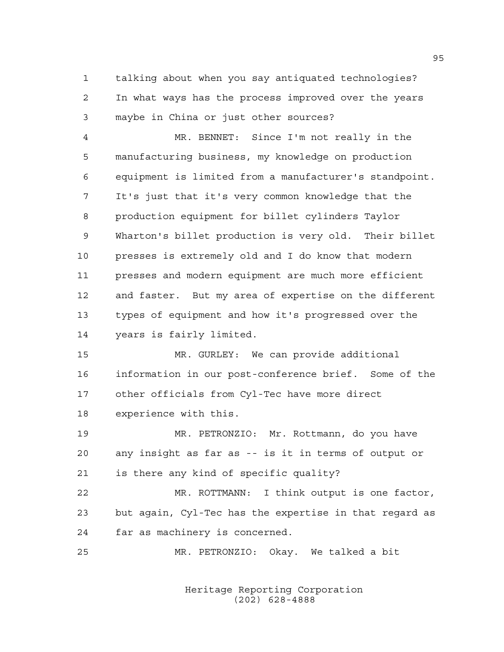talking about when you say antiquated technologies? In what ways has the process improved over the years maybe in China or just other sources?

 MR. BENNET: Since I'm not really in the manufacturing business, my knowledge on production equipment is limited from a manufacturer's standpoint. It's just that it's very common knowledge that the production equipment for billet cylinders Taylor Wharton's billet production is very old. Their billet presses is extremely old and I do know that modern presses and modern equipment are much more efficient and faster. But my area of expertise on the different types of equipment and how it's progressed over the years is fairly limited.

 MR. GURLEY: We can provide additional information in our post-conference brief. Some of the other officials from Cyl-Tec have more direct experience with this.

 MR. PETRONZIO: Mr. Rottmann, do you have any insight as far as -- is it in terms of output or is there any kind of specific quality?

 MR. ROTTMANN: I think output is one factor, but again, Cyl-Tec has the expertise in that regard as far as machinery is concerned.

MR. PETRONZIO: Okay. We talked a bit

Heritage Reporting Corporation (202) 628-4888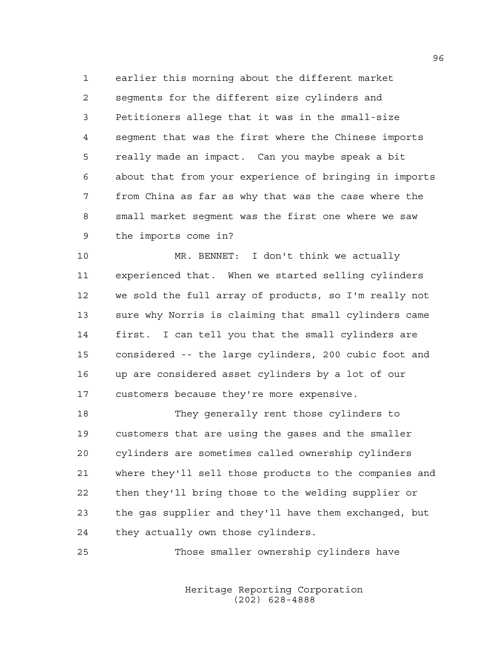earlier this morning about the different market segments for the different size cylinders and Petitioners allege that it was in the small-size segment that was the first where the Chinese imports really made an impact. Can you maybe speak a bit about that from your experience of bringing in imports from China as far as why that was the case where the small market segment was the first one where we saw the imports come in?

 MR. BENNET: I don't think we actually experienced that. When we started selling cylinders we sold the full array of products, so I'm really not sure why Norris is claiming that small cylinders came first. I can tell you that the small cylinders are considered -- the large cylinders, 200 cubic foot and up are considered asset cylinders by a lot of our customers because they're more expensive.

 They generally rent those cylinders to customers that are using the gases and the smaller cylinders are sometimes called ownership cylinders where they'll sell those products to the companies and then they'll bring those to the welding supplier or the gas supplier and they'll have them exchanged, but they actually own those cylinders.

Those smaller ownership cylinders have

Heritage Reporting Corporation (202) 628-4888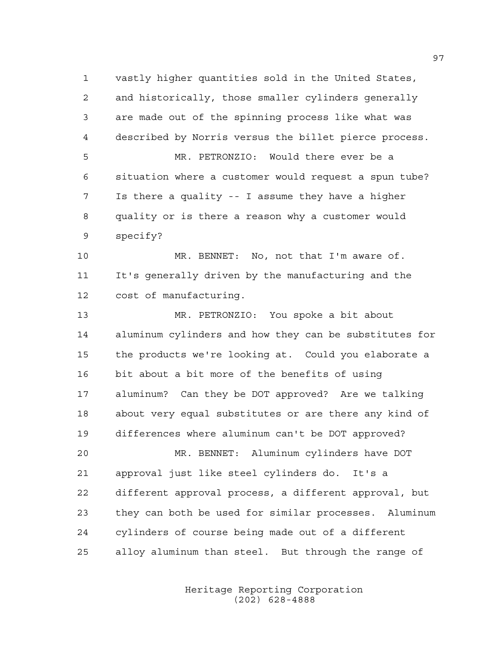vastly higher quantities sold in the United States, and historically, those smaller cylinders generally are made out of the spinning process like what was described by Norris versus the billet pierce process. MR. PETRONZIO: Would there ever be a situation where a customer would request a spun tube? Is there a quality -- I assume they have a higher quality or is there a reason why a customer would specify? MR. BENNET: No, not that I'm aware of. It's generally driven by the manufacturing and the cost of manufacturing. MR. PETRONZIO: You spoke a bit about aluminum cylinders and how they can be substitutes for the products we're looking at. Could you elaborate a bit about a bit more of the benefits of using aluminum? Can they be DOT approved? Are we talking about very equal substitutes or are there any kind of differences where aluminum can't be DOT approved? MR. BENNET: Aluminum cylinders have DOT approval just like steel cylinders do. It's a different approval process, a different approval, but they can both be used for similar processes. Aluminum cylinders of course being made out of a different alloy aluminum than steel. But through the range of

> Heritage Reporting Corporation (202) 628-4888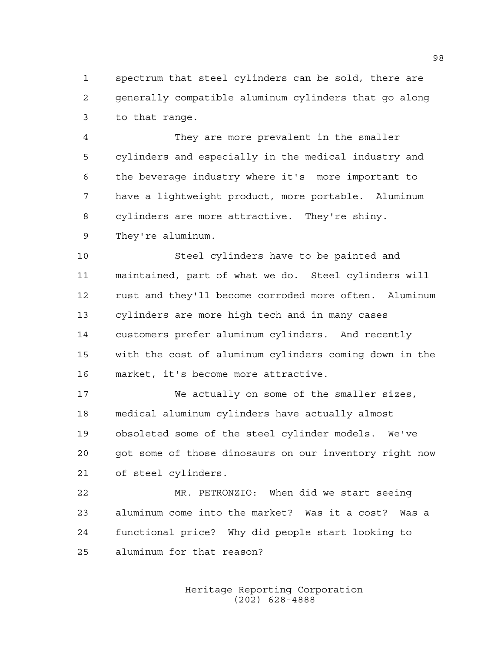spectrum that steel cylinders can be sold, there are generally compatible aluminum cylinders that go along to that range.

 They are more prevalent in the smaller cylinders and especially in the medical industry and the beverage industry where it's more important to have a lightweight product, more portable. Aluminum cylinders are more attractive. They're shiny. They're aluminum.

 Steel cylinders have to be painted and maintained, part of what we do. Steel cylinders will rust and they'll become corroded more often. Aluminum cylinders are more high tech and in many cases customers prefer aluminum cylinders. And recently with the cost of aluminum cylinders coming down in the market, it's become more attractive.

 We actually on some of the smaller sizes, medical aluminum cylinders have actually almost obsoleted some of the steel cylinder models. We've got some of those dinosaurs on our inventory right now of steel cylinders.

 MR. PETRONZIO: When did we start seeing aluminum come into the market? Was it a cost? Was a functional price? Why did people start looking to aluminum for that reason?

> Heritage Reporting Corporation (202) 628-4888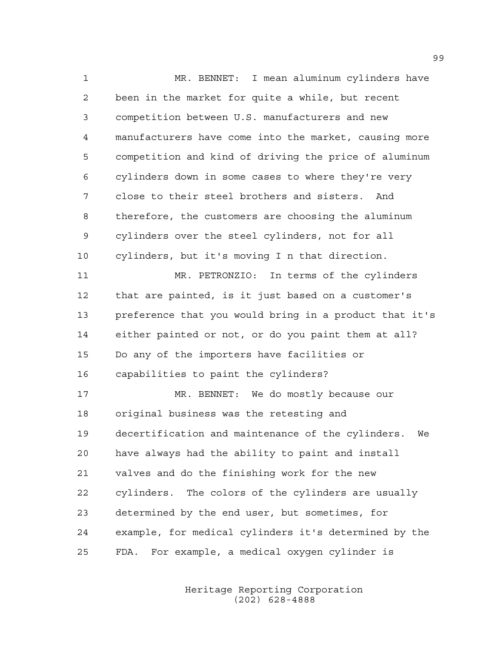MR. BENNET: I mean aluminum cylinders have been in the market for quite a while, but recent competition between U.S. manufacturers and new manufacturers have come into the market, causing more competition and kind of driving the price of aluminum cylinders down in some cases to where they're very close to their steel brothers and sisters. And therefore, the customers are choosing the aluminum cylinders over the steel cylinders, not for all cylinders, but it's moving I n that direction. MR. PETRONZIO: In terms of the cylinders that are painted, is it just based on a customer's preference that you would bring in a product that it's either painted or not, or do you paint them at all? Do any of the importers have facilities or capabilities to paint the cylinders? MR. BENNET: We do mostly because our original business was the retesting and decertification and maintenance of the cylinders. We have always had the ability to paint and install valves and do the finishing work for the new cylinders. The colors of the cylinders are usually determined by the end user, but sometimes, for example, for medical cylinders it's determined by the FDA. For example, a medical oxygen cylinder is

> Heritage Reporting Corporation (202) 628-4888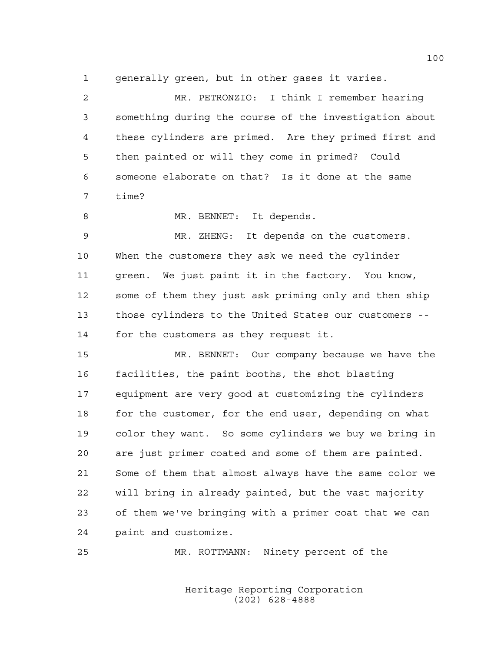generally green, but in other gases it varies.

 MR. PETRONZIO: I think I remember hearing something during the course of the investigation about these cylinders are primed. Are they primed first and then painted or will they come in primed? Could someone elaborate on that? Is it done at the same time? 8 MR. BENNET: It depends. MR. ZHENG: It depends on the customers. When the customers they ask we need the cylinder green. We just paint it in the factory. You know, some of them they just ask priming only and then ship those cylinders to the United States our customers -- for the customers as they request it. MR. BENNET: Our company because we have the facilities, the paint booths, the shot blasting equipment are very good at customizing the cylinders 18 for the customer, for the end user, depending on what color they want. So some cylinders we buy we bring in are just primer coated and some of them are painted. Some of them that almost always have the same color we will bring in already painted, but the vast majority of them we've bringing with a primer coat that we can paint and customize.

MR. ROTTMANN: Ninety percent of the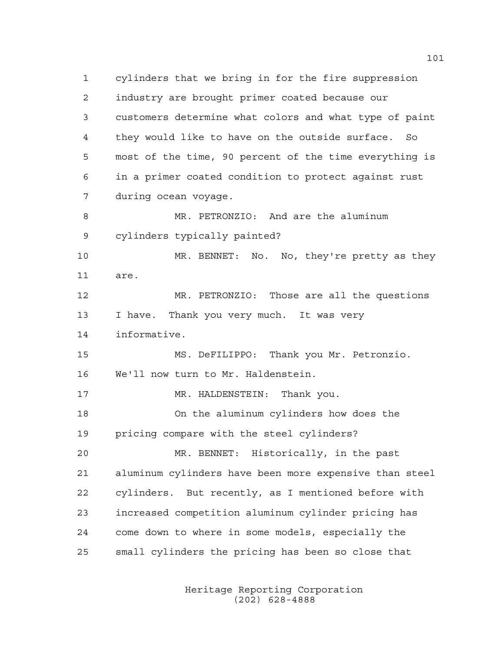cylinders that we bring in for the fire suppression industry are brought primer coated because our customers determine what colors and what type of paint they would like to have on the outside surface. So most of the time, 90 percent of the time everything is in a primer coated condition to protect against rust during ocean voyage. MR. PETRONZIO: And are the aluminum cylinders typically painted? MR. BENNET: No. No, they're pretty as they are. MR. PETRONZIO: Those are all the questions I have. Thank you very much. It was very informative. MS. DeFILIPPO: Thank you Mr. Petronzio. We'll now turn to Mr. Haldenstein. 17 MR. HALDENSTEIN: Thank you. On the aluminum cylinders how does the pricing compare with the steel cylinders? MR. BENNET: Historically, in the past aluminum cylinders have been more expensive than steel cylinders. But recently, as I mentioned before with increased competition aluminum cylinder pricing has come down to where in some models, especially the small cylinders the pricing has been so close that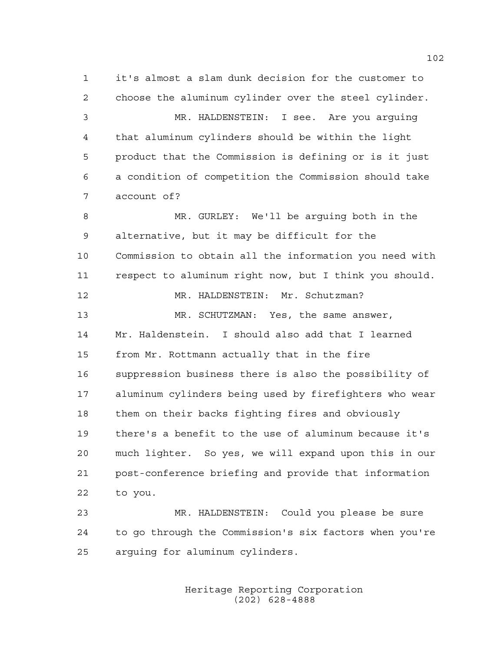it's almost a slam dunk decision for the customer to choose the aluminum cylinder over the steel cylinder. MR. HALDENSTEIN: I see. Are you arguing that aluminum cylinders should be within the light product that the Commission is defining or is it just a condition of competition the Commission should take account of? MR. GURLEY: We'll be arguing both in the alternative, but it may be difficult for the Commission to obtain all the information you need with respect to aluminum right now, but I think you should. MR. HALDENSTEIN: Mr. Schutzman? MR. SCHUTZMAN: Yes, the same answer, Mr. Haldenstein. I should also add that I learned from Mr. Rottmann actually that in the fire suppression business there is also the possibility of aluminum cylinders being used by firefighters who wear them on their backs fighting fires and obviously there's a benefit to the use of aluminum because it's much lighter. So yes, we will expand upon this in our post-conference briefing and provide that information to you. MR. HALDENSTEIN: Could you please be sure

 to go through the Commission's six factors when you're arguing for aluminum cylinders.

> Heritage Reporting Corporation (202) 628-4888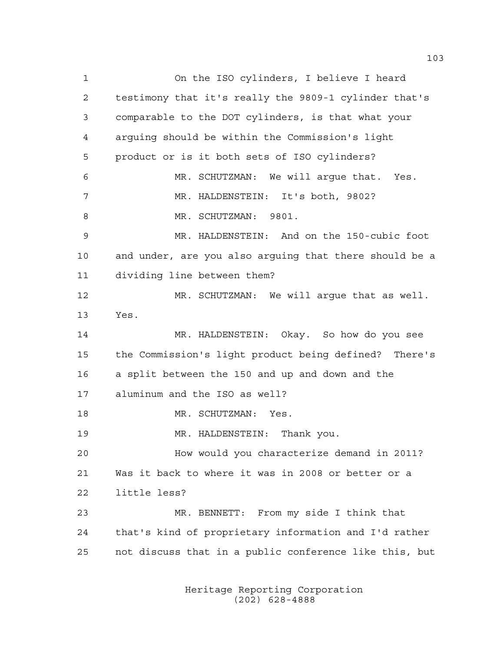On the ISO cylinders, I believe I heard testimony that it's really the 9809-1 cylinder that's comparable to the DOT cylinders, is that what your arguing should be within the Commission's light product or is it both sets of ISO cylinders? MR. SCHUTZMAN: We will argue that. Yes. MR. HALDENSTEIN: It's both, 9802? MR. SCHUTZMAN: 9801. MR. HALDENSTEIN: And on the 150-cubic foot and under, are you also arguing that there should be a dividing line between them? MR. SCHUTZMAN: We will argue that as well. Yes. MR. HALDENSTEIN: Okay. So how do you see the Commission's light product being defined? There's a split between the 150 and up and down and the aluminum and the ISO as well? MR. SCHUTZMAN: Yes. MR. HALDENSTEIN: Thank you. How would you characterize demand in 2011? Was it back to where it was in 2008 or better or a little less? MR. BENNETT: From my side I think that that's kind of proprietary information and I'd rather not discuss that in a public conference like this, but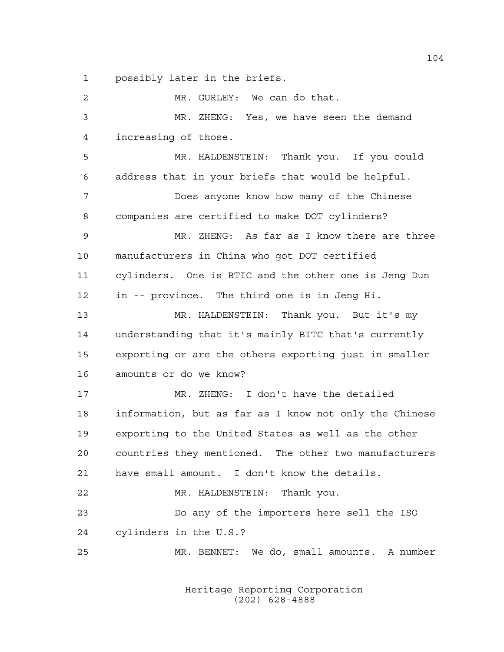possibly later in the briefs.

 MR. GURLEY: We can do that. MR. ZHENG: Yes, we have seen the demand increasing of those. MR. HALDENSTEIN: Thank you. If you could address that in your briefs that would be helpful. Does anyone know how many of the Chinese companies are certified to make DOT cylinders? MR. ZHENG: As far as I know there are three manufacturers in China who got DOT certified cylinders. One is BTIC and the other one is Jeng Dun in -- province. The third one is in Jeng Hi. MR. HALDENSTEIN: Thank you. But it's my understanding that it's mainly BITC that's currently exporting or are the others exporting just in smaller amounts or do we know? MR. ZHENG: I don't have the detailed information, but as far as I know not only the Chinese exporting to the United States as well as the other countries they mentioned. The other two manufacturers have small amount. I don't know the details. MR. HALDENSTEIN: Thank you. Do any of the importers here sell the ISO cylinders in the U.S.? MR. BENNET: We do, small amounts. A number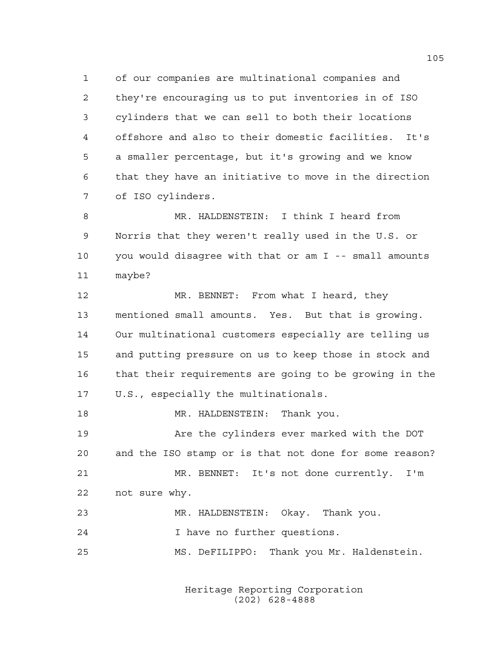of our companies are multinational companies and they're encouraging us to put inventories in of ISO cylinders that we can sell to both their locations offshore and also to their domestic facilities. It's a smaller percentage, but it's growing and we know that they have an initiative to move in the direction of ISO cylinders.

8 MR. HALDENSTEIN: I think I heard from Norris that they weren't really used in the U.S. or you would disagree with that or am I -- small amounts maybe?

 MR. BENNET: From what I heard, they mentioned small amounts. Yes. But that is growing. Our multinational customers especially are telling us and putting pressure on us to keep those in stock and that their requirements are going to be growing in the U.S., especially the multinationals.

18 MR. HALDENSTEIN: Thank you. 19 The Are the cylinders ever marked with the DOT and the ISO stamp or is that not done for some reason? MR. BENNET: It's not done currently. I'm not sure why. MR. HALDENSTEIN: Okay. Thank you. I have no further questions. MS. DeFILIPPO: Thank you Mr. Haldenstein.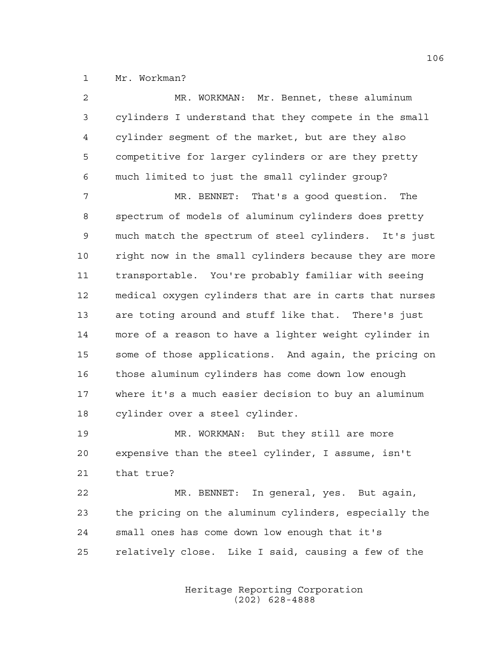Mr. Workman?

| $\overline{a}$ | MR. WORKMAN: Mr. Bennet, these aluminum                |
|----------------|--------------------------------------------------------|
| 3              | cylinders I understand that they compete in the small  |
| 4              | cylinder segment of the market, but are they also      |
| 5              | competitive for larger cylinders or are they pretty    |
| 6              | much limited to just the small cylinder group?         |
| 7              | MR. BENNET: That's a good question. The                |
| 8              | spectrum of models of aluminum cylinders does pretty   |
| $\mathsf 9$    | much match the spectrum of steel cylinders. It's just  |
| 10             | right now in the small cylinders because they are more |
| 11             | transportable. You're probably familiar with seeing    |
| 12             | medical oxygen cylinders that are in carts that nurses |
| 13             | are toting around and stuff like that. There's just    |
| 14             | more of a reason to have a lighter weight cylinder in  |
| 15             | some of those applications. And again, the pricing on  |
| 16             | those aluminum cylinders has come down low enough      |
| 17             | where it's a much easier decision to buy an aluminum   |
| 18             | cylinder over a steel cylinder.                        |
| 19             | MR. WORKMAN: But they still are more                   |
| 20             | expensive than the steel cylinder, I assume, isn't     |
| 21             | that true?                                             |
| 22             | MR. BENNET: In general, yes. But again,                |
| 23             | the pricing on the aluminum cylinders, especially the  |
| 24             | small ones has come down low enough that it's          |

relatively close. Like I said, causing a few of the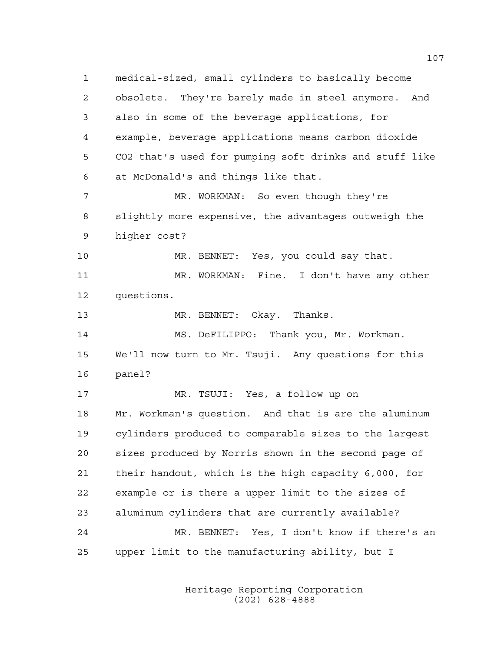medical-sized, small cylinders to basically become obsolete. They're barely made in steel anymore. And also in some of the beverage applications, for example, beverage applications means carbon dioxide CO2 that's used for pumping soft drinks and stuff like at McDonald's and things like that. 7 MR. WORKMAN: So even though they're slightly more expensive, the advantages outweigh the higher cost? MR. BENNET: Yes, you could say that. MR. WORKMAN: Fine. I don't have any other questions. MR. BENNET: Okay. Thanks. MS. DeFILIPPO: Thank you, Mr. Workman. We'll now turn to Mr. Tsuji. Any questions for this panel? MR. TSUJI: Yes, a follow up on Mr. Workman's question. And that is are the aluminum cylinders produced to comparable sizes to the largest sizes produced by Norris shown in the second page of their handout, which is the high capacity 6,000, for example or is there a upper limit to the sizes of aluminum cylinders that are currently available? MR. BENNET: Yes, I don't know if there's an upper limit to the manufacturing ability, but I

> Heritage Reporting Corporation (202) 628-4888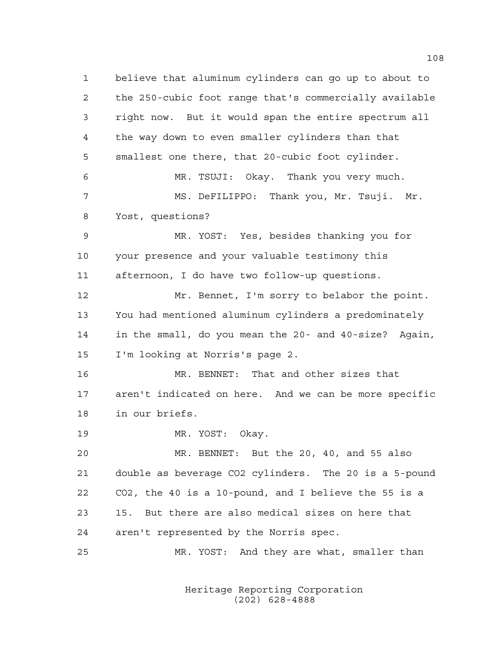believe that aluminum cylinders can go up to about to the 250-cubic foot range that's commercially available right now. But it would span the entire spectrum all the way down to even smaller cylinders than that smallest one there, that 20-cubic foot cylinder. MR. TSUJI: Okay. Thank you very much. MS. DeFILIPPO: Thank you, Mr. Tsuji. Mr. Yost, questions? MR. YOST: Yes, besides thanking you for your presence and your valuable testimony this afternoon, I do have two follow-up questions. Mr. Bennet, I'm sorry to belabor the point. You had mentioned aluminum cylinders a predominately in the small, do you mean the 20- and 40-size? Again, I'm looking at Norris's page 2. MR. BENNET: That and other sizes that aren't indicated on here. And we can be more specific in our briefs. MR. YOST: Okay. MR. BENNET: But the 20, 40, and 55 also double as beverage CO2 cylinders. The 20 is a 5-pound CO2, the 40 is a 10-pound, and I believe the 55 is a 15. But there are also medical sizes on here that aren't represented by the Norris spec. MR. YOST: And they are what, smaller than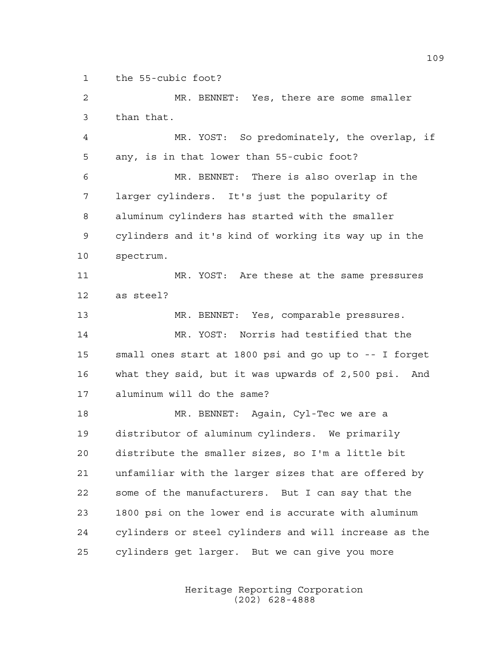the 55-cubic foot?

 MR. BENNET: Yes, there are some smaller than that.

 MR. YOST: So predominately, the overlap, if any, is in that lower than 55-cubic foot?

 MR. BENNET: There is also overlap in the larger cylinders. It's just the popularity of aluminum cylinders has started with the smaller cylinders and it's kind of working its way up in the spectrum.

 MR. YOST: Are these at the same pressures as steel?

MR. BENNET: Yes, comparable pressures.

 MR. YOST: Norris had testified that the small ones start at 1800 psi and go up to -- I forget what they said, but it was upwards of 2,500 psi. And aluminum will do the same?

 MR. BENNET: Again, Cyl-Tec we are a distributor of aluminum cylinders. We primarily distribute the smaller sizes, so I'm a little bit unfamiliar with the larger sizes that are offered by some of the manufacturers. But I can say that the 1800 psi on the lower end is accurate with aluminum cylinders or steel cylinders and will increase as the cylinders get larger. But we can give you more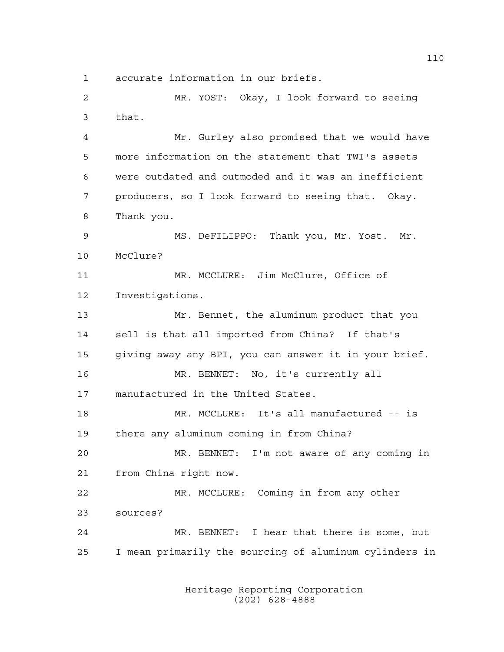accurate information in our briefs.

 MR. YOST: Okay, I look forward to seeing that.

 Mr. Gurley also promised that we would have more information on the statement that TWI's assets were outdated and outmoded and it was an inefficient producers, so I look forward to seeing that. Okay. Thank you.

 MS. DeFILIPPO: Thank you, Mr. Yost. Mr. McClure?

 MR. MCCLURE: Jim McClure, Office of Investigations.

 Mr. Bennet, the aluminum product that you sell is that all imported from China? If that's giving away any BPI, you can answer it in your brief. MR. BENNET: No, it's currently all manufactured in the United States. MR. MCCLURE: It's all manufactured -- is there any aluminum coming in from China?

 MR. BENNET: I'm not aware of any coming in from China right now.

 MR. MCCLURE: Coming in from any other sources?

 MR. BENNET: I hear that there is some, but I mean primarily the sourcing of aluminum cylinders in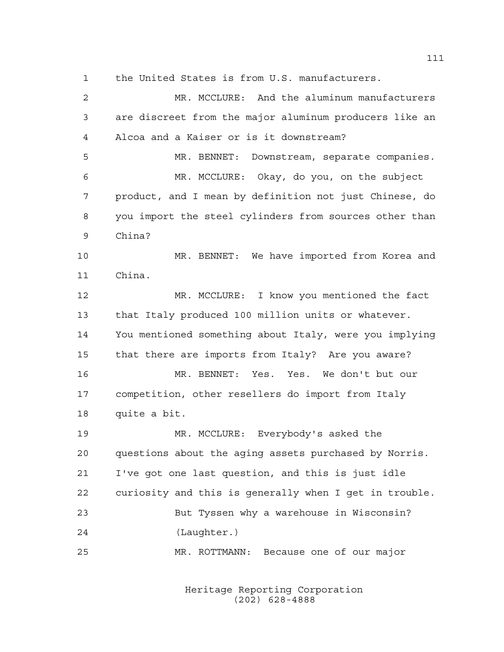the United States is from U.S. manufacturers.

 MR. MCCLURE: And the aluminum manufacturers are discreet from the major aluminum producers like an Alcoa and a Kaiser or is it downstream? MR. BENNET: Downstream, separate companies. MR. MCCLURE: Okay, do you, on the subject product, and I mean by definition not just Chinese, do you import the steel cylinders from sources other than China? MR. BENNET: We have imported from Korea and China. MR. MCCLURE: I know you mentioned the fact that Italy produced 100 million units or whatever. You mentioned something about Italy, were you implying that there are imports from Italy? Are you aware? MR. BENNET: Yes. Yes. We don't but our competition, other resellers do import from Italy quite a bit. MR. MCCLURE: Everybody's asked the questions about the aging assets purchased by Norris. I've got one last question, and this is just idle curiosity and this is generally when I get in trouble. But Tyssen why a warehouse in Wisconsin? (Laughter.) MR. ROTTMANN: Because one of our major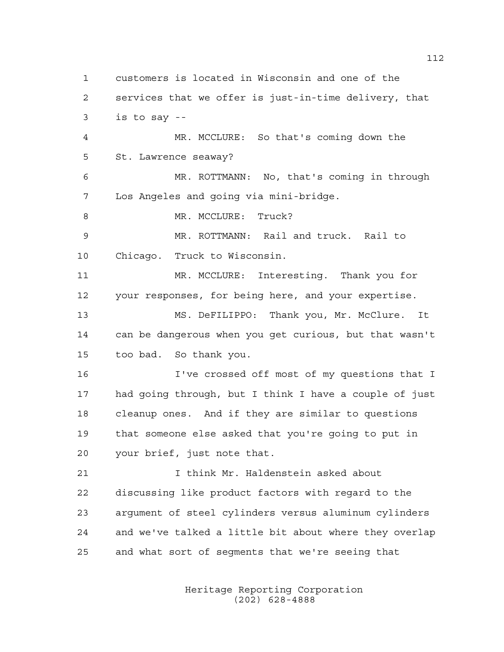customers is located in Wisconsin and one of the services that we offer is just-in-time delivery, that is to say -- MR. MCCLURE: So that's coming down the St. Lawrence seaway? MR. ROTTMANN: No, that's coming in through Los Angeles and going via mini-bridge. 8 MR. MCCLURE: Truck? MR. ROTTMANN: Rail and truck. Rail to Chicago. Truck to Wisconsin. MR. MCCLURE: Interesting. Thank you for your responses, for being here, and your expertise. MS. DeFILIPPO: Thank you, Mr. McClure. It can be dangerous when you get curious, but that wasn't too bad. So thank you. I've crossed off most of my questions that I had going through, but I think I have a couple of just cleanup ones. And if they are similar to questions that someone else asked that you're going to put in your brief, just note that. I think Mr. Haldenstein asked about discussing like product factors with regard to the argument of steel cylinders versus aluminum cylinders and we've talked a little bit about where they overlap and what sort of segments that we're seeing that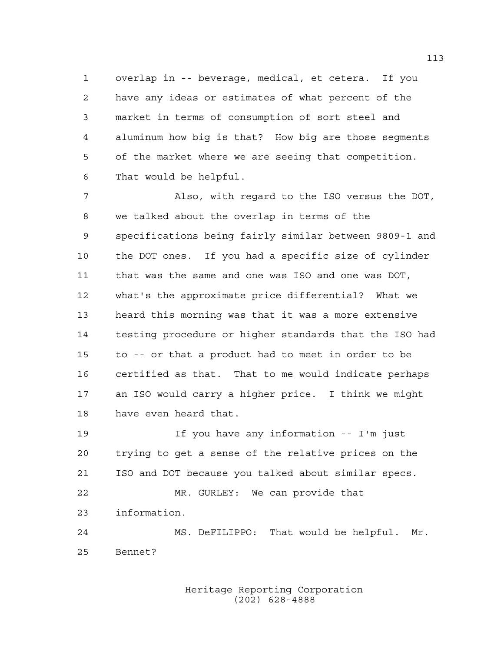overlap in -- beverage, medical, et cetera. If you have any ideas or estimates of what percent of the market in terms of consumption of sort steel and aluminum how big is that? How big are those segments of the market where we are seeing that competition. That would be helpful.

 Also, with regard to the ISO versus the DOT, we talked about the overlap in terms of the specifications being fairly similar between 9809-1 and the DOT ones. If you had a specific size of cylinder that was the same and one was ISO and one was DOT, what's the approximate price differential? What we heard this morning was that it was a more extensive testing procedure or higher standards that the ISO had to -- or that a product had to meet in order to be certified as that. That to me would indicate perhaps an ISO would carry a higher price. I think we might have even heard that.

 If you have any information -- I'm just trying to get a sense of the relative prices on the ISO and DOT because you talked about similar specs. MR. GURLEY: We can provide that information. MS. DeFILIPPO: That would be helpful. Mr. Bennet?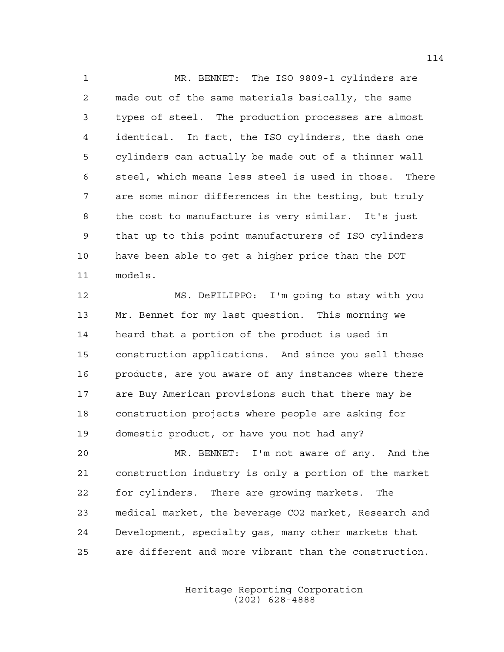MR. BENNET: The ISO 9809-1 cylinders are made out of the same materials basically, the same types of steel. The production processes are almost identical. In fact, the ISO cylinders, the dash one cylinders can actually be made out of a thinner wall steel, which means less steel is used in those. There are some minor differences in the testing, but truly 8 the cost to manufacture is very similar. It's just that up to this point manufacturers of ISO cylinders have been able to get a higher price than the DOT models.

 MS. DeFILIPPO: I'm going to stay with you Mr. Bennet for my last question. This morning we heard that a portion of the product is used in construction applications. And since you sell these products, are you aware of any instances where there are Buy American provisions such that there may be construction projects where people are asking for domestic product, or have you not had any?

 MR. BENNET: I'm not aware of any. And the construction industry is only a portion of the market for cylinders. There are growing markets. The medical market, the beverage CO2 market, Research and Development, specialty gas, many other markets that are different and more vibrant than the construction.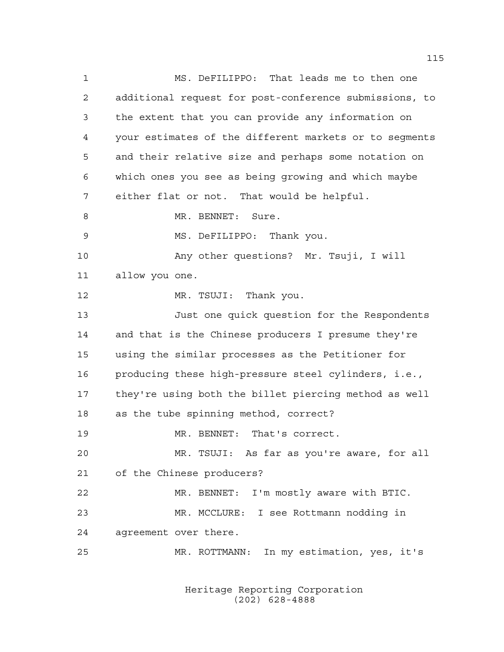MS. DeFILIPPO: That leads me to then one additional request for post-conference submissions, to the extent that you can provide any information on your estimates of the different markets or to segments and their relative size and perhaps some notation on which ones you see as being growing and which maybe either flat or not. That would be helpful. 8 MR. BENNET: Sure. MS. DeFILIPPO: Thank you. Any other questions? Mr. Tsuji, I will allow you one. 12 MR. TSUJI: Thank you. Just one quick question for the Respondents and that is the Chinese producers I presume they're using the similar processes as the Petitioner for producing these high-pressure steel cylinders, i.e., they're using both the billet piercing method as well as the tube spinning method, correct? MR. BENNET: That's correct. MR. TSUJI: As far as you're aware, for all of the Chinese producers? MR. BENNET: I'm mostly aware with BTIC. MR. MCCLURE: I see Rottmann nodding in agreement over there. MR. ROTTMANN: In my estimation, yes, it's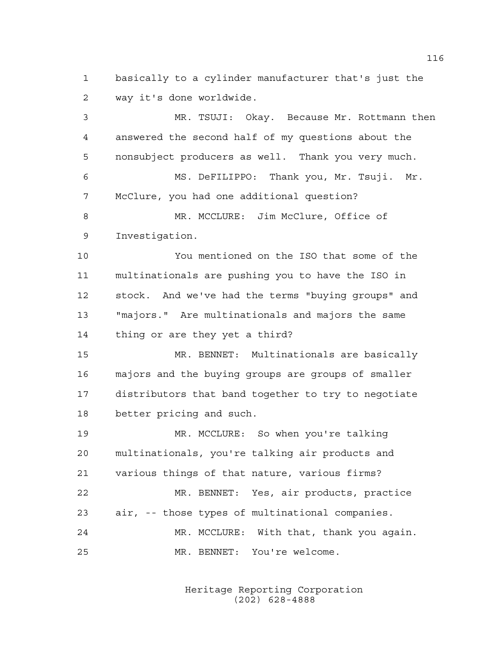basically to a cylinder manufacturer that's just the way it's done worldwide.

 MR. TSUJI: Okay. Because Mr. Rottmann then answered the second half of my questions about the nonsubject producers as well. Thank you very much. MS. DeFILIPPO: Thank you, Mr. Tsuji. Mr. McClure, you had one additional question? 8 MR. MCCLURE: Jim McClure, Office of Investigation. You mentioned on the ISO that some of the multinationals are pushing you to have the ISO in stock. And we've had the terms "buying groups" and "majors." Are multinationals and majors the same thing or are they yet a third? MR. BENNET: Multinationals are basically majors and the buying groups are groups of smaller distributors that band together to try to negotiate better pricing and such. MR. MCCLURE: So when you're talking multinationals, you're talking air products and various things of that nature, various firms? MR. BENNET: Yes, air products, practice air, -- those types of multinational companies. MR. MCCLURE: With that, thank you again. MR. BENNET: You're welcome.

> Heritage Reporting Corporation (202) 628-4888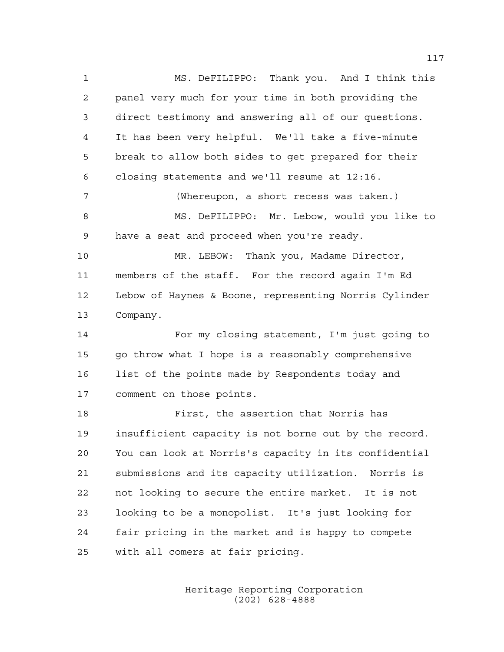MS. DeFILIPPO: Thank you. And I think this panel very much for your time in both providing the direct testimony and answering all of our questions. It has been very helpful. We'll take a five-minute break to allow both sides to get prepared for their closing statements and we'll resume at 12:16. (Whereupon, a short recess was taken.) MS. DeFILIPPO: Mr. Lebow, would you like to have a seat and proceed when you're ready. MR. LEBOW: Thank you, Madame Director, members of the staff. For the record again I'm Ed Lebow of Haynes & Boone, representing Norris Cylinder Company. For my closing statement, I'm just going to go throw what I hope is a reasonably comprehensive 16 list of the points made by Respondents today and comment on those points. First, the assertion that Norris has insufficient capacity is not borne out by the record. You can look at Norris's capacity in its confidential submissions and its capacity utilization. Norris is not looking to secure the entire market. It is not looking to be a monopolist. It's just looking for fair pricing in the market and is happy to compete

with all comers at fair pricing.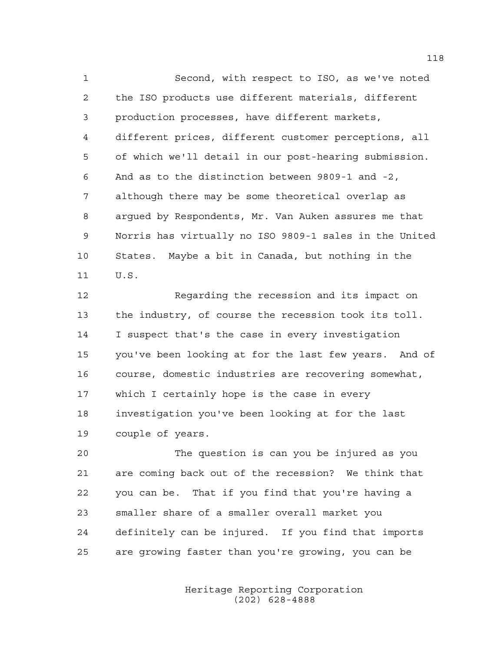Second, with respect to ISO, as we've noted the ISO products use different materials, different production processes, have different markets, different prices, different customer perceptions, all of which we'll detail in our post-hearing submission. And as to the distinction between 9809-1 and -2, although there may be some theoretical overlap as argued by Respondents, Mr. Van Auken assures me that Norris has virtually no ISO 9809-1 sales in the United States. Maybe a bit in Canada, but nothing in the U.S.

 Regarding the recession and its impact on the industry, of course the recession took its toll. I suspect that's the case in every investigation you've been looking at for the last few years. And of course, domestic industries are recovering somewhat, which I certainly hope is the case in every investigation you've been looking at for the last couple of years.

 The question is can you be injured as you are coming back out of the recession? We think that you can be. That if you find that you're having a smaller share of a smaller overall market you definitely can be injured. If you find that imports are growing faster than you're growing, you can be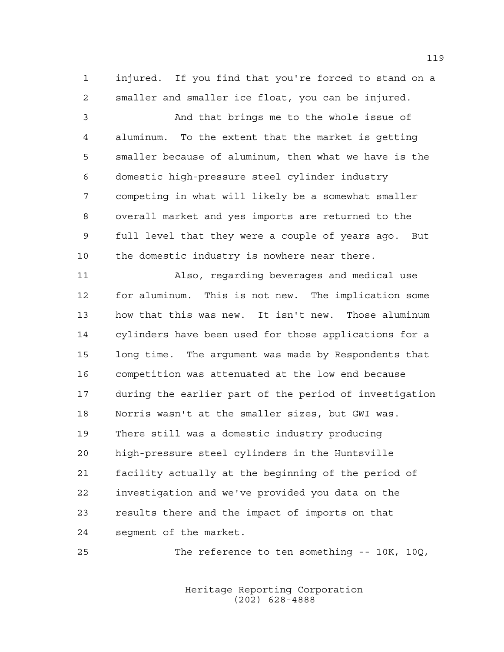injured. If you find that you're forced to stand on a smaller and smaller ice float, you can be injured.

 And that brings me to the whole issue of aluminum. To the extent that the market is getting smaller because of aluminum, then what we have is the domestic high-pressure steel cylinder industry competing in what will likely be a somewhat smaller overall market and yes imports are returned to the full level that they were a couple of years ago. But the domestic industry is nowhere near there.

 Also, regarding beverages and medical use for aluminum. This is not new. The implication some how that this was new. It isn't new. Those aluminum cylinders have been used for those applications for a long time. The argument was made by Respondents that competition was attenuated at the low end because during the earlier part of the period of investigation Norris wasn't at the smaller sizes, but GWI was. There still was a domestic industry producing high-pressure steel cylinders in the Huntsville facility actually at the beginning of the period of investigation and we've provided you data on the results there and the impact of imports on that segment of the market.

The reference to ten something -- 10K, 10Q,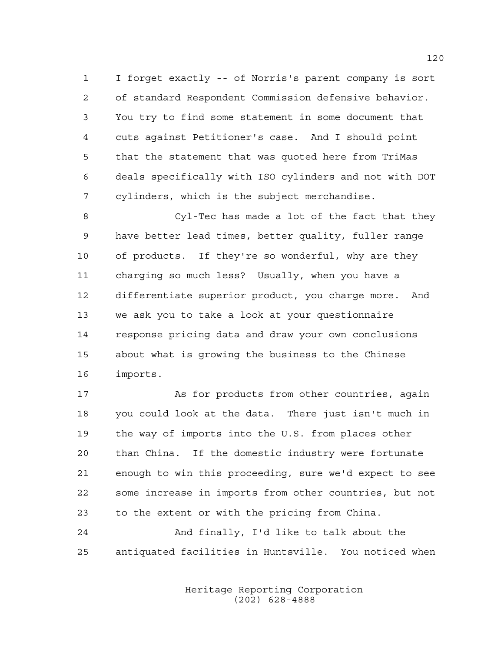I forget exactly -- of Norris's parent company is sort of standard Respondent Commission defensive behavior. You try to find some statement in some document that cuts against Petitioner's case. And I should point that the statement that was quoted here from TriMas deals specifically with ISO cylinders and not with DOT cylinders, which is the subject merchandise.

 Cyl-Tec has made a lot of the fact that they have better lead times, better quality, fuller range of products. If they're so wonderful, why are they charging so much less? Usually, when you have a differentiate superior product, you charge more. And we ask you to take a look at your questionnaire response pricing data and draw your own conclusions about what is growing the business to the Chinese imports.

 As for products from other countries, again you could look at the data. There just isn't much in the way of imports into the U.S. from places other than China. If the domestic industry were fortunate enough to win this proceeding, sure we'd expect to see some increase in imports from other countries, but not to the extent or with the pricing from China.

 And finally, I'd like to talk about the antiquated facilities in Huntsville. You noticed when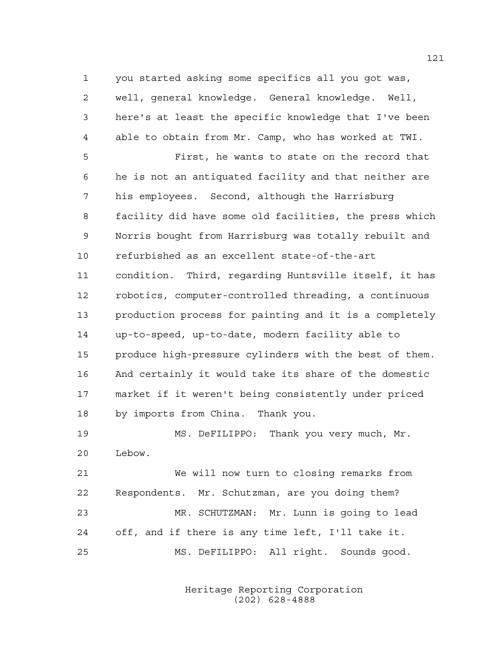you started asking some specifics all you got was,

 well, general knowledge. General knowledge. Well, here's at least the specific knowledge that I've been able to obtain from Mr. Camp, who has worked at TWI. First, he wants to state on the record that he is not an antiquated facility and that neither are his employees. Second, although the Harrisburg facility did have some old facilities, the press which Norris bought from Harrisburg was totally rebuilt and refurbished as an excellent state-of-the-art condition. Third, regarding Huntsville itself, it has robotics, computer-controlled threading, a continuous production process for painting and it is a completely up-to-speed, up-to-date, modern facility able to produce high-pressure cylinders with the best of them. And certainly it would take its share of the domestic market if it weren't being consistently under priced by imports from China. Thank you.

 MS. DeFILIPPO: Thank you very much, Mr. Lebow.

 We will now turn to closing remarks from Respondents. Mr. Schutzman, are you doing them? MR. SCHUTZMAN: Mr. Lunn is going to lead off, and if there is any time left, I'll take it. MS. DeFILIPPO: All right. Sounds good.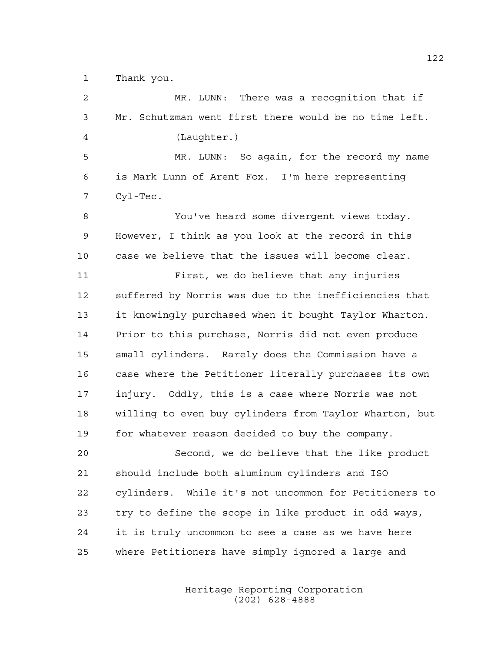Thank you.

 MR. LUNN: There was a recognition that if Mr. Schutzman went first there would be no time left. (Laughter.) MR. LUNN: So again, for the record my name is Mark Lunn of Arent Fox. I'm here representing Cyl-Tec. You've heard some divergent views today. However, I think as you look at the record in this case we believe that the issues will become clear. First, we do believe that any injuries suffered by Norris was due to the inefficiencies that it knowingly purchased when it bought Taylor Wharton. Prior to this purchase, Norris did not even produce small cylinders. Rarely does the Commission have a case where the Petitioner literally purchases its own injury. Oddly, this is a case where Norris was not willing to even buy cylinders from Taylor Wharton, but for whatever reason decided to buy the company. Second, we do believe that the like product should include both aluminum cylinders and ISO cylinders. While it's not uncommon for Petitioners to try to define the scope in like product in odd ways, it is truly uncommon to see a case as we have here where Petitioners have simply ignored a large and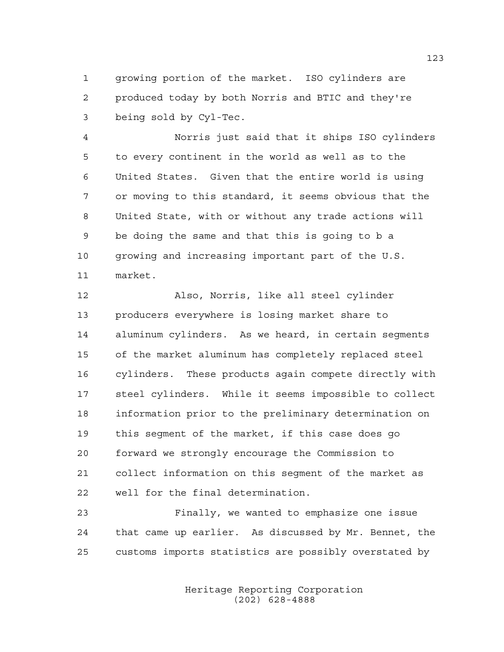growing portion of the market. ISO cylinders are produced today by both Norris and BTIC and they're being sold by Cyl-Tec.

 Norris just said that it ships ISO cylinders to every continent in the world as well as to the United States. Given that the entire world is using or moving to this standard, it seems obvious that the United State, with or without any trade actions will be doing the same and that this is going to b a growing and increasing important part of the U.S. market.

 Also, Norris, like all steel cylinder producers everywhere is losing market share to aluminum cylinders. As we heard, in certain segments of the market aluminum has completely replaced steel cylinders. These products again compete directly with steel cylinders. While it seems impossible to collect information prior to the preliminary determination on this segment of the market, if this case does go forward we strongly encourage the Commission to collect information on this segment of the market as well for the final determination.

 Finally, we wanted to emphasize one issue that came up earlier. As discussed by Mr. Bennet, the customs imports statistics are possibly overstated by

> Heritage Reporting Corporation (202) 628-4888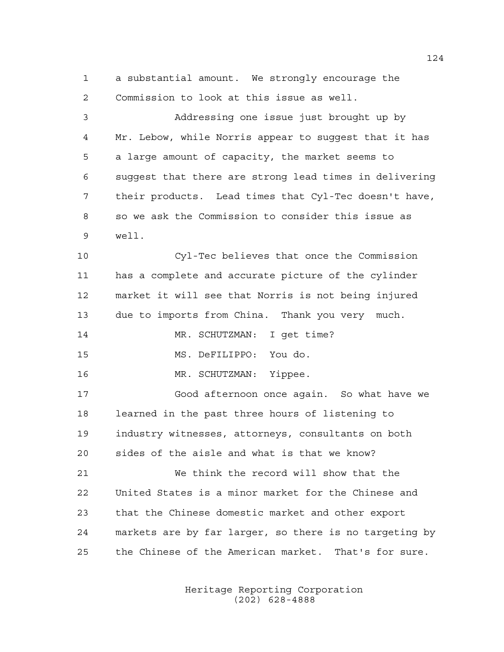a substantial amount. We strongly encourage the Commission to look at this issue as well. Addressing one issue just brought up by Mr. Lebow, while Norris appear to suggest that it has a large amount of capacity, the market seems to suggest that there are strong lead times in delivering their products. Lead times that Cyl-Tec doesn't have, so we ask the Commission to consider this issue as well. Cyl-Tec believes that once the Commission has a complete and accurate picture of the cylinder market it will see that Norris is not being injured due to imports from China. Thank you very much. MR. SCHUTZMAN: I get time? MS. DeFILIPPO: You do. 16 MR. SCHUTZMAN: Yippee. Good afternoon once again. So what have we learned in the past three hours of listening to industry witnesses, attorneys, consultants on both sides of the aisle and what is that we know? We think the record will show that the United States is a minor market for the Chinese and that the Chinese domestic market and other export markets are by far larger, so there is no targeting by the Chinese of the American market. That's for sure.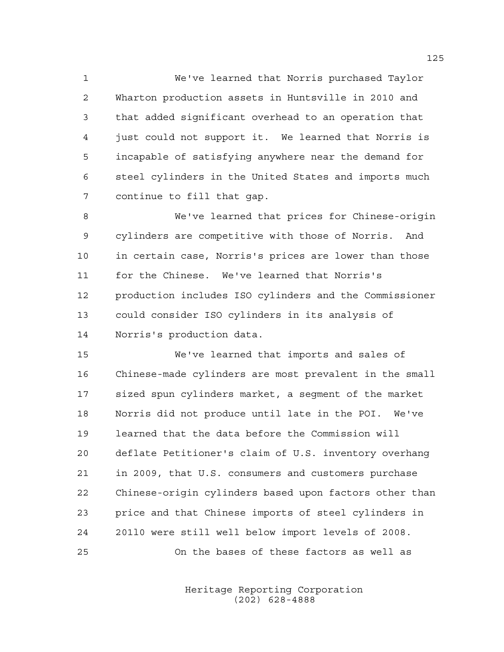We've learned that Norris purchased Taylor Wharton production assets in Huntsville in 2010 and that added significant overhead to an operation that just could not support it. We learned that Norris is incapable of satisfying anywhere near the demand for steel cylinders in the United States and imports much continue to fill that gap.

 We've learned that prices for Chinese-origin cylinders are competitive with those of Norris. And in certain case, Norris's prices are lower than those for the Chinese. We've learned that Norris's production includes ISO cylinders and the Commissioner could consider ISO cylinders in its analysis of Norris's production data.

 We've learned that imports and sales of Chinese-made cylinders are most prevalent in the small sized spun cylinders market, a segment of the market Norris did not produce until late in the POI. We've learned that the data before the Commission will deflate Petitioner's claim of U.S. inventory overhang in 2009, that U.S. consumers and customers purchase Chinese-origin cylinders based upon factors other than price and that Chinese imports of steel cylinders in 201l0 were still well below import levels of 2008. On the bases of these factors as well as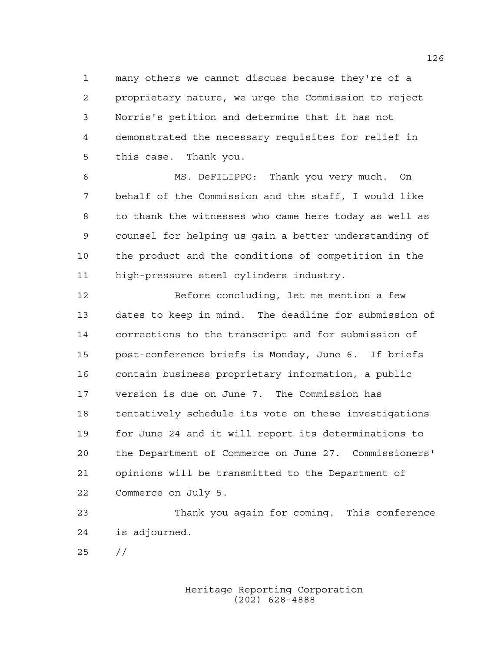many others we cannot discuss because they're of a proprietary nature, we urge the Commission to reject Norris's petition and determine that it has not demonstrated the necessary requisites for relief in this case. Thank you.

 MS. DeFILIPPO: Thank you very much. On behalf of the Commission and the staff, I would like to thank the witnesses who came here today as well as counsel for helping us gain a better understanding of the product and the conditions of competition in the high-pressure steel cylinders industry.

 Before concluding, let me mention a few dates to keep in mind. The deadline for submission of corrections to the transcript and for submission of post-conference briefs is Monday, June 6. If briefs contain business proprietary information, a public version is due on June 7. The Commission has tentatively schedule its vote on these investigations for June 24 and it will report its determinations to the Department of Commerce on June 27. Commissioners' opinions will be transmitted to the Department of Commerce on July 5.

 Thank you again for coming. This conference is adjourned.

//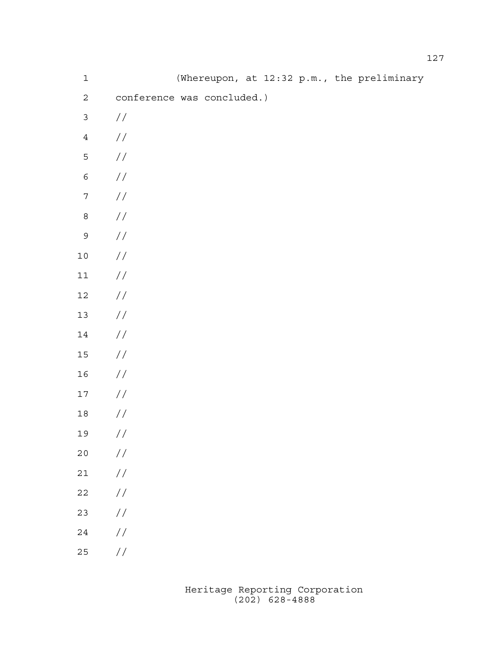| $\mathbf 1$      |                            |  |  |  | (Whereupon, at 12:32 p.m., the preliminary |
|------------------|----------------------------|--|--|--|--------------------------------------------|
| $\sqrt{2}$       | conference was concluded.) |  |  |  |                                            |
| $\mathfrak{Z}$   | $\frac{1}{2}$              |  |  |  |                                            |
| $\ensuremath{4}$ | $\frac{1}{2}$              |  |  |  |                                            |
| 5                | $\frac{1}{2}$              |  |  |  |                                            |
| $\epsilon$       | $\frac{1}{2}$              |  |  |  |                                            |
| $\boldsymbol{7}$ | $\frac{1}{2}$              |  |  |  |                                            |
| $\,8\,$          | $\frac{1}{2}$              |  |  |  |                                            |
| $\mathsf 9$      | $\frac{1}{2}$              |  |  |  |                                            |
| $1\,0$           | $\frac{1}{2}$              |  |  |  |                                            |
| $11\,$           | $\frac{1}{2}$              |  |  |  |                                            |
| $12\,$           | $\frac{1}{2}$              |  |  |  |                                            |
| $13\,$           | $\frac{1}{2}$              |  |  |  |                                            |
| $14\,$           | $\frac{1}{2}$              |  |  |  |                                            |
| $15\,$           | $\frac{1}{2}$              |  |  |  |                                            |
| 16               | $\frac{1}{2}$              |  |  |  |                                            |
| $17$             | $\frac{1}{2}$              |  |  |  |                                            |
| $18\,$           | $\frac{1}{2}$              |  |  |  |                                            |
| 19               | $\!/\!$                    |  |  |  |                                            |
| $20$             | $\frac{1}{2}$              |  |  |  |                                            |
| $2\,1$           | $\frac{1}{2}$              |  |  |  |                                            |
| $2\sqrt{2}$      | $\frac{1}{2}$              |  |  |  |                                            |
| 23               | $\frac{1}{2}$              |  |  |  |                                            |
| $2\sqrt{4}$      | $\frac{1}{2}$              |  |  |  |                                            |
| $25$             | //                         |  |  |  |                                            |